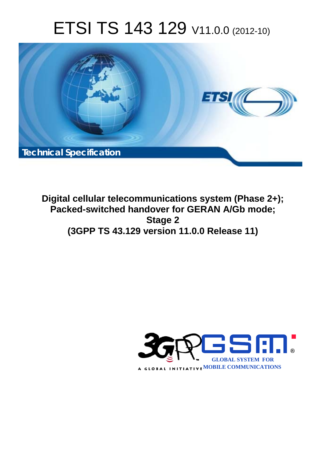# ETSI TS 143 129 V11.0.0 (2012-10)



**Digital cellular telecommunications system (Phase 2+); Packed-switched handover for GERAN A/Gb mode; Stage 2 (3GPP TS 43.129 version 11.0.0 Release 11)** 

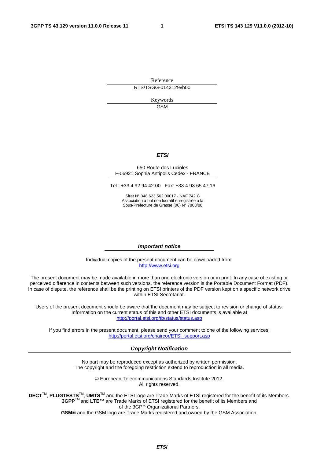Reference RTS/TSGG-0143129vb00

> Keywords GSM

#### *ETSI*

#### 650 Route des Lucioles F-06921 Sophia Antipolis Cedex - FRANCE

Tel.: +33 4 92 94 42 00 Fax: +33 4 93 65 47 16

Siret N° 348 623 562 00017 - NAF 742 C Association à but non lucratif enregistrée à la Sous-Préfecture de Grasse (06) N° 7803/88

#### *Important notice*

Individual copies of the present document can be downloaded from: [http://www.etsi.org](http://www.etsi.org/)

The present document may be made available in more than one electronic version or in print. In any case of existing or perceived difference in contents between such versions, the reference version is the Portable Document Format (PDF). In case of dispute, the reference shall be the printing on ETSI printers of the PDF version kept on a specific network drive within ETSI Secretariat.

Users of the present document should be aware that the document may be subject to revision or change of status. Information on the current status of this and other ETSI documents is available at <http://portal.etsi.org/tb/status/status.asp>

If you find errors in the present document, please send your comment to one of the following services: [http://portal.etsi.org/chaircor/ETSI\\_support.asp](http://portal.etsi.org/chaircor/ETSI_support.asp)

#### *Copyright Notification*

No part may be reproduced except as authorized by written permission. The copyright and the foregoing restriction extend to reproduction in all media.

> © European Telecommunications Standards Institute 2012. All rights reserved.

**DECT**TM, **PLUGTESTS**TM, **UMTS**TM and the ETSI logo are Trade Marks of ETSI registered for the benefit of its Members. **3GPP**TM and **LTE**™ are Trade Marks of ETSI registered for the benefit of its Members and of the 3GPP Organizational Partners.

**GSM**® and the GSM logo are Trade Marks registered and owned by the GSM Association.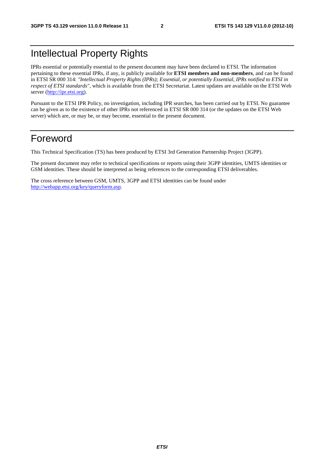## Intellectual Property Rights

IPRs essential or potentially essential to the present document may have been declared to ETSI. The information pertaining to these essential IPRs, if any, is publicly available for **ETSI members and non-members**, and can be found in ETSI SR 000 314: *"Intellectual Property Rights (IPRs); Essential, or potentially Essential, IPRs notified to ETSI in respect of ETSI standards"*, which is available from the ETSI Secretariat. Latest updates are available on the ETSI Web server [\(http://ipr.etsi.org](http://webapp.etsi.org/IPR/home.asp)).

Pursuant to the ETSI IPR Policy, no investigation, including IPR searches, has been carried out by ETSI. No guarantee can be given as to the existence of other IPRs not referenced in ETSI SR 000 314 (or the updates on the ETSI Web server) which are, or may be, or may become, essential to the present document.

## Foreword

This Technical Specification (TS) has been produced by ETSI 3rd Generation Partnership Project (3GPP).

The present document may refer to technical specifications or reports using their 3GPP identities, UMTS identities or GSM identities. These should be interpreted as being references to the corresponding ETSI deliverables.

The cross reference between GSM, UMTS, 3GPP and ETSI identities can be found under [http://webapp.etsi.org/key/queryform.asp.](http://webapp.etsi.org/key/queryform.asp)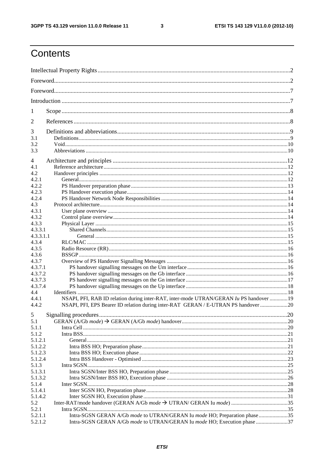$\mathbf{3}$ 

## Contents

| 1         |                                                                                         |  |  |
|-----------|-----------------------------------------------------------------------------------------|--|--|
| 2         |                                                                                         |  |  |
| 3         |                                                                                         |  |  |
| 3.1       |                                                                                         |  |  |
| 3.2       |                                                                                         |  |  |
| 3.3       |                                                                                         |  |  |
| 4         |                                                                                         |  |  |
| 4.1       |                                                                                         |  |  |
| 4.2       |                                                                                         |  |  |
| 4.2.1     |                                                                                         |  |  |
| 4.2.2     |                                                                                         |  |  |
| 4.2.3     |                                                                                         |  |  |
| 4.2.4     |                                                                                         |  |  |
| 4.3       |                                                                                         |  |  |
|           |                                                                                         |  |  |
| 4.3.1     |                                                                                         |  |  |
| 4.3.2     |                                                                                         |  |  |
| 4.3.3     |                                                                                         |  |  |
| 4.3.3.1   |                                                                                         |  |  |
| 4.3.3.1.1 |                                                                                         |  |  |
| 4.3.4     |                                                                                         |  |  |
| 4.3.5     |                                                                                         |  |  |
| 4.3.6     |                                                                                         |  |  |
| 4.3.7     |                                                                                         |  |  |
| 4.3.7.1   |                                                                                         |  |  |
| 4.3.7.2   |                                                                                         |  |  |
| 4.3.7.3   |                                                                                         |  |  |
| 4.3.7.4   |                                                                                         |  |  |
| 4.4       |                                                                                         |  |  |
|           |                                                                                         |  |  |
| 4.4.1     | NSAPI, PFI, RAB ID relation during inter-RAT, inter-mode UTRAN/GERAN Iu PS handover  19 |  |  |
| 4.4.2     | NSAPI, PFI, EPS Bearer ID relation during inter-RAT GERAN / E-UTRAN PS handover  20     |  |  |
| 5         |                                                                                         |  |  |
| 5.1       |                                                                                         |  |  |
| 5.1.1     |                                                                                         |  |  |
| 5.1.2     |                                                                                         |  |  |
| 5.1.2.1   |                                                                                         |  |  |
| 5.1.2.2   |                                                                                         |  |  |
| 5.1.2.3   |                                                                                         |  |  |
| 5.1.2.4   |                                                                                         |  |  |
| 5.1.3     |                                                                                         |  |  |
| 5.1.3.1   |                                                                                         |  |  |
| 5.1.3.2   |                                                                                         |  |  |
|           |                                                                                         |  |  |
| 5.1.4     |                                                                                         |  |  |
| 5.1.4.1   |                                                                                         |  |  |
| 5.1.4.2   |                                                                                         |  |  |
| 5.2       |                                                                                         |  |  |
| 5.2.1     |                                                                                         |  |  |
| 5.2.1.1   | Intra-SGSN GERAN A/Gb mode to UTRAN/GERAN Iu mode HO; Preparation phase 35              |  |  |
| 5.2.1.2   | Intra-SGSN GERAN A/Gb mode to UTRAN/GERAN Iu mode HO; Execution phase 37                |  |  |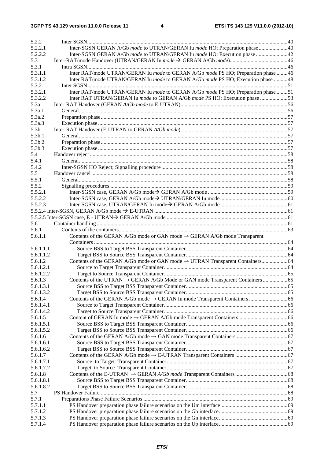| 5.2.2              |                                                                                       |  |  |  |  |
|--------------------|---------------------------------------------------------------------------------------|--|--|--|--|
| 5.2.2.1            | Inter-SGSN GERAN A/Gb mode to UTRAN/GERAN Iu mode HO; Preparation phase 40            |  |  |  |  |
| 5.2.2.2            | Inter-SGSN GERAN A/Gb mode to UTRAN/GERAN Iu mode HO; Execution phase 42              |  |  |  |  |
| 5.3                |                                                                                       |  |  |  |  |
| 5.3.1              |                                                                                       |  |  |  |  |
| 5.3.1.1            | Inter RAT/mode UTRAN/GERAN Iu mode to GERAN A/Gb mode PS HO; Preparation phase 46     |  |  |  |  |
| 5.3.1.2            | Inter RAT/mode UTRAN/GERAN Iu mode to GERAN A/Gb mode PS HO; Execution phase 48       |  |  |  |  |
| 5.3.2              |                                                                                       |  |  |  |  |
| 5.3.2.1            | Inter RAT/mode UTRAN/GERAN Iu mode to GERAN A/Gb mode PS HO; Preparation phase 51     |  |  |  |  |
| 5.3.2.2            | Inter RAT UTRAN/GERAN Iu mode to GERAN A/Gb mode PS HO; Execution phase 53            |  |  |  |  |
| 5.3a               |                                                                                       |  |  |  |  |
| 5.3a.1             |                                                                                       |  |  |  |  |
| 5.3a.2             |                                                                                       |  |  |  |  |
| 5.3a.3             |                                                                                       |  |  |  |  |
| 5.3 <sub>b</sub>   |                                                                                       |  |  |  |  |
| 5.3 <sub>b.1</sub> |                                                                                       |  |  |  |  |
| 5.3 <sub>b.2</sub> |                                                                                       |  |  |  |  |
| 5.3 <sub>b.3</sub> |                                                                                       |  |  |  |  |
| 5.4                |                                                                                       |  |  |  |  |
| 5.4.1              |                                                                                       |  |  |  |  |
| 5.4.2              |                                                                                       |  |  |  |  |
| 5.5                |                                                                                       |  |  |  |  |
| 5.5.1              |                                                                                       |  |  |  |  |
| 5.5.2              |                                                                                       |  |  |  |  |
| 5.5.2.1            |                                                                                       |  |  |  |  |
| 5.5.2.2            |                                                                                       |  |  |  |  |
| 5.5.2.3            |                                                                                       |  |  |  |  |
|                    |                                                                                       |  |  |  |  |
|                    |                                                                                       |  |  |  |  |
| 5.6                |                                                                                       |  |  |  |  |
| 5.6.1              |                                                                                       |  |  |  |  |
| 5.6.1.1            | Contents of the GERAN A/Gb mode or GAN mode $\rightarrow$ GERAN A/Gb mode Transparent |  |  |  |  |
|                    |                                                                                       |  |  |  |  |
| 5.6.1.1.1          |                                                                                       |  |  |  |  |
| 5.6.1.1.2          |                                                                                       |  |  |  |  |
| 5.6.1.2            |                                                                                       |  |  |  |  |
| 5.6.1.2.1          |                                                                                       |  |  |  |  |
| 5.6.1.2.2          |                                                                                       |  |  |  |  |
| 5.6.1.3            |                                                                                       |  |  |  |  |
| 5.6.1.3.1          |                                                                                       |  |  |  |  |
| 5.6.1.3.2          |                                                                                       |  |  |  |  |
| 5.6.1.4            |                                                                                       |  |  |  |  |
| 5.6.1.4.1          |                                                                                       |  |  |  |  |
| 5.6.1.4.2          |                                                                                       |  |  |  |  |
| 5.6.1.5            |                                                                                       |  |  |  |  |
| 5.6.1.5.1          |                                                                                       |  |  |  |  |
| 5.6.1.5.2          |                                                                                       |  |  |  |  |
| 5.6.1.6            |                                                                                       |  |  |  |  |
| 5.6.1.6.1          |                                                                                       |  |  |  |  |
| 5.6.1.6.2          |                                                                                       |  |  |  |  |
| 5.6.1.7            |                                                                                       |  |  |  |  |
| 5.6.1.7.1          |                                                                                       |  |  |  |  |
| 5.6.1.7.2          |                                                                                       |  |  |  |  |
| 5.6.1.8            |                                                                                       |  |  |  |  |
| 5.6.1.8.1          |                                                                                       |  |  |  |  |
| 5.6.1.8.2          |                                                                                       |  |  |  |  |
| 5.7                |                                                                                       |  |  |  |  |
| 5.7.1              |                                                                                       |  |  |  |  |
| 5.7.1.1            |                                                                                       |  |  |  |  |
| 5.7.1.2            |                                                                                       |  |  |  |  |
| 5.7.1.3            |                                                                                       |  |  |  |  |
| 5.7.1.4            |                                                                                       |  |  |  |  |
|                    |                                                                                       |  |  |  |  |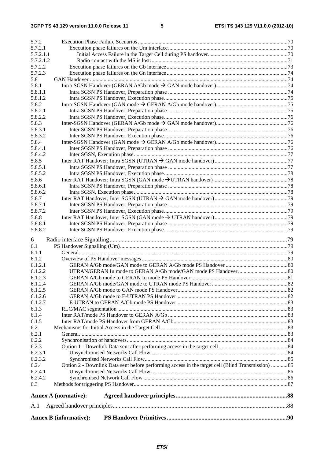| 5.7.2            |                                                                                                   |  |  |
|------------------|---------------------------------------------------------------------------------------------------|--|--|
| 5.7.2.1          |                                                                                                   |  |  |
| 5.7.2.1.1        |                                                                                                   |  |  |
| 5.7.2.1.2        |                                                                                                   |  |  |
| 5.7.2.2          |                                                                                                   |  |  |
| 5.7.2.3          |                                                                                                   |  |  |
| 5.8              |                                                                                                   |  |  |
| 5.8.1            |                                                                                                   |  |  |
| 5.8.1.1          |                                                                                                   |  |  |
| 5.8.1.2          |                                                                                                   |  |  |
| 5.8.2            |                                                                                                   |  |  |
| 5.8.2.1          |                                                                                                   |  |  |
| 5.8.2.2          |                                                                                                   |  |  |
| 5.8.3            |                                                                                                   |  |  |
| 5.8.3.1          |                                                                                                   |  |  |
| 5.8.3.2          |                                                                                                   |  |  |
| 5.8.4            |                                                                                                   |  |  |
| 5.8.4.1          |                                                                                                   |  |  |
| 5.8.4.2          |                                                                                                   |  |  |
| 5.8.5            |                                                                                                   |  |  |
| 5.8.5.1          |                                                                                                   |  |  |
| 5.8.5.2          |                                                                                                   |  |  |
| 5.8.6            |                                                                                                   |  |  |
| 5.8.6.1          |                                                                                                   |  |  |
| 5.8.6.2<br>5.8.7 |                                                                                                   |  |  |
| 5.8.7.1          |                                                                                                   |  |  |
| 5.8.7.2          |                                                                                                   |  |  |
| 5.8.8            |                                                                                                   |  |  |
| 5.8.8.1          |                                                                                                   |  |  |
| 5.8.8.2          |                                                                                                   |  |  |
|                  |                                                                                                   |  |  |
| 6                |                                                                                                   |  |  |
| 6.1              |                                                                                                   |  |  |
| 6.1.1            |                                                                                                   |  |  |
| 6.1.2            |                                                                                                   |  |  |
| 6.1.2.1          |                                                                                                   |  |  |
| 6.1.2.2          |                                                                                                   |  |  |
| 6.1.2.3          |                                                                                                   |  |  |
| 6.1.2.4          |                                                                                                   |  |  |
| 6.1.2.5          |                                                                                                   |  |  |
| 6.1.2.6          |                                                                                                   |  |  |
| 6.1.2.7          |                                                                                                   |  |  |
| 6.1.3            |                                                                                                   |  |  |
| 6.1.4            |                                                                                                   |  |  |
| 6.1.5            |                                                                                                   |  |  |
| 6.2              |                                                                                                   |  |  |
| 6.2.1            |                                                                                                   |  |  |
| 6.2.2            |                                                                                                   |  |  |
| 6.2.3<br>6.2.3.1 |                                                                                                   |  |  |
| 6.2.3.2          |                                                                                                   |  |  |
| 6.2.4            | Option 2 - Downlink Data sent before performing access in the target cell (Blind Transmission) 85 |  |  |
| 6.2.4.1          |                                                                                                   |  |  |
| 6.2.4.2          |                                                                                                   |  |  |
| 6.3              |                                                                                                   |  |  |
|                  |                                                                                                   |  |  |
|                  | <b>Annex A (normative):</b>                                                                       |  |  |
| A.1              |                                                                                                   |  |  |
|                  | <b>Annex B</b> (informative):                                                                     |  |  |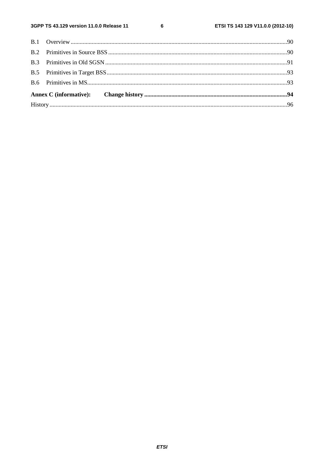$\bf 6$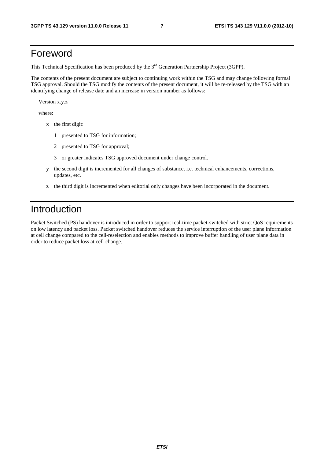## Foreword

This Technical Specification has been produced by the 3<sup>rd</sup> Generation Partnership Project (3GPP).

The contents of the present document are subject to continuing work within the TSG and may change following formal TSG approval. Should the TSG modify the contents of the present document, it will be re-released by the TSG with an identifying change of release date and an increase in version number as follows:

Version x.y.z

where:

- x the first digit:
	- 1 presented to TSG for information;
	- 2 presented to TSG for approval;
	- 3 or greater indicates TSG approved document under change control.
- y the second digit is incremented for all changes of substance, i.e. technical enhancements, corrections, updates, etc.
- z the third digit is incremented when editorial only changes have been incorporated in the document.

## Introduction

Packet Switched (PS) handover is introduced in order to support real-time packet-switched with strict QoS requirements on low latency and packet loss. Packet switched handover reduces the service interruption of the user plane information at cell change compared to the cell-reselection and enables methods to improve buffer handling of user plane data in order to reduce packet loss at cell-change.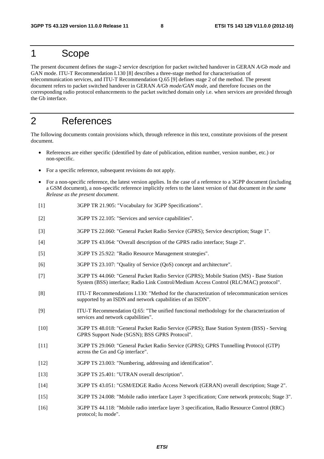## 1 Scope

The present document defines the stage-2 service description for packet switched handover in GERAN *A/Gb mode* and GAN mode. ITU-T Recommendation I.130 [8] describes a three-stage method for characterisation of telecommunication services, and ITU-T Recommendation Q.65 [9] defines stage 2 of the method. The present document refers to packet switched handover in GERAN *A/Gb mode/GAN mode*, and therefore focuses on the corresponding radio protocol enhancements to the packet switched domain only i.e. when services are provided through the Gb interface.

## 2 References

The following documents contain provisions which, through reference in this text, constitute provisions of the present document.

- References are either specific (identified by date of publication, edition number, version number, etc.) or non-specific.
- For a specific reference, subsequent revisions do not apply.
- For a non-specific reference, the latest version applies. In the case of a reference to a 3GPP document (including a GSM document), a non-specific reference implicitly refers to the latest version of that document *in the same Release as the present document*.
- [1] 3GPP TR 21.905: "Vocabulary for 3GPP Specifications".
- [2] 3GPP TS 22.105: "Services and service capabilities".
- [3] 3GPP TS 22.060: "General Packet Radio Service (GPRS); Service description; Stage 1".
- [4] 3GPP TS 43.064: "Overall description of the GPRS radio interface; Stage 2".
- [5] 3GPP TS 25.922: "Radio Resource Management strategies".
- [6] 3GPP TS 23.107: "Quality of Service (QoS) concept and architecture".
- [7] 3GPP TS 44.060: "General Packet Radio Service (GPRS); Mobile Station (MS) Base Station System (BSS) interface; Radio Link Control/Medium Access Control (RLC/MAC) protocol".
- [8] ITU-T Recommendations I.130: "Method for the characterization of telecommunication services supported by an ISDN and network capabilities of an ISDN".
- [9] ITU-T Recommendation Q.65: "The unified functional methodology for the characterization of services and network capabilities".
- [10] 3GPP TS 48.018: "General Packet Radio Service (GPRS); Base Station System (BSS) Serving GPRS Support Node (SGSN); BSS GPRS Protocol".
- [11] 3GPP TS 29.060: "General Packet Radio Service (GPRS); GPRS Tunnelling Protocol (GTP) across the Gn and Gp interface".
- [12] 3GPP TS 23.003: "Numbering, addressing and identification".
- [13] 3GPP TS 25.401: "UTRAN overall description".
- [14] 3GPP TS 43.051: "GSM/EDGE Radio Access Network (GERAN) overall description; Stage 2".
- [15] 3GPP TS 24.008: "Mobile radio interface Layer 3 specification; Core network protocols; Stage 3".
- [16] 3GPP TS 44.118: "Mobile radio interface layer 3 specification, Radio Resource Control (RRC) protocol; Iu mode".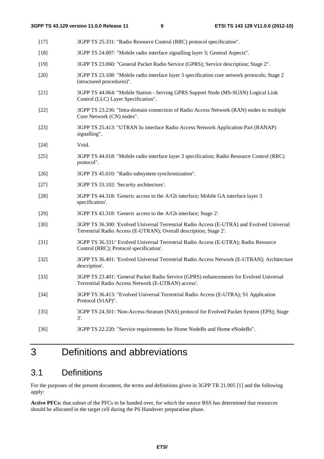| $[17]$ | 3GPP TS 25.331: "Radio Resource Control (RRC) protocol specification".                                                                                           |
|--------|------------------------------------------------------------------------------------------------------------------------------------------------------------------|
| $[18]$ | 3GPP TS 24.007: "Mobile radio interface signalling layer 3; General Aspects".                                                                                    |
| $[19]$ | 3GPP TS 23.060: "General Packet Radio Service (GPRS); Service description; Stage 2".                                                                             |
| $[20]$ | 3GPP TS 23.108: "Mobile radio interface layer 3 specification core network protocols; Stage 2<br>(structured procedures)".                                       |
| $[21]$ | 3GPP TS 44.064: "Mobile Station - Serving GPRS Support Node (MS-SGSN) Logical Link<br>Control (LLC) Layer Specification".                                        |
| $[22]$ | 3GPP TS 23.236: "Intra-domain connection of Radio Access Network (RAN) nodes to multiple<br>Core Network (CN) nodes".                                            |
| $[23]$ | 3GPP TS 25.413: "UTRAN Iu interface Radio Access Network Application Part (RANAP)<br>signalling".                                                                |
| $[24]$ | Void.                                                                                                                                                            |
| $[25]$ | 3GPP TS 44.018: "Mobile radio interface layer 3 specification; Radio Resource Control (RRC)<br>protocol".                                                        |
| $[26]$ | 3GPP TS 45.010: "Radio subsystem synchronization".                                                                                                               |
| $[27]$ | 3GPP TS 33.102: 'Security architecture'.                                                                                                                         |
| $[28]$ | 3GPP TS 44.318: 'Generic access to the A/Gb interface; Mobile GA interface layer 3<br>specification'.                                                            |
| $[29]$ | 3GPP TS 43.318: 'Generic access to the A/Gb interface; Stage 2'.                                                                                                 |
| $[30]$ | 3GPP TS 36.300: 'Evolved Universal Terrestrial Radio Access (E-UTRA) and Evolved Universal<br>Terrestrial Radio Access (E-UTRAN); Overall description; Stage 2'. |
| $[31]$ | 3GPP TS 36.331:' Evolved Universal Terrestrial Radio Access (E-UTRA); Radio Resource<br>Control (RRC); Protocol specification'.                                  |
| $[32]$ | 3GPP TS 36.401: 'Evolved Universal Terrestrial Radio Access Network (E-UTRAN); Architecture<br>description'.                                                     |
| $[33]$ | 3GPP TS 23.401: 'General Packet Radio Service (GPRS) enhancements for Evolved Universal<br>Terrestrial Radio Access Network (E-UTRAN) access'.                   |
| $[34]$ | 3GPP TS 36.413: "Evolved Universal Terrestrial Radio Access (E-UTRA); S1 Application<br>Protocol (S1AP)".                                                        |
| $[35]$ | 3GPP TS 24.301: 'Non-Access-Stratum (NAS) protocol for Evolved Packet System (EPS); Stage<br>3'.                                                                 |
| $[36]$ | 3GPP TS 22.220: "Service requirements for Home NodeBs and Home eNodeBs".                                                                                         |
|        |                                                                                                                                                                  |

## 3 Definitions and abbreviations

## 3.1 Definitions

For the purposes of the present document, the terms and definitions given in 3GPP TR 21.905 [1] and the following apply:

**Active PFCs:** that subset of the PFCs to be handed over, for which the source BSS has determined that resources should be allocated in the target cell during the PS Handover preparation phase.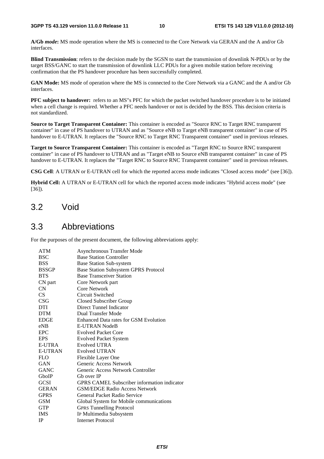**A/Gb** *mode***:** MS mode operation where the MS is connected to the Core Network via GERAN and the A and/or Gb interfaces.

**Blind Transmission**: refers to the decision made by the SGSN to start the transmission of downlink N-PDUs or by the target BSS/GANC to start the transmission of downlink LLC PDUs for a given mobile station before receiving confirmation that the PS handover procedure has been successfully completed.

**GAN Mode:** MS mode of operation where the MS is connected to the Core Network via a GANC and the A and/or Gb interfaces.

**PFC subject to handover:** refers to an MS"s PFC for which the packet switched handover procedure is to be initiated when a cell change is required. Whether a PFC needs handover or not is decided by the BSS. This decision criteria is not standardized.

**Source to Target Transparent Container:** This container is encoded as "Source RNC to Target RNC transparent container" in case of PS handover to UTRAN and as "Source eNB to Target eNB transparent container" in case of PS handover to E-UTRAN. It replaces the "Source RNC to Target RNC Transparent container" used in previous releases.

**Target to Source Transparent Container:** This container is encoded as "Target RNC to Source RNC transparent container" in case of PS handover to UTRAN and as "Target eNB to Source eNB transparent container" in case of PS handover to E-UTRAN. It replaces the "Target RNC to Source RNC Transparent container" used in previous releases.

**CSG Cell**: A UTRAN or E-UTRAN cell for which the reported access mode indicates "Closed access mode" (see [36]).

**Hybrid Cell:** A UTRAN or E-UTRAN cell for which the reported access mode indicates "Hybrid access mode" (see [36]).

## 3.2 Void

## 3.3 Abbreviations

For the purposes of the present document, the following abbreviations apply:

| ATM            | <b>Asynchronous Transfer Mode</b>                  |
|----------------|----------------------------------------------------|
| BSC            | <b>Base Station Controller</b>                     |
| <b>BSS</b>     | <b>Base Station Sub-system</b>                     |
| <b>BSSGP</b>   | <b>Base Station Subsystem GPRS Protocol</b>        |
| <b>BTS</b>     | <b>Base Transceiver Station</b>                    |
| CN part        | Core Network part                                  |
| CN             | Core Network                                       |
| CS             | Circuit Switched                                   |
| CSG            | Closed Subscriber Group                            |
| <b>DTI</b>     | Direct Tunnel Indicator                            |
| <b>DTM</b>     | Dual Transfer Mode                                 |
| <b>EDGE</b>    | Enhanced Data rates for GSM Evolution              |
| eNB            | E-UTRAN NodeB                                      |
| EPC            | <b>Evolved Packet Core</b>                         |
| <b>EPS</b>     | <b>Evolved Packet System</b>                       |
| <b>E-UTRA</b>  | Evolved UTRA                                       |
| <b>E-UTRAN</b> | Evolved UTRAN                                      |
| <b>FLO</b>     | Flexible Layer One                                 |
| <b>GAN</b>     | Generic Access Network                             |
| <b>GANC</b>    | Generic Access Network Controller                  |
| GboIP          | Gb over IP                                         |
| <b>GCSI</b>    | <b>GPRS CAMEL Subscriber information indicator</b> |
| <b>GERAN</b>   | <b>GSM/EDGE Radio Access Network</b>               |
| <b>GPRS</b>    | General Packet Radio Service                       |
| <b>GSM</b>     | Global System for Mobile communications            |
| <b>GTP</b>     | <b>GPRS Tunnelling Protocol</b>                    |
| <b>IMS</b>     | IP Multimedia Subsystem                            |
| IP             | <b>Internet Protocol</b>                           |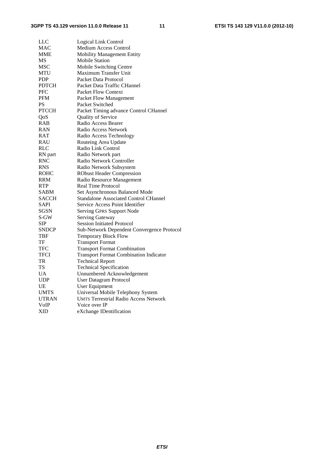| LLC          | Logical Link Control                          |  |
|--------------|-----------------------------------------------|--|
| MAC          | <b>Medium Access Control</b>                  |  |
| <b>MME</b>   | <b>Mobility Management Entity</b>             |  |
| MS           | <b>Mobile Station</b>                         |  |
| <b>MSC</b>   | Mobile Switching Centre                       |  |
| <b>MTU</b>   | Maximum Transfer Unit                         |  |
| <b>PDP</b>   | Packet Data Protocol                          |  |
| <b>PDTCH</b> | Packet Data Traffic CHannel                   |  |
| <b>PFC</b>   | <b>Packet Flow Context</b>                    |  |
| <b>PFM</b>   | Packet Flow Management                        |  |
| <b>PS</b>    | Packet Switched                               |  |
| <b>PTCCH</b> | Packet Timing advance Control CHannel         |  |
| QoS          | Quality of Service                            |  |
| RAB          | Radio Access Bearer                           |  |
| <b>RAN</b>   | Radio Access Network                          |  |
| RAT          | Radio Access Technology                       |  |
| RAU          | Routeing Area Update                          |  |
| <b>RLC</b>   | Radio Link Control                            |  |
| RN part      | Radio Network part                            |  |
| <b>RNC</b>   | Radio Network Controller                      |  |
| <b>RNS</b>   | Radio Network Subsystem                       |  |
| <b>ROHC</b>  | <b>RObust Header Compression</b>              |  |
| <b>RRM</b>   | Radio Resource Management                     |  |
| <b>RTP</b>   | <b>Real Time Protocol</b>                     |  |
| <b>SABM</b>  | Set Asynchronous Balanced Mode                |  |
| <b>SACCH</b> | <b>Standalone Associated Control CHannel</b>  |  |
| SAPI         | Service Access Point Identifier               |  |
| SGSN         | <b>Serving GPRS Support Node</b>              |  |
| S-GW         | Serving Gateway                               |  |
| SIP          | <b>Session Initiated Protocol</b>             |  |
| <b>SNDCP</b> | Sub-Network Dependent Convergence Protocol    |  |
| TBF          | <b>Temporary Block Flow</b>                   |  |
| TF           | <b>Transport Format</b>                       |  |
| TFC          | <b>Transport Format Combination</b>           |  |
| <b>TFCI</b>  | <b>Transport Format Combination Indicator</b> |  |
| TR           | <b>Technical Report</b>                       |  |
| <b>TS</b>    | <b>Technical Specification</b>                |  |
| <b>UA</b>    | Unnumbered Acknowledgement                    |  |
| <b>UDP</b>   | <b>User Datagram Protocol</b>                 |  |
| UE           | User Equipment                                |  |
| <b>UMTS</b>  | Universal Mobile Telephony System             |  |
| <b>UTRAN</b> | <b>UMTS Terrestrial Radio Access Network</b>  |  |
| VoIP         | Voice over IP                                 |  |
| XID          | eXchange IDentification                       |  |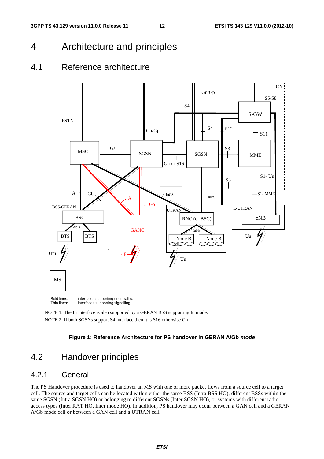4 Architecture and principles

## 4.1 Reference architecture



NOTE 1: The Iu interface is also supported by a GERAN BSS supporting Iu mode. NOTE 2: If both SGSNs support S4 interface then it is S16 otherwise Gn

#### **Figure 1: Reference Architecture for PS handover in GERAN A/Gb** *mode*

## 4.2 Handover principles

## 4.2.1 General

The PS Handover procedure is used to handover an MS with one or more packet flows from a source cell to a target cell. The source and target cells can be located within either the same BSS (Intra BSS HO), different BSSs within the same SGSN (Intra SGSN HO) or belonging to different SGSNs (Inter SGSN HO), or systems with different radio access types (Inter RAT HO, Inter mode HO). In addition, PS handover may occur between a GAN cell and a GERAN A/Gb mode cell or between a GAN cell and a UTRAN cell.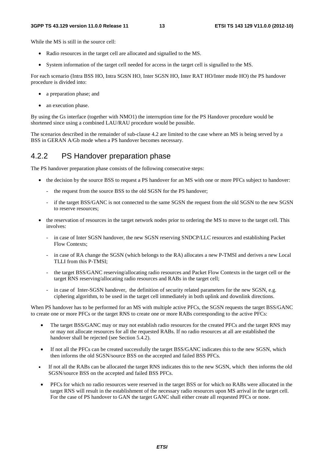#### **3GPP TS 43.129 version 11.0.0 Release 11 13 ETSI TS 143 129 V11.0.0 (2012-10)**

While the MS is still in the source cell:

- Radio resources in the target cell are allocated and signalled to the MS.
- System information of the target cell needed for access in the target cell is signalled to the MS.

For each scenario (Intra BSS HO, Intra SGSN HO, Inter SGSN HO, Inter RAT HO/Inter mode HO) the PS handover procedure is divided into:

- a preparation phase; and
- an execution phase.

By using the Gs interface (together with NMO1) the interruption time for the PS Handover procedure would be shortened since using a combined LAU/RAU procedure would be possible.

The scenarios described in the remainder of sub-clause 4.2 are limited to the case where an MS is being served by a BSS in GERAN A/Gb mode when a PS handover becomes necessary.

## 4.2.2 PS Handover preparation phase

The PS handover preparation phase consists of the following consecutive steps:

- the decision by the source BSS to request a PS handover for an MS with one or more PFCs subject to handover:
	- the request from the source BSS to the old SGSN for the PS handover;
	- if the target BSS/GANC is not connected to the same SGSN the request from the old SGSN to the new SGSN to reserve resources;
- the reservation of resources in the target network nodes prior to ordering the MS to move to the target cell. This involves:
	- in case of Inter SGSN handover, the new SGSN reserving SNDCP/LLC resources and establishing Packet Flow Contexts;
	- in case of RA change the SGSN (which belongs to the RA) allocates a new P-TMSI and derives a new Local TLLI from this P-TMSI;
	- the target BSS/GANC reserving/allocating radio resources and Packet Flow Contexts in the target cell or the target RNS reserving/allocating radio resources and RABs in the target cell;
	- in case of Inter-SGSN handover, the definition of security related parameters for the new SGSN, e.g. ciphering algorithm, to be used in the target cell immediately in both uplink and downlink directions.

When PS handover has to be performed for an MS with multiple active PFCs, the SGSN requests the target BSS/GANC to create one or more PFCs or the target RNS to create one or more RABs corresponding to the active PFCs:

- The target BSS/GANC may or may not establish radio resources for the created PFCs and the target RNS may or may not allocate resources for all the requested RABs. If no radio resources at all are established the handover shall be rejected (see Section 5.4.2).
- If not all the PFCs can be created successfully the target BSS/GANC indicates this to the new SGSN, which then informs the old SGSN/source BSS on the accepted and failed BSS PFCs.
- If not all the RABs can be allocated the target RNS indicates this to the new SGSN, which then informs the old SGSN/source BSS on the accepted and failed BSS PFCs.
- PFCs for which no radio resources were reserved in the target BSS or for which no RABs were allocated in the target RNS will result in the establishment of the necessary radio resources upon MS arrival in the target cell. For the case of PS handover to GAN the target GANC shall either create all requested PFCs or none.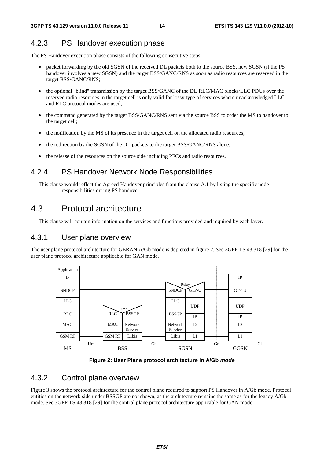### 4.2.3 PS Handover execution phase

The PS Handover execution phase consists of the following consecutive steps:

- packet forwarding by the old SGSN of the received DL packets both to the source BSS, new SGSN (if the PS handover involves a new SGSN) and the target BSS/GANC/RNS as soon as radio resources are reserved in the target BSS/GANC/RNS;
- the optional "blind" transmission by the target BSS/GANC of the DL RLC/MAC blocks/LLC PDUs over the reserved radio resources in the target cell is only valid for lossy type of services where unacknowledged LLC and RLC protocol modes are used;
- the command generated by the target BSS/GANC/RNS sent via the source BSS to order the MS to handover to the target cell;
- the notification by the MS of its presence in the target cell on the allocated radio resources;
- the redirection by the SGSN of the DL packets to the target BSS/GANC/RNS alone;
- the release of the resources on the source side including PFCs and radio resources.

### 4.2.4 PS Handover Network Node Responsibilities

This clause would reflect the Agreed Handover principles from the clause A.1 by listing the specific node responsibilities during PS handover.

## 4.3 Protocol architecture

This clause will contain information on the services and functions provided and required by each layer.

### 4.3.1 User plane overview

The user plane protocol architecture for GERAN A/Gb mode is depicted in figure 2. See 3GPP TS 43.318 [29] for the user plane protocol architecture applicable for GAN mode.





## 4.3.2 Control plane overview

Figure 3 shows the protocol architecture for the control plane required to support PS Handover in A/Gb mode. Protocol entities on the network side under BSSGP are not shown, as the architecture remains the same as for the legacy A/Gb mode. See 3GPP TS 43.318 [29] for the control plane protocol architecture applicable for GAN mode.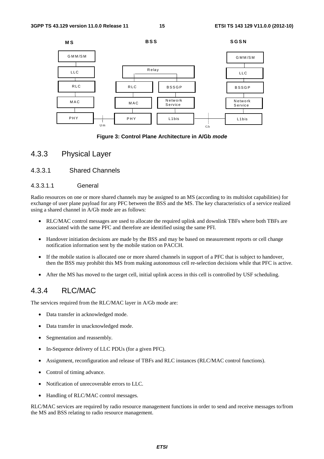

**Figure 3: Control Plane Architecture in A/Gb** *mode*

### 4.3.3 Physical Layer

#### 4.3.3.1 Shared Channels

#### 4.3.3.1.1 General

Radio resources on one or more shared channels may be assigned to an MS (according to its multislot capabilities) for exchange of user plane payload for any PFC between the BSS and the MS. The key characteristics of a service realized using a shared channel in A/Gb mode are as follows:

- RLC/MAC control messages are used to allocate the required uplink and downlink TBFs where both TBFs are associated with the same PFC and therefore are identified using the same PFI.
- Handover initiation decisions are made by the BSS and may be based on measurement reports or cell change notification information sent by the mobile station on PACCH.
- If the mobile station is allocated one or more shared channels in support of a PFC that is subject to handover, then the BSS may prohibit this MS from making autonomous cell re-selection decisions while that PFC is active.
- After the MS has moved to the target cell, initial uplink access in this cell is controlled by USF scheduling.

### 4.3.4 RLC/MAC

The services required from the RLC/MAC layer in A/Gb mode are:

- Data transfer in acknowledged mode.
- Data transfer in unacknowledged mode.
- Segmentation and reassembly.
- In-Sequence delivery of LLC PDUs (for a given PFC).
- Assignment, reconfiguration and release of TBFs and RLC instances (RLC/MAC control functions).
- Control of timing advance.
- Notification of unrecoverable errors to LLC.
- Handling of RLC/MAC control messages.

RLC/MAC services are required by radio resource management functions in order to send and receive messages to/from the MS and BSS relating to radio resource management.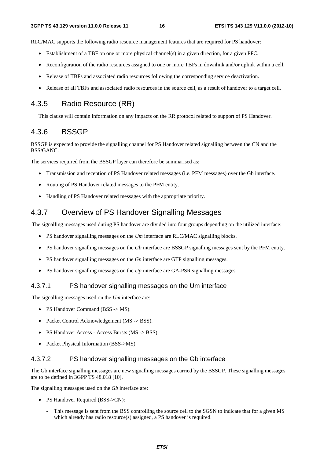RLC/MAC supports the following radio resource management features that are required for PS handover:

- Establishment of a TBF on one or more physical channel(s) in a given direction, for a given PFC.
- Reconfiguration of the radio resources assigned to one or more TBFs in downlink and/or uplink within a cell.
- Release of TBFs and associated radio resources following the corresponding service deactivation.
- Release of all TBFs and associated radio resources in the source cell, as a result of handover to a target cell.

### 4.3.5 Radio Resource (RR)

This clause will contain information on any impacts on the RR protocol related to support of PS Handover.

### 4.3.6 BSSGP

BSSGP is expected to provide the signalling channel for PS Handover related signalling between the CN and the BSS/GANC.

The services required from the BSSGP layer can therefore be summarised as:

- Transmission and reception of PS Handover related messages (i.e. PFM messages) over the Gb interface.
- Routing of PS Handover related messages to the PFM entity.
- Handling of PS Handover related messages with the appropriate priority.

## 4.3.7 Overview of PS Handover Signalling Messages

The signalling messages used during PS handover are divided into four groups depending on the utilized interface:

- PS handover signalling messages on the *Um* interface are RLC/MAC signalling blocks.
- PS handover signalling messages on the *Gb* interface are BSSGP signalling messages sent by the PFM entity.
- PS handover signalling messages on the *Gn* interface are GTP signalling messages.
- PS handover signalling messages on the *Up* interface are GA-PSR signalling messages.

### 4.3.7.1 PS handover signalling messages on the Um interface

The signalling messages used on the *Um* interface are:

- PS Handover Command (BSS -> MS).
- Packet Control Acknowledgement (MS -> BSS).
- PS Handover Access Access Bursts (MS -> BSS).
- Packet Physical Information (BSS->MS).

### 4.3.7.2 PS handover signalling messages on the Gb interface

The Gb interface signalling messages are new signalling messages carried by the BSSGP. These signalling messages are to be defined in 3GPP TS 48.018 [10].

The signalling messages used on the *Gb* interface are:

- PS Handover Required (BSS->CN):
	- This message is sent from the BSS controlling the source cell to the SGSN to indicate that for a given MS which already has radio resource(s) assigned, a PS handover is required.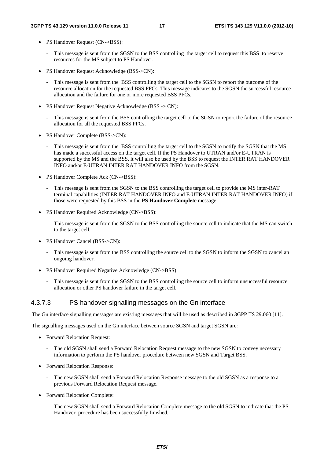- PS Handover Request (CN->BSS):
	- This message is sent from the SGSN to the BSS controlling the target cell to request this BSS to reserve resources for the MS subject to PS Handover.
- PS Handover Request Acknowledge (BSS->CN):
	- This message is sent from the BSS controlling the target cell to the SGSN to report the outcome of the resource allocation for the requested BSS PFCs. This message indicates to the SGSN the successful resource allocation and the failure for one or more requested BSS PFCs.
- PS Handover Request Negative Acknowledge (BSS -> CN):
	- This message is sent from the BSS controlling the target cell to the SGSN to report the failure of the resource allocation for all the requested BSS PFCs.
- PS Handover Complete (BSS->CN):
	- This message is sent from the BSS controlling the target cell to the SGSN to notify the SGSN that the MS has made a successful access on the target cell. If the PS Handover to UTRAN and/or E-UTRAN is supported by the MS and the BSS, it will also be used by the BSS to request the INTER RAT HANDOVER INFO and/or E-UTRAN INTER RAT HANDOVER INFO from the SGSN.
- PS Handover Complete Ack (CN->BSS):
	- This message is sent from the SGSN to the BSS controlling the target cell to provide the MS inter-RAT terminal capabilities (INTER RAT HANDOVER INFO and E-UTRAN INTER RAT HANDOVER INFO) if those were requested by this BSS in the **PS Handover Complete** message.
- PS Handover Required Acknowledge (CN->BSS):
	- This message is sent from the SGSN to the BSS controlling the source cell to indicate that the MS can switch to the target cell.
- PS Handover Cancel (BSS->CN):
	- This message is sent from the BSS controlling the source cell to the SGSN to inform the SGSN to cancel an ongoing handover.
- PS Handover Required Negative Acknowledge (CN->BSS):
	- This message is sent from the SGSN to the BSS controlling the source cell to inform unsuccessful resource allocation or other PS handover failure in the target cell.

#### 4.3.7.3 PS handover signalling messages on the Gn interface

The Gn interface signalling messages are existing messages that will be used as described in 3GPP TS 29.060 [11].

The signalling messages used on the Gn interface between source SGSN and target SGSN are:

- Forward Relocation Request:
	- The old SGSN shall send a Forward Relocation Request message to the new SGSN to convey necessary information to perform the PS handover procedure between new SGSN and Target BSS.
- Forward Relocation Response:
	- The new SGSN shall send a Forward Relocation Response message to the old SGSN as a response to a previous Forward Relocation Request message.
- Forward Relocation Complete:
	- The new SGSN shall send a Forward Relocation Complete message to the old SGSN to indicate that the PS Handover procedure has been successfully finished.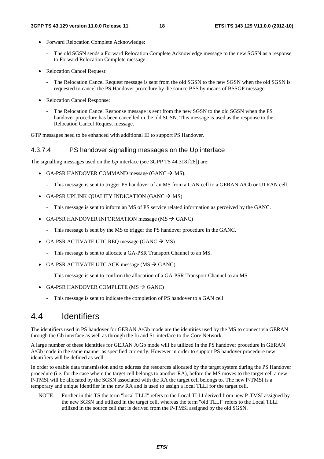- Forward Relocation Complete Acknowledge:
	- The old SGSN sends a Forward Relocation Complete Acknowledge message to the new SGSN as a response to Forward Relocation Complete message.
- Relocation Cancel Request:
	- The Relocation Cancel Request message is sent from the old SGSN to the new SGSN when the old SGSN is requested to cancel the PS Handover procedure by the source BSS by means of BSSGP message.
- Relocation Cancel Response:
	- The Relocation Cancel Response message is sent from the new SGSN to the old SGSN when the PS handover procedure has been cancelled in the old SGSN. This message is used as the response to the Relocation Cancel Request message.

GTP messages need to be enhanced with additional IE to support PS Handover.

#### 4.3.7.4 PS handover signalling messages on the Up interface

The signalling messages used on the *Up* interface (see 3GPP TS 44.318 [28]) are:

- GA-PSR HANDOVER COMMAND message (GANC  $\rightarrow$  MS).
	- This message is sent to trigger PS handover of an MS from a GAN cell to a GERAN A/Gb or UTRAN cell.
- GA-PSR UPLINK QUALITY INDICATION (GANC  $\rightarrow$  MS)
	- This message is sent to inform an MS of PS service related information as perceived by the GANC.
- GA-PSR HANDOVER INFORMATION message (MS  $\rightarrow$  GANC)
	- This message is sent by the MS to trigger the PS handover procedure in the GANC.
- GA-PSR ACTIVATE UTC REQ message (GANC  $\rightarrow$  MS)
	- This message is sent to allocate a GA-PSR Transport Channel to an MS.
- GA-PSR ACTIVATE UTC ACK message (MS  $\rightarrow$  GANC)
	- This message is sent to confirm the allocation of a GA-PSR Transport Channel to an MS.
- GA-PSR HANDOVER COMPLETE (MS  $\rightarrow$  GANC)
	- This message is sent to indicate the completion of PS handover to a GAN cell.

## 4.4 Identifiers

The identifiers used in PS handover for GERAN A/Gb mode are the identities used by the MS to connect via GERAN through the Gb interface as well as through the Iu and S1 interface to the Core Network.

A large number of these identities for GERAN A/Gb mode will be utilized in the PS handover procedure in GERAN A/Gb mode in the same manner as specified currently. However in order to support PS handover procedure new identifiers will be defined as well.

In order to enable data transmission and to address the resources allocated by the target system during the PS Handover procedure (i.e. for the case where the target cell belongs to another RA), before the MS moves to the target cell a new P-TMSI will be allocated by the SGSN associated with the RA the target cell belongs to. The new P-TMSI is a temporary and unique identifier in the new RA and is used to assign a local TLLI for the target cell.

NOTE: Further in this TS the term "local TLLI" refers to the Local TLLI derived from new P-TMSI assigned by the new SGSN and utilized in the target cell, whereas the term "old TLLI" refers to the Local TLLI utilized in the source cell that is derived from the P-TMSI assigned by the old SGSN.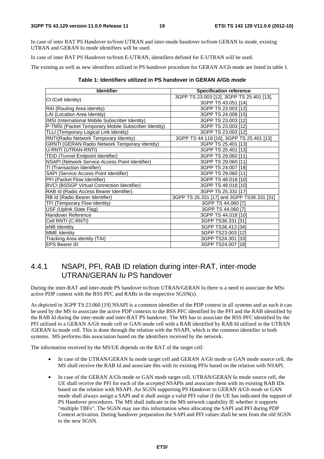In case of inter RAT PS Handover to/from UTRAN and inter-mode handover to/from GERAN Iu mode, existing UTRAN and GERAN Iu mode identifiers will be used.

In case of inter RAT PS Handover to/from E-UTRAN, identifiers defined for E-UTRAN will be used.

The existing as well as new identifiers utilized in PS handover procedure for GERAN A/Gb mode are listed in table 1.

| Table 1: Identifiers utilized in PS handover in GERAN A/Gb <i>mode</i> |  |  |  |  |
|------------------------------------------------------------------------|--|--|--|--|
|------------------------------------------------------------------------|--|--|--|--|

| <b>Identifier</b>                                     | <b>Specification reference</b>             |  |  |
|-------------------------------------------------------|--------------------------------------------|--|--|
| CI (Cell Identity)                                    | 3GPP TS 23.003 [12], 3GPP TS 25.401 [13],  |  |  |
|                                                       | 3GPP TS 43.051 [14]                        |  |  |
| RAI (Routing Area Identity)                           | 3GPP TS 23.003 [12]                        |  |  |
| LAI (Location Area Identity)                          | 3GPP TS 24.008 [15]                        |  |  |
| IMSI (International Mobile Subscriber Identity)       | 3GPP TS 23.003 [12]                        |  |  |
| P-TMSI (Packet Temporary Mobile Subscriber Identity)  | 3GPP TS 23.003 [12]                        |  |  |
| TLLI (Temporary Logical Link Identity)                | 3GPP TS 23.003 [12]                        |  |  |
| RNTI(Radio Network Temporary Identity)                | 3GPP TS 44.118 [16], 3GPP TS 25.401 [13]   |  |  |
| <b>GRNTI (GERAN Radio Network Temporary Identity)</b> | 3GPP TS 25.401 [13]                        |  |  |
| U-RNTI (UTRAN-RNTI)                                   | 3GPP TS 25.401 [13]                        |  |  |
| <b>TEID (Tunnel Endpoint Identifier)</b>              | 3GPP TS 29.060 [11]                        |  |  |
| NSAPI (Network Service Access Point Identifier)       | 3GPP TS 29.060 [11]                        |  |  |
| TI (Transaction Identifier)                           | 3GPP TS 24.007 [18]                        |  |  |
| SAPI (Service Access Point Identifier)                | 3GPP TS 29.060 [11]                        |  |  |
| PFI (Packet Flow Identifier)                          | 3GPP TS 48.018 [10]                        |  |  |
| <b>BVCI (BSSGP Virtual Connection Identifier)</b>     | 3GPP TS 48.018 [10]                        |  |  |
| RAB Id (Radio Access Bearer Identifier)               | 3GPP TS 25.331 [17]                        |  |  |
| RB Id (Radio Bearer Identifier)                       | 3GPP TS 25.331 [17] and 3GPP TS36.331 [31] |  |  |
| TFI (Temporary Flow Identity)                         | 3GPP TS 44.060 [7]                         |  |  |
| USF (Uplink State Flag)                               | 3GPP TS 44.060 [7]                         |  |  |
| <b>Handover Reference</b>                             | 3GPP TS 44.018 [10]                        |  |  |
| Cell RNTI (C-RNTI)                                    | 3GPP TS36.331 [31]                         |  |  |
| eNB Identitiy                                         | 3GPP TS36.413 [34]                         |  |  |
| <b>MME Identity</b>                                   | 3GPP TS23.003 [12]                         |  |  |
| Tracking Area identity (TAI)                          | 3GPP TS24.301 [33]                         |  |  |
| <b>EPS Bearer ID</b>                                  | 3GPP TS24.007 [18]                         |  |  |

## 4.4.1 NSAPI, PFI, RAB ID relation during inter-RAT, inter-mode UTRAN/GERAN *Iu* PS handover

During the inter-RAT and inter-mode PS handover to/from UTRAN/GERAN Iu there is a need to associate the MSs active PDP context with the BSS PFC and RABs in the respective SGSN(s).

As depicted in 3GPP TS 23.060 [19] NSAPI is a common identifier of the PDP context in all systems and as such it can be used by the MS to associate the active PDP contexts to the BSS PFC identified by the PFI and the RAB identified by the RAB Id during the inter-mode and inter-RAT PS handover. The MS has to associate the BSS PFC identified by the PFI utilized in a GERAN A/Gb mode cell or GAN mode cell with a RAB identified by RAB Id utilized in the UTRAN /GERAN Iu mode cell. This is done through the relation with the NSAPI, which is the common identifier in both systems. MS performs this association based on the identifiers received by the network.

The information received by the MS/UE depends on the RAT of the target cell:

- In case of the UTRAN/GERAN Iu mode target cell and GERAN A/Gb mode or GAN mode source cell, the MS shall receive the RAB Id and associate this with its existing PFIs based on the relation with NSAPI.
- In case of the GERAN A/Gb mode or GAN mode target cell, UTRAN/GERAN Iu mode source cell, the UE shall receive the PFI for each of the accepted NSAPIs and associate them with its existing RAB IDs based on the relation with NSAPI. An SGSN supporting PS Handover to GERAN *A/Gb mode* or GAN mode shall always assign a SAPI and it shall assign a valid PFI value if the UE has indicated the support of PS Handover procedures. The MS shall indicate in the MS network capability IE whether it supports "multiple TBFs". The SGSN may use this information when allocating the SAPI and PFI during PDP Context activation. During handover preparation the SAPI and PFI values shall be sent from the old SGSN to the new SGSN.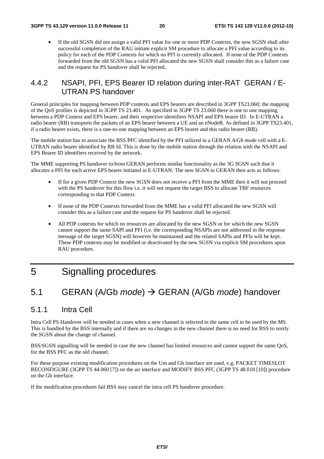• If the old SGSN did not assign a valid PFI value for one or more PDP Contexts, the new SGSN shall after successful completion of the RAU initiate explicit SM procedure to allocate a PFI value according to its policy for each of the PDP Contexts for which no PFI is currently allocated. If none of the PDP Contexts forwarded from the old SGSN has a valid PFI allocated the new SGSN shall consider this as a failure case and the request for PS handover shall be rejected..

## 4.4.2 NSAPI, PFI, EPS Bearer ID relation during inter-RAT GERAN / E-UTRAN PS handover

General principles for mapping between PDP contexts and EPS bearers are described in 3GPP TS23.060; the mapping of the QoS profiles is depicted in 3GPP TS 23.401. As specified in 3GPP TS 23.060 there is one to one mapping between a PDP Context and EPS bearer, and their respective identifiers NSAPI and EPS bearer ID. In E-UTRAN a radio bearer (RB) transports the packets of an EPS bearer between a UE and an eNodeB. As defined in 3GPP TS23.401, if a radio bearer exists, there is a one-to-one mapping between an EPS bearer and this radio bearer (RB).

The mobile station has to associate the BSS PFC identified by the PFI utilized in a GERAN *A/Gb mode* cell with a E-UTRAN radio bearer identified by RB Id. This is done by the mobile station through the relation with the NSAPI and EPS Bearer ID identifiers received by the network.

The MME supporting PS handover to/from GERAN performs similar functionality as the 3G SGSN such that it allocates a PFI for each active EPS bearer initiated in E-UTRAN: The new SGSN in GERAN then acts as follows:

- If for a given PDP Context the new SGSN does not receive a PFI from the MME then it will not proceed with the PS handover for this flow i.e. it will not request the target BSS to allocate TBF resources corresponding to that PDP Context.
- If none of the PDP Contexts forwarded from the MME has a valid PFI allocated the new SGSN will consider this as a failure case and the request for PS handover shall be rejected.
- All PDP contexts for which no resources are allocated by the new SGSN or for which the new SGSN cannot support the same SAPI and PFI (i.e. the corresponding NSAPIs are not addressed in the response message of the target SGSN) will however be maintained and the related SAPIs and PFIs will be kept. These PDP contexts may be modified or deactivated by the new SGSN via explicit SM procedures upon RAU procedure.

## 5 Signalling procedures

## 5.1 GERAN (A/Gb *mode*) → GERAN (A/Gb *mode*) handover

### 5.1.1 Intra Cell

Intra Cell PS Handover will be needed in cases when a new channel is selected in the same cell to be used by the MS. This is handled by the BSS internally and if there are no changes in the new channel there is no need for BSS to notify the SGSN about the change of channel.

BSS/SGSN signalling will be needed in case the new channel has limited resources and cannot support the same QoS, for the BSS PFC as the old channel.

For these purpose existing modification procedures on the Um and Gb interface are used, e.g. PACKET TIMESLOT RECONFIGURE (3GPP TS 44.060 [7]) on the air interface and MODIFY BSS PFC (3GPP TS 48.018 [10]) procedure on the Gb interface.

If the modification procedures fail BSS may cancel the intra cell PS handover procedure.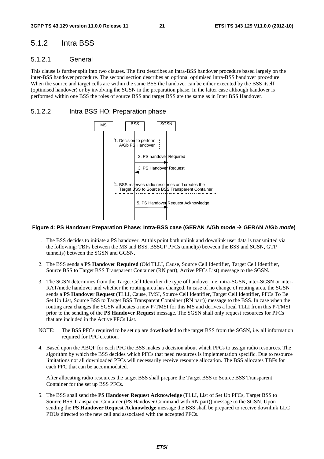### 5.1.2 Intra BSS

#### 5.1.2.1 General

This clause is further split into two clauses. The first describes an intra-BSS handover procedure based largely on the inter-BSS handover procedure. The second section describes an optional optimised intra-BSS handover procedure. When the source and target cells are within the same BSS the handover can be either executed by the BSS itself (optimised handover) or by involving the SGSN in the preparation phase. In the latter case although handover is performed within one BSS the roles of source BSS and target BSS are the same as in Inter BSS Handover.

#### 5.1.2.2 Intra BSS HO; Preparation phase



#### **Figure 4: PS Handover Preparation Phase; Intra-BSS case (GERAN A/Gb** *mode*  **GERAN A/Gb** *mode***)**

- 1. The BSS decides to initiate a PS handover. At this point both uplink and downlink user data is transmitted via the following: TBFs between the MS and BSS, BSSGP PFCs tunnel(s) between the BSS and SGSN, GTP tunnel(s) between the SGSN and GGSN.
- 2. The BSS sends a **PS Handover Required** (Old TLLI, Cause, Source Cell Identifier, Target Cell Identifier, Source BSS to Target BSS Transparent Container (RN part), Active PFCs List) message to the SGSN.
- 3. The SGSN determines from the Target Cell Identifier the type of handover, i.e. intra-SGSN, inter-SGSN or inter-RAT/mode handover and whether the routing area has changed. In case of no change of routing area, the SGSN sends a **PS Handover Request** (TLLI, Cause, IMSI, Source Cell Identifier, Target Cell Identifier, PFCs To Be Set Up List, Source BSS to Target BSS Transparent Container (RN part)) message to the BSS. In case when the routing area changes the SGSN allocates a new P-TMSI for this MS and derives a local TLLI from this P-TMSI prior to the sending of the **PS Handover Request** message. The SGSN shall only request resources for PFCs that are included in the Active PFCs List.
- NOTE: The BSS PFCs required to be set up are downloaded to the target BSS from the SGSN, i.e. all information required for PFC creation.
- 4. Based upon the ABQP for each PFC the BSS makes a decision about which PFCs to assign radio resources. The algorithm by which the BSS decides which PFCs that need resources is implementation specific. Due to resource limitations not all downloaded PFCs will necessarily receive resource allocation. The BSS allocates TBFs for each PFC that can be accommodated.

 After allocating radio resources the target BSS shall prepare the Target BSS to Source BSS Transparent Container for the set up BSS PFCs.

5. The BSS shall send the **PS Handover Request Acknowledge** (TLLI, List of Set Up PFCs, Target BSS to Source BSS Transparent Container (PS Handover Command with RN part)) message to the SGSN. Upon sending the **PS Handover Request Acknowledge** message the BSS shall be prepared to receive downlink LLC PDUs directed to the new cell and associated with the accepted PFCs.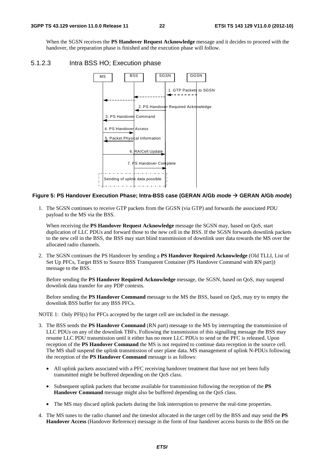When the SGSN receives the **PS Handover Request Acknowledge** message and it decides to proceed with the handover, the preparation phase is finished and the execution phase will follow.

5.1.2.3 Intra BSS HO; Execution phase



#### **Figure 5: PS Handover Execution Phase; Intra-BSS case (GERAN A/Gb** *mode*  **GERAN A/Gb** *mode***)**

1. The SGSN continues to receive GTP packets from the GGSN (via GTP) and forwards the associated PDU payload to the MS via the BSS.

 When receiving the **PS Handover Request Acknowledge** message the SGSN may, based on QoS, start duplication of LLC PDUs and forward those to the new cell in the BSS. If the SGSN forwards downlink packets to the new cell in the BSS, the BSS may start blind transmission of downlink user data towards the MS over the allocated radio channels.

2. The SGSN continues the PS Handover by sending a **PS Handover Required Acknowledge** (Old TLLI, List of Set Up PFCs, Target BSS to Source BSS Transparent Container (PS Handover Command with RN part)) message to the BSS.

 Before sending the **PS Handover Required Acknowledge** message, the SGSN, based on QoS, may suspend downlink data transfer for any PDP contexts.

 Before sending the **PS Handover Command** message to the MS the BSS, based on QoS, may try to empty the downlink BSS buffer for any BSS PFCs.

NOTE 1: Only PFI(s) for PFCs accepted by the target cell are included in the message.

- 3. The BSS sends the **PS Handover Command** (RN part) message to the MS by interrupting the transmission of LLC PDUs on any of the downlink TBFs. Following the transmission of this signalling message the BSS may resume LLC PDU transmission until it either has no more LLC PDUs to send or the PFC is released. Upon reception of the **PS Handover Command** the MS is not required to continue data reception in the source cell. The MS shall suspend the uplink transmission of user plane data. MS management of uplink N-PDUs following the reception of the **PS Handover Command** message is as follows:
	- All uplink packets associated with a PFC receiving handover treatment that have not yet been fully transmitted might be buffered depending on the QoS class.
	- Subsequent uplink packets that become available for transmission following the reception of the **PS Handover Command** message might also be buffered depending on the QoS class.
	- The MS may discard uplink packets during the link interruption to preserve the real-time properties.
- 4. The MS tunes to the radio channel and the timeslot allocated in the target cell by the BSS and may send the **PS Handover Access** (Handover Reference) message in the form of four handover access bursts to the BSS on the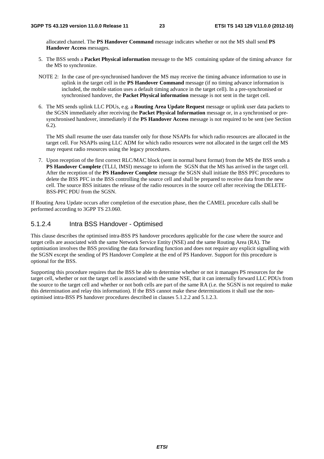allocated channel. The **PS Handover Command** message indicates whether or not the MS shall send **PS Handover Access** messages.

- 5. The BSS sends a **Packet Physical information** message to the MS containing update of the timing advance for the MS to synchronize.
- NOTE 2: In the case of pre-synchronised handover the MS may receive the timing advance information to use in uplink in the target cell in the **PS Handover Command** message (if no timing advance information is included, the mobile station uses a default timing advance in the target cell). In a pre-synchronised or synchronised handover, the **Packet Physical information** message is not sent in the target cell.
- 6. The MS sends uplink LLC PDUs, e.g. a **Routing Area Update Request** message or uplink user data packets to the SGSN immediately after receiving the **Packet Physical Information** message or, in a synchronised or presynchronised handover, immediately if the **PS Handover Access** message is not required to be sent (see Section 6.2).

The MS shall resume the user data transfer only for those NSAPIs for which radio resources are allocated in the target cell. For NSAPIs using LLC ADM for which radio resources were not allocated in the target cell the MS may request radio resources using the legacy procedures.

7. Upon reception of the first correct RLC/MAC block (sent in normal burst format) from the MS the BSS sends a **PS Handover Complete** (TLLI, IMSI) message to inform the SGSN that the MS has arrived in the target cell. After the reception of the **PS Handover Complete** message the SGSN shall initiate the BSS PFC procedures to delete the BSS PFC in the BSS controlling the source cell and shall be prepared to receive data from the new cell. The source BSS initiates the release of the radio resources in the source cell after receiving the DELETE-BSS-PFC PDU from the SGSN.

If Routing Area Update occurs after completion of the execution phase, then the CAMEL procedure calls shall be performed according to 3GPP TS 23.060.

### 5.1.2.4 Intra BSS Handover - Optimised

This clause describes the optimised intra-BSS PS handover procedures applicable for the case where the source and target cells are associated with the same Network Service Entity (NSE) and the same Routing Area (RA). The optimisation involves the BSS providing the data forwarding function and does not require any explicit signalling with the SGSN except the sending of PS Handover Complete at the end of PS Handover. Support for this procedure is optional for the BSS.

Supporting this procedure requires that the BSS be able to determine whether or not it manages PS resources for the target cell, whether or not the target cell is associated with the same NSE, that it can internally forward LLC PDUs from the source to the target cell and whether or not both cells are part of the same RA (i.e. the SGSN is not required to make this determination and relay this information). If the BSS cannot make these determinations it shall use the nonoptimised intra-BSS PS handover procedures described in clauses 5.1.2.2 and 5.1.2.3.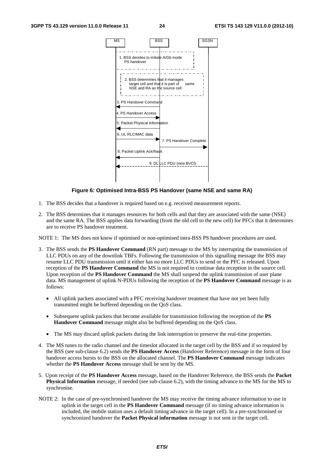

#### **Figure 6: Optimised Intra-BSS PS Handover (same NSE and same RA)**

- 1. The BSS decides that a handover is required based on e.g. received measurement reports.
- 2. The BSS determines that it manages resources for both cells and that they are associated with the same (NSE) and the same RA. The BSS applies data forwarding (from the old cell to the new cell) for PFCs that it determines are to receive PS handover treatment.

NOTE 1: The MS does not know if optimised or non-optimised intra-BSS PS handover procedures are used.

- 3. The BSS sends the **PS Handover Command** (RN part) message to the MS by interrupting the transmission of LLC PDUs on any of the downlink TBFs. Following the transmission of this signalling message the BSS may resume LLC PDU transmission until it either has no more LLC PDUs to send or the PFC is released. Upon reception of the **PS Handover Command** the MS is not required to continue data reception in the source cell. Upon reception of the **PS Handover Command** the MS shall suspend the uplink transmission of user plane data. MS management of uplink N-PDUs following the reception of the **PS Handover Command** message is as follows:
	- All uplink packets associated with a PFC receiving handover treatment that have not yet been fully transmitted might be buffered depending on the QoS class.
	- Subsequent uplink packets that become available for transmission following the reception of the **PS Handover Command** message might also be buffered depending on the QoS class.
	- The MS may discard uplink packets during the link interruption to preserve the real-time properties.
- 4. The MS tunes to the radio channel and the timeslot allocated in the target cell by the BSS and if so required by the BSS (see sub-clause 6.2) sends the **PS Handover Access** (Handover Reference) message in the form of four handover access bursts to the BSS on the allocated channel. The **PS Handover Command** message indicates whether the **PS Handover Access** message shall be sent by the MS.
- 5. Upon receipt of the **PS Handover Access** message, based on the Handover Reference, the BSS sends the **Packet Physical Information** message, if needed (see sub-clause 6.2), with the timing advance to the MS for the MS to synchronise.
- NOTE 2: In the case of pre-synchronised handover the MS may receive the timing advance information to use in uplink in the target cell in the **PS Handover Command** message (if no timing advance information is included, the mobile station uses a default timing advance in the target cell). In a pre-synchronised or synchronized handover the **Packet Physical information** message is not sent in the target cell.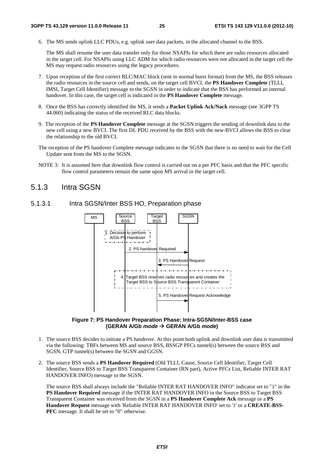6. The MS sends uplink LLC PDUs, e.g. uplink user data packets, in the allocated channel to the BSS.

The MS shall resume the user data transfer only for those NSAPIs for which there are radio resources allocated in the target cell. For NSAPIs using LLC ADM for which radio resources were not allocated in the target cell the MS may request radio resources using the legacy procedures.

- 7. Upon reception of the first correct RLC/MAC block (sent in normal burst format) from the MS, the BSS releases the radio resources in the source cell and sends, on the target cell BVCI, the **PS Handover Complete** (TLLI, IMSI, Target Cell Identifier) message to the SGSN in order to indicate that the BSS has performed an internal handover. In this case, the target cell is indicated in the **PS Handover Complete** message.
- 8. Once the BSS has correctly identified the MS, it sends a **Packet Uplink Ack/Nack** message (see 3GPP TS 44.060) indicating the status of the received RLC data blocks.
- 9. The reception of the **PS Handover Complete** message at the SGSN triggers the sending of downlink data to the new cell using a new BVCI. The first DL PDU received by the BSS with the new-BVCI allows the BSS to clear the relationship to the old BVCI.
- The reception of the PS handover Complete message indicates to the SGSN that there is no need to wait for the Cell Update sent from the MS to the SGSN.
- NOTE 3: It is assumed here that downlink flow control is carried out on a per PFC basis and that the PFC specific flow control parameters remain the same upon MS arrival in the target cell.

### 5.1.3 Intra SGSN



#### 5.1.3.1 Intra SGSN/Inter BSS HO, Preparation phase



- 1. The source BSS decides to initiate a PS handover. At this point both uplink and downlink user data is transmitted via the following: TBFs between MS and source BSS, BSSGP PFCs tunnel(s) between the source BSS and SGSN, GTP tunnel(s) between the SGSN and GGSN.
- 2. The source BSS sends a **PS Handover Required** (Old TLLI, Cause, Source Cell Identifier, Target Cell Identifier, Source BSS to Target BSS Transparent Container (RN part), Active PFCs List, Reliable INTER RAT HANDOVER INFO) message to the SGSN.

The source BSS shall always include the "Reliable INTER RAT HANDOVER INFO" indicator set to "1" in the **PS Handover Required** message if the INTER RAT HANDOVER INFO in the Source BSS to Target BSS Transparent Container was received from the SGSN in a **PS Handover Complete Ack** message or a **PS Handover Request** message with 'Reliable INTER RAT HANDOVER INFO' set to '1' or a **CREATE-BSS-PFC** message. It shall be set to "0" otherwise.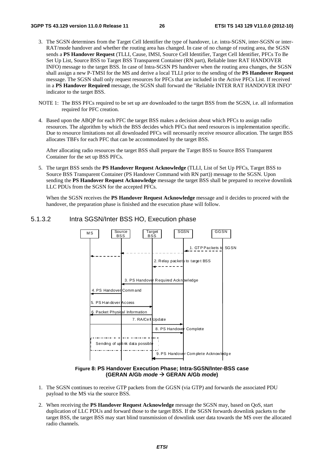- 3. The SGSN determines from the Target Cell Identifier the type of handover, i.e. intra-SGSN, inter-SGSN or inter-RAT/mode handover and whether the routing area has changed. In case of no change of routing area, the SGSN sends a **PS Handover Request** (TLLI, Cause, IMSI, Source Cell Identifier, Target Cell Identifier, PFCs To Be Set Up List, Source BSS to Target BSS Transparent Container (RN part), Reliable Inter RAT HANDOVER INFO) message to the target BSS. In case of Intra-SGSN PS handover when the routing area changes, the SGSN shall assign a new P-TMSI for the MS and derive a local TLLI prior to the sending of the **PS Handover Request**  message. The SGSN shall only request resources for PFCs that are included in the Active PFCs List. If received in a **PS Handover Required** message, the SGSN shall forward the "Reliable INTER RAT HANDOVER INFO" indicator to the target BSS.
- NOTE 1: The BSS PFCs required to be set up are downloaded to the target BSS from the SGSN, i.e. all information required for PFC creation.
- 4. Based upon the ABQP for each PFC the target BSS makes a decision about which PFCs to assign radio resources. The algorithm by which the BSS decides which PFCs that need resources is implementation specific. Due to resource limitations not all downloaded PFCs will necessarily receive resource allocation. The target BSS allocates TBFs for each PFC that can be accommodated by the target BSS.

 After allocating radio resources the target BSS shall prepare the Target BSS to Source BSS Transparent Container for the set up BSS PFCs.

5. The target BSS sends the **PS Handover Request Acknowledge** (TLLI, List of Set Up PFCs, Target BSS to Source BSS Transparent Container (PS Handover Command with RN part)) message to the SGSN. Upon sending the **PS Handover Request Acknowledge** message the target BSS shall be prepared to receive downlink LLC PDUs from the SGSN for the accepted PFCs.

 When the SGSN receives the **PS Handover Request Acknowledge** message and it decides to proceed with the handover, the preparation phase is finished and the execution phase will follow.

#### 5.1.3.2 Intra SGSN/Inter BSS HO, Execution phase



**Figure 8: PS Handover Execution Phase; Intra-SGSN/Inter-BSS case (GERAN A/Gb** *mode*  **GERAN A/Gb** *mode***)** 

- 1. The SGSN continues to receive GTP packets from the GGSN (via GTP) and forwards the associated PDU payload to the MS via the source BSS.
- 2. When receiving the **PS Handover Request Acknowledge** message the SGSN may, based on QoS, start duplication of LLC PDUs and forward those to the target BSS. If the SGSN forwards downlink packets to the target BSS, the target BSS may start blind transmission of downlink user data towards the MS over the allocated radio channels.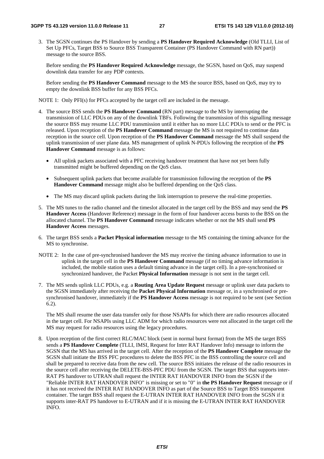3. The SGSN continues the PS Handover by sending a **PS Handover Required Acknowledge** (Old TLLI, List of Set Up PFCs, Target BSS to Source BSS Transparent Container (PS Handover Command with RN part)) message to the source BSS.

 Before sending the **PS Handover Required Acknowledge** message, the SGSN, based on QoS, may suspend downlink data transfer for any PDP contexts.

 Before sending the **PS Handover Command** message to the MS the source BSS, based on QoS, may try to empty the downlink BSS buffer for any BSS PFCs.

NOTE 1: Only PFI(s) for PFCs accepted by the target cell are included in the message.

- 4. The source BSS sends the **PS Handover Command** (RN part) message to the MS by interrupting the transmission of LLC PDUs on any of the downlink TBFs. Following the transmission of this signalling message the source BSS may resume LLC PDU transmission until it either has no more LLC PDUs to send or the PFC is released. Upon reception of the **PS Handover Command** message the MS is not required to continue data reception in the source cell. Upon reception of the **PS Handover Command** message the MS shall suspend the uplink transmission of user plane data. MS management of uplink N-PDUs following the reception of the **PS Handover Command** message is as follows:
	- All uplink packets associated with a PFC receiving handover treatment that have not yet been fully transmitted might be buffered depending on the QoS class.
	- Subsequent uplink packets that become available for transmission following the reception of the **PS Handover Command** message might also be buffered depending on the QoS class.
	- The MS may discard uplink packets during the link interruption to preserve the real-time properties.
- 5. The MS tunes to the radio channel and the timeslot allocated in the target cell by the BSS and may send the **PS Handover Access** (Handover Reference) message in the form of four handover access bursts to the BSS on the allocated channel. The **PS Handover Command** message indicates whether or not the MS shall send **PS Handover Access** messages.
- 6. The target BSS sends a **Packet Physical information** message to the MS containing the timing advance for the MS to synchronise.
- NOTE 2: In the case of pre-synchronised handover the MS may receive the timing advance information to use in uplink in the target cell in the **PS Handover Command** message (if no timing advance information is included, the mobile station uses a default timing advance in the target cell). In a pre-synchronised or synchronized handover, the Packet **Physical Information** message is not sent in the target cell.
- 7. The MS sends uplink LLC PDUs, e.g. a **Routing Area Update Request** message or uplink user data packets to the SGSN immediately after receiving the **Packet Physical Information** message or, in a synchronised or presynchronised handover, immediately if the **PS Handover Access** message is not required to be sent (see Section 6.2).

 The MS shall resume the user data transfer only for those NSAPIs for which there are radio resources allocated in the target cell. For NSAPIs using LLC ADM for which radio resources were not allocated in the target cell the MS may request for radio resources using the legacy procedures.

8. Upon reception of the first correct RLC/MAC block (sent in normal burst format) from the MS the target BSS sends a **PS Handover Complete** (TLLI, IMSI, Request for Inter RAT Handover Info) message to inform the SGSN that the MS has arrived in the target cell. After the reception of the **PS Handover Complete** message the SGSN shall initiate the BSS PFC procedures to delete the BSS PFC in the BSS controlling the source cell and shall be prepared to receive data from the new cell. The source BSS initiates the release of the radio resources in the source cell after receiving the DELETE-BSS-PFC PDU from the SGSN. The target BSS that supports inter-RAT PS handover to UTRAN shall request the INTER RAT HANDOVER INFO from the SGSN if the "Reliable INTER RAT HANDOVER INFO" is missing or set to "0" in **the PS Handover Request** message or if it has not received the INTER RAT HANDOVER INFO as part of the Source BSS to Target BSS transparent container. The target BSS shall request the E-UTRAN INTER RAT HANDOVER INFO from the SGSN if it supports inter-RAT PS handover to E-UTRAN and if it is missing the E-UTRAN INTER RAT HANDOVER INFO.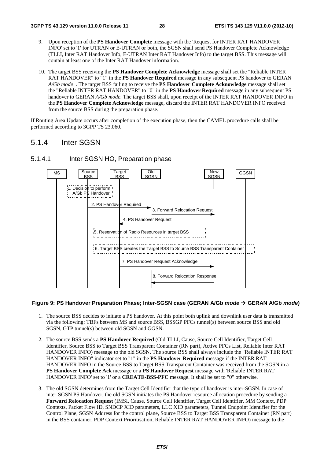- 9. Upon reception of the **PS Handover Complete** message with the 'Request for INTER RAT HANDOVER INFO' set to '1' for UTRAN or E-UTRAN or both, the SGSN shall send PS Handover Complete Acknowledge (TLLI, Inter RAT Handover Info, E-UTRAN Inter RAT Handover Info) to the target BSS. This message will contain at least one of the Inter RAT Handover information.
- 10. The target BSS receiving the **PS Handover Complete Acknowledge** message shall set the "Reliable INTER RAT HANDOVER" to "1" in the **PS Handover Required** message in any subsequent PS handover to GERAN *A/Gb mode* . The target BSS failing to receive the **PS Handover Complete Acknowledge** message shall set the "Reliable INTER RAT HANDOVER" to "0" in the **PS Handover Required** message in any subsequent PS handover to GERAN *A/Gb mode*. The target BSS shall, upon receipt of the INTER RAT HANDOVER INFO in the **PS Handover Complete Acknowledge** message, discard the INTER RAT HANDOVER INFO received from the source BSS during the preparation phase.

If Routing Area Update occurs after completion of the execution phase, then the CAMEL procedure calls shall be performed according to 3GPP TS 23.060.

### 5.1.4 Inter SGSN



### 5.1.4.1 Inter SGSN HO, Preparation phase

#### **Figure 9: PS Handover Preparation Phase; Inter-SGSN case (GERAN A/Gb** *mode*  **GERAN A/Gb** *mode***)**

- 1. The source BSS decides to initiate a PS handover. At this point both uplink and downlink user data is transmitted via the following: TBFs between MS and source BSS, BSSGP PFCs tunnel(s) between source BSS and old SGSN, GTP tunnel(s) between old SGSN and GGSN.
- 2. The source BSS sends a **PS Handover Required** (Old TLLI, Cause, Source Cell Identifier, Target Cell Identifier, Source BSS to Target BSS Transparent Container (RN part), Active PFCs List, Reliable Inter RAT HANDOVER INFO) message to the old SGSN. The source BSS shall always include the "Reliable INTER RAT HANDOVER INFO" indicator set to "1" in the **PS Handover Required** message if the INTER RAT HANDOVER INFO in the Source BSS to Target BSS Transparent Container was received from the SGSN in a **PS Handover Complete Ack** message or a **PS Handover Request** message with 'Reliable INTER RAT HANDOVER INFO' set to '1' or a **CREATE-BSS-PFC** message. It shall be set to "0" otherwise.
- 3. The old SGSN determines from the Target Cell Identifier that the type of handover is inter-SGSN. In case of inter-SGSN PS Handover, the old SGSN initiates the PS Handover resource allocation procedure by sending a **Forward Relocation Request** (IMSI, Cause, Source Cell Identifier, Target Cell Identifier, MM Context, PDP Contexts, Packet Flow ID, SNDCP XID parameters, LLC XID parameters, Tunnel Endpoint Identifier for the Control Plane, SGSN Address for the control plane, Source BSS to Target BSS Transparent Container (RN part) in the BSS container, PDP Context Prioritisation, Reliable INTER RAT HANDOVER INFO) message to the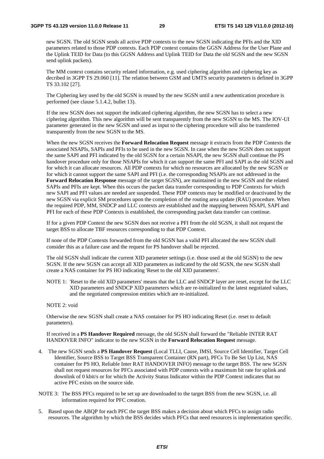new SGSN. The old SGSN sends all active PDP contexts to the new SGSN indicating the PFIs and the XID parameters related to those PDP contexts. Each PDP context contains the GGSN Address for the User Plane and the Uplink TEID for Data (to this GGSN Address and Uplink TEID for Data the old SGSN and the new SGSN send uplink packets).

The MM context contains security related information, e.g. used ciphering algorithm and ciphering key as decribed in 3GPP TS 29.060 [11]. The relation between GSM and UMTS security parameters is defined in 3GPP TS 33.102 [27].

The Ciphering key used by the old SGSN is reused by the new SGSN until a new authentication procedure is performed (see clause 5.1.4.2, bullet 13).

If the new SGSN does not support the indicated ciphering algorithm, the new SGSN has to select a new ciphering algorithm. This new algorithm will be sent transparently from the new SGSN to the MS. The IOV-UI parameter generated in the new SGSN and used as input to the ciphering procedure will also be transferred transparently from the new SGSN to the MS.

When the new SGSN receives the **Forward Relocation Request** message it extracts from the PDP Contexts the associated NSAPIs, SAPIs and PFIs to be used in the new SGSN. In case when the new SGSN does not support the same SAPI and PFI indicated by the old SGSN for a certain NSAPI, the new SGSN shall continue the PS handover procedure only for those NSAPIs for which it can support the same PFI and SAPI as the old SGSN and for which it can allocate resources. All PDP contexts for which no resources are allocated by the new SGSN or for which it cannot support the same SAPI and PFI (i.e. the corresponding NSAPIs are not addressed in the **Forward Relocation Response** message of the target SGSN), are maintained in the new SGSN and the related SAPIs and PFIs are kept. When this occurs the packet data transfer corresponding to PDP Contexts for which new SAPI and PFI values are needed are suspended. These PDP contexts may be modified or deactivated by the new SGSN via explicit SM procedures upon the completion of the routing area update (RAU) procedure. When the required PDP, MM, SNDCP and LLC contexts are established and the mapping between NSAPI, SAPI and PFI for each of these PDP Contexts is established, the corresponding packet data transfer can continue.

If for a given PDP Context the new SGSN does not receive a PFI from the old SGSN, it shall not request the target BSS to allocate TBF resources corresponding to that PDP Context.

If none of the PDP Contexts forwarded from the old SGSN has a valid PFI allocated the new SGSN shall consider this as a failure case and the request for PS handover shall be rejected.

The old SGSN shall indicate the current XID parameter settings (i.e. those used at the old SGSN) to the new SGSN. If the new SGSN can accept all XID parameters as indicated by the old SGSN, the new SGSN shall create a NAS container for PS HO indicating 'Reset to the old XID parameters'.

NOTE 1: 'Reset to the old XID parameters' means that the LLC and SNDCP layer are reset, except for the LLC XID parameters and SNDCP XID parameters which are re-initialized to the latest negotiated values, and the negotiated compression entities which are re-initialized.

NOTE 2: void

Otherwise the new SGSN shall create a NAS container for PS HO indicating Reset (i.e. reset to default parameters).

If received in a **PS Handover Required** message, the old SGSN shall forward the "Reliable INTER RAT HANDOVER INFO" indicator to the new SGSN in the **Forward Relocation Request** message.

- 4. The new SGSN sends a **PS Handover Request** (Local TLLI, Cause, IMSI, Source Cell Identifier, Target Cell Identifier, Source BSS to Target BSS Transparent Container (RN part), PFCs To Be Set Up List, NAS container for PS HO, Reliable Inter RAT HANDOVER INFO) message to the target BSS. The new SGSN shall not request resources for PFCs associated with PDP contexts with a maximum bit rate for uplink and downlink of 0 kbit/s or for which the Activity Status Indicator within the PDP Context indicates that no active PFC exists on the source side.
- NOTE 3: The BSS PFCs required to be set up are downloaded to the target BSS from the new SGSN, i.e. all information required for PFC creation.
- 5. Based upon the ABQP for each PFC the target BSS makes a decision about which PFCs to assign radio resources. The algorithm by which the BSS decides which PFCs that need resources is implementation specific.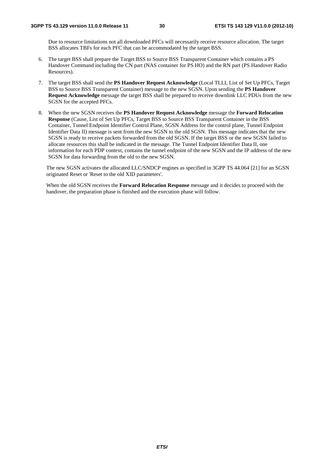Due to resource limitations not all downloaded PFCs will necessarily receive resource allocation. The target BSS allocates TBFs for each PFC that can be accommodated by the target BSS.

- 6. The target BSS shall prepare the Target BSS to Source BSS Transparent Container which contains a PS Handover Command including the CN part (NAS container for PS HO) and the RN part (PS Handover Radio Resources).
- 7. The target BSS shall send the **PS Handover Request Acknowledge** (Local TLLI, List of Set Up PFCs, Target BSS to Source BSS Transparent Container) message to the new SGSN. Upon sending the **PS Handover Request Acknowledge** message the target BSS shall be prepared to receive downlink LLC PDUs from the new SGSN for the accepted PFCs.
- 8. When the new SGSN receives the **PS Handover Request Acknowledge** message the **Forward Relocation Response** (Cause, List of Set Up PFCs, Target BSS to Source BSS Transparent Container in the BSS Container, Tunnel Endpoint Identifier Control Plane, SGSN Address for the control plane, Tunnel Endpoint Identifier Data II) message is sent from the new SGSN to the old SGSN. This message indicates that the new SGSN is ready to receive packets forwarded from the old SGSN. If the target BSS or the new SGSN failed to allocate resources this shall be indicated in the message. The Tunnel Endpoint Identifier Data II, one information for each PDP context, contains the tunnel endpoint of the new SGSN and the IP address of the new SGSN for data forwarding from the old to the new SGSN.

 The new SGSN activates the allocated LLC/SNDCP engines as specified in 3GPP TS 44.064 [21] for an SGSN originated Reset or 'Reset to the old XID parameters'.

 When the old SGSN receives the **Forward Relocation Response** message and it decides to proceed with the handover, the preparation phase is finished and the execution phase will follow.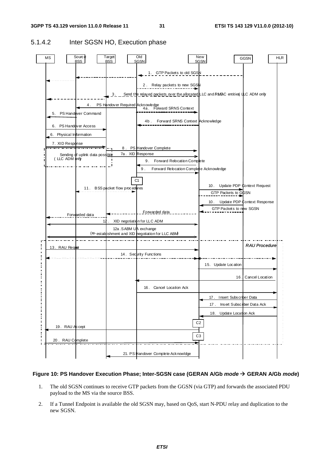



#### **Figure 10: PS Handover Execution Phase; Inter-SGSN case (GERAN A/Gb** *mode*  **GERAN A/Gb** *mode***)**

- 1. The old SGSN continues to receive GTP packets from the GGSN (via GTP) and forwards the associated PDU payload to the MS via the source BSS.
- 2. If a Tunnel Endpoint is available the old SGSN may, based on QoS, start N-PDU relay and duplication to the new SGSN.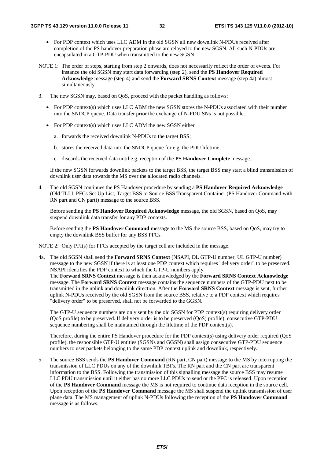- For PDP context which uses LLC ADM in the old SGSN all new downlink N-PDUs received after completion of the PS handover preparation phase are relayed to the new SGSN. All such N-PDUs are encapsulated in a GTP-PDU when transmitted to the new SGSN.
- NOTE 1: The order of steps, starting from step 2 onwards, does not necessarily reflect the order of events. For instance the old SGSN may start data forwarding (step 2), send the **PS Handover Required Acknowledge** message (step 4) and send the **Forward SRNS Context** message (step 4a) almost simultaneously.
- 3. The new SGSN may, based on QoS, proceed with the packet handling as follows:
	- For PDP context(s) which uses LLC ABM the new SGSN stores the N-PDUs associated with their number into the SNDCP queue. Data transfer prior the exchange of N-PDU SNs is not possible.
	- For PDP context(s) which uses LLC ADM the new SGSN either
		- a. forwards the received downlink N-PDUs to the target BSS;
		- b. stores the received data into the SNDCP queue for e.g. the PDU lifetime;
		- c. discards the received data until e.g. reception of the **PS Handover Complete** message.

 If the new SGSN forwards downlink packets to the target BSS, the target BSS may start a blind transmission of downlink user data towards the MS over the allocated radio channels.

4. The old SGSN continues the PS Handover procedure by sending a **PS Handover Required Acknowledge** (Old TLLI, PFCs Set Up List, Target BSS to Source BSS Transparent Container (PS Handover Command with RN part and CN part)) message to the source BSS.

 Before sending the **PS Handover Required Acknowledge** message, the old SGSN, based on QoS, may suspend downlink data transfer for any PDP contexts.

 Before sending the **PS Handover Command** message to the MS the source BSS, based on QoS, may try to empty the downlink BSS buffer for any BSS PFCs.

NOTE 2: Only PFI(s) for PFCs accepted by the target cell are included in the message.

4a. The old SGSN shall send the **Forward SRNS Context** (NSAPI, DL GTP-U number, UL GTP-U number) message to the new SGSN if there is at least one PDP context which requires "delivery order" to be preserved. NSAPI identifies the PDP context to which the GTP-U numbers apply. The **Forward SRNS Context** message is then acknowledged by the **Forward SRNS Context Acknowledge** message. The **Forward SRNS Context** message contains the sequence numbers of the GTP-PDU next to be transmitted in the uplink and downlink direction. After the **Forward SRNS Context** message is sent, further uplink N-PDUs received by the old SGSN from the source BSS, relative to a PDP context which requires "delivery order" to be preserved, shall not be forwarded to the GGSN.

 The GTP-U sequence numbers are only sent by the old SGSN for PDP context(s) requiring delivery order (QoS profile) to be preserved. If delivery order is to be preserved (QoS) profile), consecutive GTP-PDU sequence numbering shall be maintained through the lifetime of the PDP context(s).

 Therefore, during the entire PS Handover procedure for the PDP context(s) using delivery order required (QoS profile), the responsible GTP-U entities (SGSNs and GGSN) shall assign consecutive GTP-PDU sequence numbers to user packets belonging to the same PDP context uplink and downlink, respectively.

5. The source BSS sends the **PS Handover Command** (RN part, CN part) message to the MS by interrupting the transmission of LLC PDUs on any of the downlink TBFs. The RN part and the CN part are transparent information to the BSS. Following the transmission of this signalling message the source BSS may resume LLC PDU transmission until it either has no more LLC PDUs to send or the PFC is released. Upon reception of the **PS Handover Command** message the MS is not required to continue data reception in the source cell. Upon reception of the **PS Handover Command** message the MS shall suspend the uplink transmission of user plane data. The MS management of uplink N-PDUs following the reception of the **PS Handover Command** message is as follows: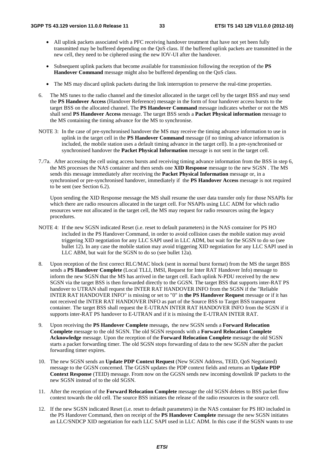- All uplink packets associated with a PFC receiving handover treatment that have not yet been fully transmitted may be buffered depending on the QoS class. If the buffered uplink packets are transmitted in the new cell, they need to be ciphered using the new IOV-UI after the handover.
- Subsequent uplink packets that become available for transmission following the reception of the **PS Handover Command** message might also be buffered depending on the QoS class.
- The MS may discard uplink packets during the link interruption to preserve the real-time properties.
- 6. The MS tunes to the radio channel and the timeslot allocated in the target cell by the target BSS and may send the **PS Handover Access** (Handover Reference) message in the form of four handover access bursts to the target BSS on the allocated channel. The **PS Handover Command** message indicates whether or not the MS shall send **PS Handover Access** message. The target BSS sends a **Packet Physical information** message to the MS containing the timing advance for the MS to synchronise.
- NOTE 3: In the case of pre-synchronised handover the MS may receive the timing advance information to use in uplink in the target cell in the **PS Handover Command** message (if no timing advance information is included, the mobile station uses a default timing advance in the target cell). In a pre-synchronised or synchronised handover the **Packet Physical Information** message is not sent in the target cell.
- 7./7a. After accessing the cell using access bursts and receiving timing advance information from the BSS in step 6, the MS processes the NAS container and then sends one **XID Response** message to the new SGSN . The MS sends this message immediately after receiving the **Packet Physical Information** message or, in a synchronised or pre-synchronised handover, immediately if the **PS Handover Access** message is not required to be sent (see Section 6.2).

Upon sending the XID Response message the MS shall resume the user data transfer only for those NSAPIs for which there are radio resources allocated in the target cell. For NSAPIs using LLC ADM for which radio resources were not allocated in the target cell, the MS may request for radio resources using the legacy procedures.

- NOTE 4: If the new SGSN indicated Reset (i.e. reset to default parameters) in the NAS container for PS HO included in the PS Handover Command, in order to avoid collision cases the mobile station may avoid triggering XID negotiation for any LLC SAPI used in LLC ADM, but wait for the SGSN to do so (see bullet 12). In any case the mobile station may avoid triggering XID negotiation for any LLC SAPI used in LLC ABM, but wait for the SGSN to do so (see bullet 12a).
- 8. Upon reception of the first correct RLC/MAC block (sent in normal burst format) from the MS the target BSS sends a **PS Handover Complete** (Local TLLI, IMSI, Request for Inter RAT Handover Info) message to inform the new SGSN that the MS has arrived in the target cell. Each uplink N-PDU received by the new SGSN via the target BSS is then forwarded directly to the GGSN. The target BSS that supports inter-RAT PS handover to UTRAN shall request the INTER RAT HANDOVER INFO from the SGSN if the "Reliable INTER RAT HANDOVER INFO" is missing or set to "0" in **the PS Handover Request** message or if it has not received the INTER RAT HANDOVER INFO as part of the Source BSS to Target BSS transparent container. The target BSS shall request the E-UTRAN INTER RAT HANDOVER INFO from the SGSN if it supports inter-RAT PS handover to E-UTRAN and if it is missing the E-UTRAN INTER RAT.
- 9. Upon receiving the **PS Handover Complete** message**,** the new SGSN sends a **Forward Relocation Complete** message to the old SGSN. The old SGSN responds with a **Forward Relocation Complete Acknowledge** message. Upon the reception of the **Forward Relocation Complete** message the old SGSN starts a packet forwarding timer. The old SGSN stops forwarding of data to the new SGSN after the packet forwarding timer expires.
- 10. The new SGSN sends an **Update PDP Context Request** (New SGSN Address, TEID, QoS Negotiated) message to the GGSN concerned. The GGSN updates the PDP context fields and returns an **Update PDP Context Response** (TEID) message. From now on the GGSN sends new incoming downlink IP packets to the new SGSN instead of to the old SGSN.
- 11. After the reception of the **Forward Relocation Complete** message the old SGSN deletes to BSS packet flow context towards the old cell. The source BSS initiates the release of the radio resources in the source cell.
- 12. If the new SGSN indicated Reset (i.e. reset to default parameters) in the NAS container for PS HO included in the PS Handover Command, then on receipt of the **PS Handover Complete** message the new SGSN initiates an LLC/SNDCP XID negotiation for each LLC SAPI used in LLC ADM. In this case if the SGSN wants to use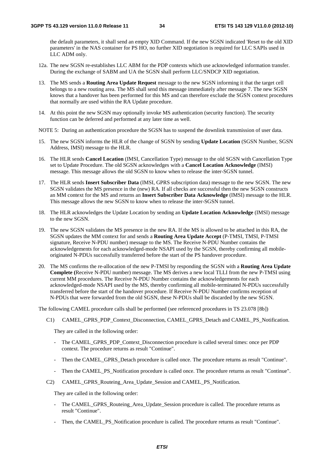the default parameters, it shall send an empty XID Command. If the new SGSN indicated 'Reset to the old XID parameters' in the NAS container for PS HO, no further XID negotiation is required for LLC SAPIs used in LLC ADM only.

- 12a. The new SGSN re-establishes LLC ABM for the PDP contexts which use acknowledged information transfer. During the exchange of SABM and UA the SGSN shall perform LLC/SNDCP XID negotiation.
- 13. The MS sends a **Routing Area Update Request** message to the new SGSN informing it that the target cell belongs to a new routing area. The MS shall send this message immediately after message 7. The new SGSN knows that a handover has been performed for this MS and can therefore exclude the SGSN context procedures that normally are used within the RA Update procedure.
- 14. At this point the new SGSN may optionally invoke MS authentication (security function). The security function can be deferred and performed at any later time as well.
- NOTE 5: During an authentication procedure the SGSN has to suspend the downlink transmission of user data.
- 15. The new SGSN informs the HLR of the change of SGSN by sending **Update Location** (SGSN Number, SGSN Address, IMSI) message to the HLR.
- 16. The HLR sends **Cancel Location** (IMSI, Cancellation Type) message to the old SGSN with Cancellation Type set to Update Procedure. The old SGSN acknowledges with a **Cancel Location Acknowledge** (IMSI) message. This message allows the old SGSN to know when to release the inter-SGSN tunnel.
- 17. The HLR sends **Insert Subscriber Data** (IMSI, GPRS subscription data) message to the new SGSN. The new SGSN validates the MS presence in the (new) RA. If all checks are successful then the new SGSN constructs an MM context for the MS and returns an **Insert Subscriber Data Acknowledge** (IMSI) message to the HLR. This message allows the new SGSN to know when to release the inter-SGSN tunnel.
- 18. The HLR acknowledges the Update Location by sending an **Update Location Acknowledge** (IMSI) message to the new SGSN.
- 19. The new SGSN validates the MS presence in the new RA. If the MS is allowed to be attached in this RA, the SGSN updates the MM context for and sends a **Routing Area Update Accept** (P-TMSI, TMSI, P-TMSI signature, Receive N-PDU number) message to the MS. The Receive N-PDU Number contains the acknowledgements for each acknowledged-mode NSAPI used by the SGSN, thereby confirming all mobileoriginated N-PDUs successfully transferred before the start of the PS handover procedure.
- 20. The MS confirms the re-allocation of the new P-TMSI by responding the SGSN with a **Routing Area Update Complete (**Receive N-PDU number) message. The MS derives a new local TLLI from the new P-TMSI using current MM procedures. The Receive N-PDU Number contains the acknowledgements for each acknowledged-mode NSAPI used by the MS, thereby confirming all mobile-terminated N-PDUs successfully transferred before the start of the handover procedure. If Receive N-PDU Number confirms reception of N-PDUs that were forwarded from the old SGSN, these N-PDUs shall be discarded by the new SGSN.

The following CAMEL procedure calls shall be performed (see referenced procedures in TS 23.078 [8b])

C1) CAMEL GPRS PDP Context Disconnection, CAMEL GPRS Detach and CAMEL PS Notification.

They are called in the following order:

- The CAMEL\_GPRS\_PDP\_Context\_Disconnection procedure is called several times: once per PDP context. The procedure returns as result "Continue".
- Then the CAMEL\_GPRS\_Detach procedure is called once. The procedure returns as result "Continue".
- Then the CAMEL\_PS\_Notification procedure is called once. The procedure returns as result "Continue".
- C2) CAMEL GPRS Routeing Area Update Session and CAMEL PS Notification.

They are called in the following order:

- The CAMEL\_GPRS\_Routeing\_Area\_Update\_Session procedure is called. The procedure returns as result "Continue".
- Then, the CAMEL\_PS\_Notification procedure is called. The procedure returns as result "Continue".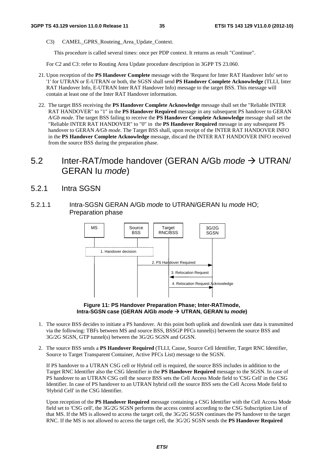C3) CAMEL GPRS Routeing Area Update Context.

This procedure is called several times: once per PDP context. It returns as result "Continue".

For C2 and C3: refer to Routing Area Update procedure description in 3GPP TS 23.060.

- 21. Upon reception of the **PS Handover Complete** message with the 'Request for Inter RAT Handover Info' set to '1' for UTRAN or E-UTRAN or both, the SGSN shall send **PS Handover Complete Acknowledge** (TLLI, Inter RAT Handover Info, E-UTRAN Inter RAT Handover Info) message to the target BSS. This message will contain at least one of the Inter RAT Handover information.
- 22. The target BSS receiving the **PS Handover Complete Acknowledge** message shall set the "Reliable INTER RAT HANDOVER" to "1" in the **PS Handover Required** message in any subsequent PS handover to GERAN *A/Gb mode*. The target BSS failing to receive the **PS Handover Complete Acknowledge** message shall set the "Reliable INTER RAT HANDOVER" to "0" in the **PS Handover Required** message in any subsequent PS handover to GERAN *A/Gb mode*. The Target BSS shall, upon receipt of the INTER RAT HANDOVER INFO in the **PS Handover Complete Acknowledge** message, discard the INTER RAT HANDOVER INFO received from the source BSS during the preparation phase.

## 5.2 Inter-RAT/mode handover (GERAN A/Gb *mode* → UTRAN/ GERAN Iu *mode*)

- 5.2.1 Intra SGSN
- 5.2.1.1 Intra-SGSN GERAN A/Gb *mode* to UTRAN/GERAN Iu *mode* HO; Preparation phase



#### **Figure 11: PS Handover Preparation Phase; Inter-RAT/mode, Intra-SGSN case (GERAN A/Gb** *mode*  **UTRAN, GERAN Iu** *mode***)**

- 1. The source BSS decides to initiate a PS handover. At this point both uplink and downlink user data is transmitted via the following: TBFs between MS and source BSS, BSSGP PFCs tunnel(s) between the source BSS and 3G/2G SGSN, GTP tunnel(s) between the 3G/2G SGSN and GGSN.
- 2. The source BSS sends a **PS Handover Required** (TLLI, Cause, Source Cell Identifier, Target RNC Identifier, Source to Target Transparent Container, Active PFCs List) message to the SGSN.

If PS handover to a UTRAN CSG cell or Hybrid cell is required, the source BSS includes in addition to the Target RNC Identifier also the CSG Identifier in the **PS Handover Required** message to the SGSN. In case of PS handover to an UTRAN CSG cell the source BSS sets the Cell Access Mode field to 'CSG Cell' in the CSG Identifier. In case of PS handover to an UTRAN hybrid cell the source BSS sets the Cell Access Mode field to 'Hybrid Cell' in the CSG Identifier.

Upon reception of the **PS Handover Required** message containing a CSG Identifier with the Cell Access Mode field set to 'CSG cell', the 3G/2G SGSN performs the access control according to the CSG Subscription List of that MS. If the MS is allowed to access the target cell, the 3G/2G SGSN continues the PS handover to the target RNC. If the MS is not allowed to access the target cell, the 3G/2G SGSN sends the **PS Handover Required**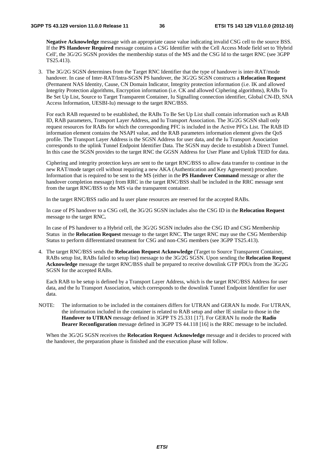**Negative Acknowledge** message with an appropriate cause value indicating invalid CSG cell to the source BSS. If the **PS Handover Required** message contains a CSG Identifier with the Cell Access Mode field set to 'Hybrid Cell', the 3G/2G SGSN provides the membership status of the MS and the CSG Id to the target RNC (see 3GPP TS25.413).

3. The 3G/2G SGSN determines from the Target RNC Identifier that the type of handover is inter-RAT/mode handover. In case of Inter-RAT/Intra-SGSN PS handover, the 3G/2G SGSN constructs a **Relocation Request** (Permanent NAS Identity, Cause, CN Domain Indicator, Integrity protection information (i.e. IK and allowed Integrity Protection algorithms, Encryption information (i.e. CK and allowed Ciphering algorithms), RABs To Be Set Up List, Source to Target Transparent Container, Iu Signalling connection identifier, Global CN-ID, SNA Access Information, UESBI-Iu) message to the target RNC/BSS.

 For each RAB requested to be established, the RABs To Be Set Up List shall contain information such as RAB ID, RAB parameters, Transport Layer Address, and Iu Transport Association. The 3G/2G SGSN shall only request resources for RABs for which the corresponding PFC is included in the Active PFCs List. The RAB ID information element contains the NSAPI value, and the RAB parameters information element gives the QoS profile. The Transport Layer Address is the SGSN Address for user data, and the Iu Transport Association corresponds to the uplink Tunnel Endpoint Identifier Data. The SGSN may decide to establish a Direct Tunnel. In this case the SGSN provides to the target RNC the GGSN Address for User Plane and Uplink TEID for data.

 Ciphering and integrity protection keys are sent to the target RNC/BSS to allow data transfer to continue in the new RAT/mode target cell without requiring a new AKA (Authentication and Key Agreement) procedure. Information that is required to be sent to the MS (either in the **PS Handover Command** message or after the handover completion message) from RRC in the target RNC/BSS shall be included in the RRC message sent from the target RNC/BSS to the MS via the transparent container.

In the target RNC/BSS radio and Iu user plane resources are reserved for the accepted RABs.

In case of PS handover to a CSG cell, the 3G/2G SGSN includes also the CSG ID in the **Relocation Request**  message to the target RNC**.** 

In case of PS handover to a Hybrid cell, the 3G/2G SGSN includes also the CSG ID and CSG Membership Status in the **Relocation Request** message to the target RNC. **T**he target RNC may use the CSG Membership Status to perform differentiated treatment for CSG and non-CSG members (see 3GPP TS25.413).

4. The target RNC/BSS sends the **Relocation Request Acknowledge** (Target to Source Transparent Container, RABs setup list, RABs failed to setup list) message to the 3G/2G SGSN. Upon sending the **Relocation Request Acknowledge** message the target RNC/BSS shall be prepared to receive downlink GTP PDUs from the 3G/2G SGSN for the accepted RABs.

 Each RAB to be setup is defined by a Transport Layer Address, which is the target RNC/BSS Address for user data, and the Iu Transport Association, which corresponds to the downlink Tunnel Endpoint Identifier for user data.

NOTE: The information to be included in the containers differs for UTRAN and GERAN Iu mode. For UTRAN, the information included in the container is related to RAB setup and other IE similar to those in the **Handover to UTRAN** message defined in 3GPP TS 25.331 [17]. For GERAN Iu mode the **Radio Bearer Reconfiguration** message defined in 3GPP TS 44.118 [16] is the RRC message to be included.

 When the 3G/2G SGSN receives the **Relocation Request Acknowledge** message and it decides to proceed with the handover, the preparation phase is finished and the execution phase will follow.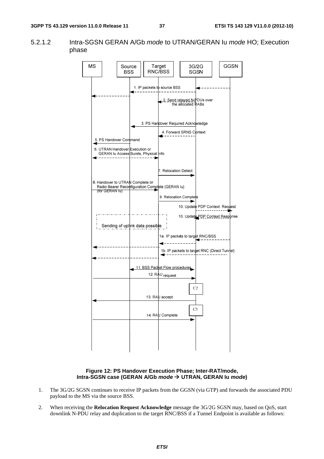5.2.1.2 Intra-SGSN GERAN A/Gb *mode* to UTRAN/GERAN Iu *mode* HO; Execution phase



**Figure 12: PS Handover Execution Phase; Inter-RAT/mode, Intra-SGSN case (GERAN A/Gb** *mode*  **UTRAN, GERAN Iu** *mode***)** 

- 1. The 3G/2G SGSN continues to receive IP packets from the GGSN (via GTP) and forwards the associated PDU payload to the MS via the source BSS.
- 2. When receiving the **Relocation Request Acknowledge** message the 3G/2G SGSN may, based on QoS, start downlink N-PDU relay and duplication to the target RNC/BSS if a Tunnel Endpoint is available as follows: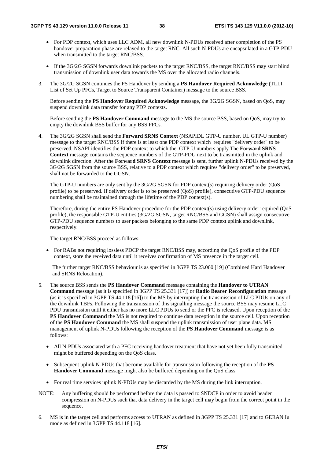- For PDP context, which uses LLC ADM, all new downlink N-PDUs received after completion of the PS handover preparation phase are relayed to the target RNC. All such N-PDUs are encapsulated in a GTP-PDU when transmitted to the target RNC/BSS.
- If the 3G/2G SGSN forwards downlink packets to the target RNC/BSS, the target RNC/BSS may start blind transmission of downlink user data towards the MS over the allocated radio channels.
- 3. The 3G/2G SGSN continues the PS Handover by sending a **PS Handover Required Acknowledge** (TLLI, List of Set Up PFCs, Target to Source Transparent Container) message to the source BSS.

 Before sending the **PS Handover Required Acknowledge** message, the 3G/2G SGSN, based on QoS, may suspend downlink data transfer for any PDP contexts.

 Before sending the **PS Handover Command** message to the MS the source BSS, based on QoS, may try to empty the downlink BSS buffer for any BSS PFCs.

4. The 3G/2G SGSN shall send the **Forward SRNS Context** (NSAPIDL GTP-U number, UL GTP-U number) message to the target RNC/BSS if there is at least one PDP context which requires "delivery order" to be preserved..NSAPI identifies the PDP context to which the GTP-U numbers apply The **Forward SRNS Context** message contains the sequence numbers of the GTP-PDU next to be transmitted in the uplink and downlink direction. After the **Forward SRNS Context** message is sent, further uplink N-PDUs received by the 3G/2G SGSN from the source BSS, relative to a PDP context which requires "delivery order" to be preserved, shall not be forwarded to the GGSN.

 The GTP-U numbers are only sent by the 3G/2G SGSN for PDP context(s) requiring delivery order (QoS profile) to be preserved. If delivery order is to be preserved (QoS) profile), consecutive GTP-PDU sequence numbering shall be maintained through the lifetime of the PDP context(s).

 Therefore, during the entire PS Handover procedure for the PDP context(s) using delivery order required (QoS profile), the responsible GTP-U entities (3G/2G SGSN, target RNC/BSS and GGSN) shall assign consecutive GTP-PDU sequence numbers to user packets belonging to the same PDP context uplink and downlink, respectively.

The target RNC/BSS proceed as follows:

• For RABs not requiring lossless PDCP the target RNC/BSS may, according the QoS profile of the PDP context, store the received data until it receives confirmation of MS presence in the target cell.

 The further target RNC/BSS behaviour is as specified in 3GPP TS 23.060 [19] (Combined Hard Handover and SRNS Relocation).

- 5. The source BSS sends the **PS Handover Command** message containing the **Handover to UTRAN Command** message (as it is specified in 3GPP TS 25.331 [17]) or **Radio Bearer Reconfiguration** message (as it is specified in 3GPP TS 44.118 [16]) to the MS by interrupting the transmission of LLC PDUs on any of the downlink TBFs. Following the transmission of this signalling message the source BSS may resume LLC PDU transmission until it either has no more LLC PDUs to send or the PFC is released. Upon reception of the **PS Handover Command** the MS is not required to continue data reception in the source cell. Upon reception of the **PS Handover Command** the MS shall suspend the uplink transmission of user plane data. MS management of uplink N-PDUs following the reception of the **PS Handover Command** message is as follows:
	- All N-PDUs associated with a PFC receiving handover treatment that have not yet been fully transmitted might be buffered depending on the QoS class.
	- Subsequent uplink N-PDUs that become available for transmission following the reception of the **PS Handover Command** message might also be buffered depending on the QoS class.
	- For real time services uplink N-PDUs may be discarded by the MS during the link interruption.
- NOTE: Any buffering should be performed before the data is passed to SNDCP in order to avoid header compression on N-PDUs such that data delivery in the target cell may begin from the correct point in the sequence.
- 6. MS is in the target cell and performs access to UTRAN as defined in 3GPP TS 25.331 [17] and to GERAN Iu mode as defined in 3GPP TS 44.118 [16].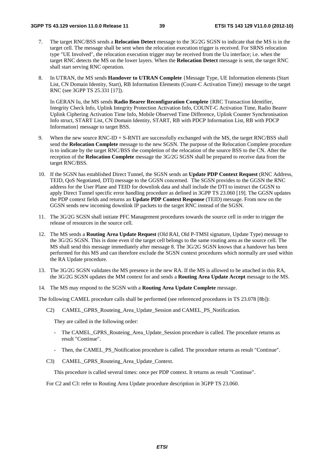- 7. The target RNC/BSS sends a **Relocation Detect** message to the 3G/2G SGSN to indicate that the MS is in the target cell. The message shall be sent when the relocation execution trigger is received. For SRNS relocation type "UE Involved", the relocation execution trigger may be received from the Uu interface; i.e. when the target RNC detects the MS on the lower layers. When the **Relocation Detect** message is sent, the target RNC shall start serving RNC operation.
- 8. In UTRAN, the MS sends **Handover to UTRAN Complete** {Message Type, UE Information elements (Start List, CN Domain Identity, Start), RB Information Elements (Count-C Activation Time)} message to the target RNC (see 3GPP TS 25.331 [17]).

 In GERAN Iu, the MS sends **Radio Bearer Reconfiguration Complete** {RRC Transaction Identifier, Integrity Check Info, Uplink Integrity Protection Activation Info, COUNT-C Activation Time, Radio Bearer Uplink Ciphering Activation Time Info, Mobile Observed Time Difference, Uplink Counter Synchronisation Info struct, START List, CN Domain Identity, START, RB with PDCP Information List, RB with PDCP Information} message to target BSS.

- 9. When the new source RNC-ID + S-RNTI are successfully exchanged with the MS, the target RNC/BSS shall send the **Relocation Complete** message to the new SGSN. The purpose of the Relocation Complete procedure is to indicate by the target RNC/BSS the completion of the relocation of the source BSS to the CN. After the reception of the **Relocation Complete** message the 3G/2G SGSN shall be prepared to receive data from the target RNC/BSS.
- 10. If the SGSN has established Direct Tunnel, the SGSN sends an **Update PDP Context Request** (RNC Address, TEID, QoS Negotiated, DTI) message to the GGSN concerned. The SGSN provides to the GGSN the RNC address for the User Plane and TEID for downlink data and shall include the DTI to instruct the GGSN to apply Direct Tunnel specific error handling procedure as defined in 3GPP TS 23.060 [19]. The GGSN updates the PDP context fields and returns an **Update PDP Context Response** (TEID) message. From now on the GGSN sends new incoming downlink IP packets to the target RNC instead of the SGSN.
- 11. The 3G/2G SGSN shall initiate PFC Management procedures towards the source cell in order to trigger the release of resources in the source cell.
- 12. The MS sends a **Routing Area Update Request** (Old RAI, Old P-TMSI signature, Update Type) message to the 3G/2G SGSN. This is done even if the target cell belongs to the same routing area as the source cell. The MS shall send this message immediately after message 8. The 3G/2G SGSN knows that a handover has been performed for this MS and can therefore exclude the SGSN context procedures which normally are used within the RA Update procedure.
- 13. The 3G/2G SGSN validates the MS presence in the new RA. If the MS is allowed to be attached in this RA, the 3G/2G SGSN updates the MM context for and sends a **Routing Area Update Accept** message to the MS.
- 14. The MS may respond to the SGSN with a **Routing Area Update Complete** message.

The following CAMEL procedure calls shall be performed (see referenced procedures in TS 23.078 [8b]):

C2) CAMEL GPRS Routeing Area Update Session and CAMEL PS Notification.

They are called in the following order:

- The CAMEL\_GPRS\_Routeing\_Area\_Update\_Session procedure is called. The procedure returns as result "Continue".
- Then, the CAMEL PS Notification procedure is called. The procedure returns as result "Continue".
- C3) CAMEL GPRS Routeing Area Update Context.

This procedure is called several times: once per PDP context. It returns as result "Continue".

For C2 and C3: refer to Routing Area Update procedure description in 3GPP TS 23.060.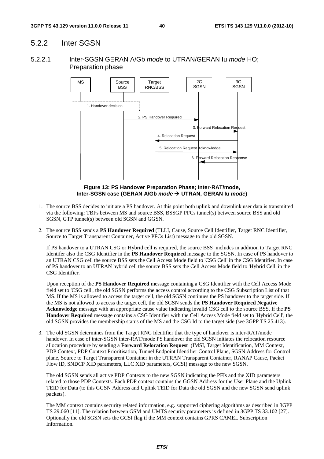### 5.2.2 Inter SGSN

### 5.2.2.1 Inter-SGSN GERAN A/Gb *mode* to UTRAN/GERAN Iu *mode* HO; Preparation phase



**Figure 13: PS Handover Preparation Phase; Inter-RAT/mode, Inter-SGSN case (GERAN A/Gb** *mode*  **UTRAN, GERAN Iu** *mode***)** 

- 1. The source BSS decides to initiate a PS handover. At this point both uplink and downlink user data is transmitted via the following: TBFs between MS and source BSS, BSSGP PFCs tunnel(s) between source BSS and old SGSN, GTP tunnel(s) between old SGSN and GGSN.
- 2. The source BSS sends a **PS Handover Required** (TLLI, Cause, Source Cell Identifier, Target RNC Identifier, Source to Target Transparent Container, Active PFCs List) message to the old SGSN.

If PS handover to a UTRAN CSG or Hybrid cell is required, the source BSS includes in addition to Target RNC Identifer also the CSG Identifier in the **PS Handover Required** message to the SGSN. In case of PS handover to an UTRAN CSG cell the source BSS sets the Cell Access Mode field to 'CSG Cell' in the CSG Identifier. In case of PS handover to an UTRAN hybrid cell the source BSS sets the Cell Access Mode field to 'Hybrid Cell' in the CSG Identifier.

Upon reception of the **PS Handover Required** message containing a CSG Identifier with the Cell Access Mode field set to 'CSG cell', the old SGSN performs the access control according to the CSG Subscription List of that MS. If the MS is allowed to access the target cell, the old SGSN continues the PS handover to the target side. If the MS is not allowed to access the target cell, the old SGSN sends the **PS Handover Required Negative Acknowledge** message with an appropriate cause value indicating invalid CSG cell to the source BSS. If the **PS Handover Required** message contains a CSG Identifier with the Cell Access Mode field set to 'Hybrid Cell', the old SGSN provides the membership status of the MS and the CSG Id to the target side (see 3GPP TS 25.413).

3. The old SGSN determines from the Target RNC Identifier that the type of handover is inter-RAT/mode handover. In case of inter-SGSN inter-RAT/mode PS handover the old SGSN initiates the relocation resource allocation procedure by sending a **Forward Relocation Request** (IMSI, Target Identification, MM Context, PDP Context, PDP Context Prioritisation, Tunnel Endpoint Identifier Control Plane, SGSN Address for Control plane, Source to Target Transparent Container in the UTRAN Transparent Container, RANAP Cause, Packet Flow ID, SNDCP XID parameters, LLC XID parameters, GCSI) message to the new SGSN.

 The old SGSN sends all active PDP Contexts to the new SGSN indicating the PFIs and the XID parameters related to those PDP Contexts. Each PDP context contains the GGSN Address for the User Plane and the Uplink TEID for Data (to this GGSN Address and Uplink TEID for Data the old SGSN and the new SGSN send uplink packets).

The MM context contains security related information, e.g. supported ciphering algorithms as described in 3GPP TS 29.060 [11]. The relation between GSM and UMTS security parameters is defined in 3GPP TS 33.102 [27]. Optionally the old SGSN sets the GCSI flag if the MM context contains GPRS CAMEL Subscription Information.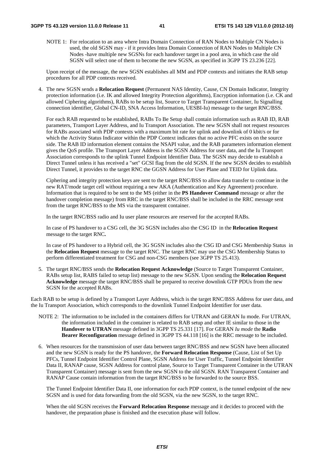NOTE 1: For relocation to an area where Intra Domain Connection of RAN Nodes to Multiple CN Nodes is used, the old SGSN may - if it provides Intra Domain Connection of RAN Nodes to Multiple CN Nodes -have multiple new SGSNs for each handover target in a pool area, in which case the old SGSN will select one of them to become the new SGSN, as specified in 3GPP TS 23.236 [22].

Upon receipt of the message, the new SGSN establishes all MM and PDP contexts and initiates the RAB setup procedures for all PDP contexts received.

4. The new SGSN sends a **Relocation Request** (Permanent NAS Identity, Cause, CN Domain Indicator, Integrity protection information (i.e. IK and allowed Integrity Protection algorithms), Encryption information (i.e. CK and allowed Ciphering algorithms), RABs to be setup list, Source to Target Transparent Container, Iu Signalling connection identifier, Global CN-ID, SNA Access Information, UESBI-Iu) message to the target RNC/BSS.

 For each RAB requested to be established, RABs To Be Setup shall contain information such as RAB ID, RAB parameters, Transport Layer Address, and Iu Transport Association. The new SGSN shall not request resources for RABs associated with PDP contexts with a maximum bit rate for uplink and downlink of 0 kbit/s or for which the Activity Status Indicator within the PDP Context indicates that no active PFC exists on the source side. The RAB ID information element contains the NSAPI value, and the RAB parameters information element gives the QoS profile. The Transport Layer Address is the SGSN Address for user data, and the Iu Transport Association corresponds to the uplink Tunnel Endpoint Identifier Data. The SGSN may decide to establish a Direct Tunnel unless it has received a "set" GCSI flag from the old SGSN. If the new SGSN decides to establish Direct Tunnel, it provides to the target RNC the GGSN Address for User Plane and TEID for Uplink data.

 Ciphering and integrity protection keys are sent to the target RNC/BSS to allow data transfer to continue in the new RAT/mode target cell without requiring a new AKA (Authentication and Key Agreement) procedure. Information that is required to be sent to the MS (either in the **PS Handover Command** message or after the handover completion message) from RRC in the target RNC/BSS shall be included in the RRC message sent from the target RNC/BSS to the MS via the transparent container.

In the target RNC/BSS radio and Iu user plane resources are reserved for the accepted RABs.

In case of PS handover to a CSG cell, the 3G SGSN includes also the CSG ID in the **Relocation Request**  message to the target RNC**.** 

In case of PS handover to a Hybrid cell, the 3G SGSN includes also the CSG ID and CSG Membership Status in the **Relocation Request** message to the target RNC. The target RNC may use the CSG Membership Status to perform differentiated treatment for CSG and non-CSG members (see 3GPP TS 25.413).

5. The target RNC/BSS sends the **Relocation Request Acknowledge** (Source to Target Transparent Container, RABs setup list, RABS failed to setup list) message to the new SGSN. Upon sending the **Relocation Request Acknowledge** message the target RNC/BSS shall be prepared to receive downlink GTP PDUs from the new SGSN for the accepted RABs.

Each RAB to be setup is defined by a Transport Layer Address, which is the target RNC/BSS Address for user data, and the Iu Transport Association, which corresponds to the downlink Tunnel Endpoint Identifier for user data.

- NOTE 2: The information to be included in the containers differs for UTRAN and GERAN Iu mode. For UTRAN, the information included in the container is related to RAB setup and other IE similar to those in the **Handover to UTRAN** message defined in 3GPP TS 25.331 [17]. For GERAN *Iu mode* the **Radio Bearer Reconfiguration** message defined in 3GPP TS 44.118 [16] is the RRC message to be included.
- 6. When resources for the transmission of user data between target RNC/BSS and new SGSN have been allocated and the new SGSN is ready for the PS handover, the **Forward Relocation Response** (Cause, List of Set Up PFCs, Tunnel Endpoint Identifier Control Plane, SGSN Address for User Traffic, Tunnel Endpoint Identifier Data II, RANAP cause, SGSN Address for control plane, Source to Target Transparent Container in the UTRAN Transparent Container) message is sent from the new SGSN to the old SGSN. RAN Transparent Container and RANAP Cause contain information from the target RNC/BSS to be forwarded to the source BSS.

 The Tunnel Endpoint Identifier Data II, one information for each PDP context, is the tunnel endpoint of the new SGSN and is used for data forwarding from the old SGSN, via the new SGSN, to the target RNC.

 When the old SGSN receives the **Forward Relocation Response** message and it decides to proceed with the handover, the preparation phase is finished and the execution phase will follow.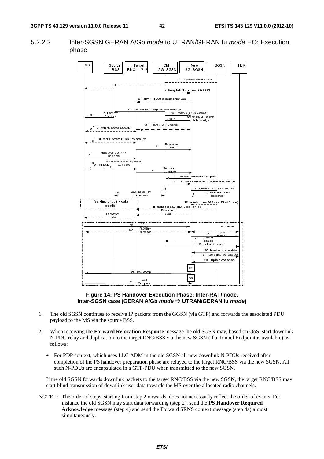5.2.2.2 Inter-SGSN GERAN A/Gb *mode* to UTRAN/GERAN Iu *mode* HO; Execution phase



**Figure 14: PS Handover Execution Phase; Inter-RAT/mode, Inter-SGSN case (GERAN A/Gb** *mode*  **UTRAN/GERAN Iu** *mode***)** 

- 1. The old SGSN continues to receive IP packets from the GGSN (via GTP) and forwards the associated PDU payload to the MS via the source BSS.
- 2. When receiving the **Forward Relocation Response** message the old SGSN may, based on QoS, start downlink N-PDU relay and duplication to the target RNC/BSS via the new SGSN (if a Tunnel Endpoint is available) as follows:
	- For PDP context, which uses LLC ADM in the old SGSN all new downlink N-PDUs received after completion of the PS handover preparation phase are relayed to the target RNC/BSS via the new SGSN. All such N-PDUs are encapsulated in a GTP-PDU when transmitted to the new SGSN.

If the old SGSN forwards downlink packets to the target RNC/BSS via the new SGSN, the target RNC/BSS may start blind transmission of downlink user data towards the MS over the allocated radio channels.

NOTE 1: The order of steps, starting from step 2 onwards, does not necessarily reflect the order of events. For instance the old SGSN may start data forwarding (step 2), send the **PS Handover Required Acknowledge** message (step 4) and send the Forward SRNS context message (step 4a) almost simultaneously.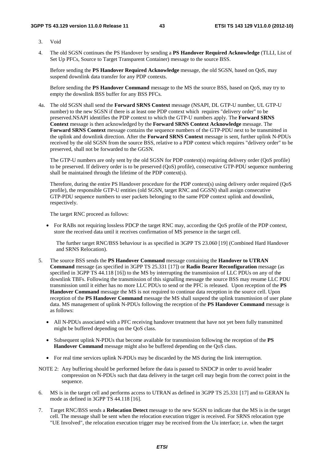- 3. Void
- 4. The old SGSN continues the PS Handover by sending a **PS Handover Required Acknowledge** (TLLI, List of Set Up PFCs, Source to Target Transparent Container) message to the source BSS.

 Before sending the **PS Handover Required Acknowledge** message, the old SGSN, based on QoS, may suspend downlink data transfer for any PDP contexts.

 Before sending the **PS Handover Command** message to the MS the source BSS, based on QoS, may try to empty the downlink BSS buffer for any BSS PFCs.

4a. The old SGSN shall send the **Forward SRNS Context** message (NSAPI, DL GTP-U number, UL GTP-U number) to the new SGSN if there is at least one PDP context which requires "delivery order" to be preserved.NSAPI identifies the PDP context to which the GTP-U numbers apply. The **Forward SRNS Context** message is then acknowledged by the **Forward SRNS Context Acknowledge** message. The **Forward SRNS Context** message contains the sequence numbers of the GTP-PDU next to be transmitted in the uplink and downlink direction. After the **Forward SRNS Context** message is sent, further uplink N-PDUs received by the old SGSN from the source BSS, relative to a PDP context which requires "delivery order" to be preserved, shall not be forwarded to the GGSN.

 The GTP-U numbers are only sent by the old SGSN for PDP context(s) requiring delivery order (QoS profile) to be preserved. If delivery order is to be preserved (QoS) profile), consecutive GTP-PDU sequence numbering shall be maintained through the lifetime of the PDP context(s).

 Therefore, during the entire PS Handover procedure for the PDP context(s) using delivery order required (QoS profile), the responsible GTP-U entities (old SGSN, target RNC and GGSN) shall assign consecutive GTP-PDU sequence numbers to user packets belonging to the same PDP context uplink and downlink, respectively.

The target RNC proceed as follows:

• For RABs not requiring lossless PDCP the target RNC may, according the QoS profile of the PDP context, store the received data until it receives confirmation of MS presence in the target cell.

 The further target RNC/BSS behaviour is as specified in 3GPP TS 23.060 [19] (Combined Hard Handover and SRNS Relocation).

- 5. The source BSS sends the **PS Handover Command** message containing the **Handover to UTRAN Command** message (as specified in 3GPP TS 25.331 [17]) or **Radio Bearer Reconfiguration** message (as specified in 3GPP TS 44.118 [16]) to the MS by interrupting the transmission of LLC PDUs on any of the downlink TBFs. Following the transmission of this signalling message the source BSS may resume LLC PDU transmission until it either has no more LLC PDUs to send or the PFC is released. Upon reception of the **PS Handover Command** message the MS is not required to continue data reception in the source cell. Upon reception of the **PS Handover Command** message the MS shall suspend the uplink transmission of user plane data. MS management of uplink N-PDUs following the reception of the **PS Handover Command** message is as follows:
	- All N-PDUs associated with a PFC receiving handover treatment that have not yet been fully transmitted might be buffered depending on the QoS class.
	- Subsequent uplink N-PDUs that become available for transmission following the reception of the **PS Handover Command** message might also be buffered depending on the QoS class.
	- For real time services uplink N-PDUs may be discarded by the MS during the link interruption.
- NOTE 2: Any buffering should be performed before the data is passed to SNDCP in order to avoid header compression on N-PDUs such that data delivery in the target cell may begin from the correct point in the sequence.
- 6. MS is in the target cell and performs access to UTRAN as defined in 3GPP TS 25.331 [17] and to GERAN Iu mode as defined in 3GPP TS 44.118 [16].
- 7. Target RNC/BSS sends a **Relocation Detect** message to the new SGSN to indicate that the MS is in the target cell. The message shall be sent when the relocation execution trigger is received. For SRNS relocation type "UE Involved", the relocation execution trigger may be received from the Uu interface; i.e. when the target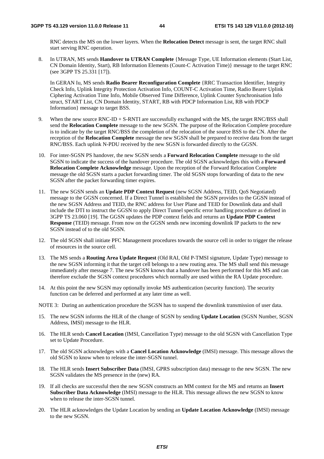RNC detects the MS on the lower layers. When the **Relocation Detect** message is sent, the target RNC shall start serving RNC operation.

8. In UTRAN, MS sends **Handover to UTRAN Complete** {Message Type, UE Information elements (Start List, CN Domain Identity, Start), RB Information Elements (Count-C Activation Time)} message to the target RNC (see 3GPP TS 25.331 [17]).

 In GERAN Iu, MS sends **Radio Bearer Reconfiguration Complete** {RRC Transaction Identifier, Integrity Check Info, Uplink Integrity Protection Activation Info, COUNT-C Activation Time, Radio Bearer Uplink Ciphering Activation Time Info, Mobile Observed Time Difference, Uplink Counter Synchronisation Info struct, START List, CN Domain Identity, START, RB with PDCP Information List, RB with PDCP Information} message to target BSS.

- 9. When the new source RNC-ID + S-RNTI are successfully exchanged with the MS, the target RNC/BSS shall send the **Relocation Complete** message to the new SGSN. The purpose of the Relocation Complete procedure is to indicate by the target RNC/BSS the completion of the relocation of the source BSS to the CN. After the reception of the **Relocation Complete** message the new SGSN shall be prepared to receive data from the target RNC/BSS. Each uplink N-PDU received by the new SGSN is forwarded directly to the GGSN.
- 10. For inter-SGSN PS handover, the new SGSN sends a **Forward Relocation Complete** message to the old SGSN to indicate the success of the handover procedure. The old SGSN acknowledges this with a **Forward Relocation Complete Acknowledge** message. Upon the reception of the Forward Relocation Complete message the old SGSN starts a packet forwarding timer. The old SGSN stops forwarding of data to the new SGSN after the packet forwarding timer expires.
- 11. The new SGSN sends an **Update PDP Context Request** (new SGSN Address, TEID, QoS Negotiated) message to the GGSN concerned. If a Direct Tunnel is established the SGSN provides to the GGSN instead of the new SGSN Address and TEID, the RNC address for User Plane and TEID for Downlink data and shall include the DTI to instruct the GGSN to apply Direct Tunnel specific error handling procedure as defined in 3GPP TS 23.060 [19]. The GGSN updates the PDP context fields and returns an **Update PDP Context Response** (TEID) message. From now on the GGSN sends new incoming downlink IP packets to the new SGSN instead of to the old SGSN.
- 12. The old SGSN shall initiate PFC Management procedures towards the source cell in order to trigger the release of resources in the source cell.
- 13. The MS sends a **Routing Area Update Request** (Old RAI, Old P-TMSI signature, Update Type) message to the new SGSN informing it that the target cell belongs to a new routing area. The MS shall send this message immediately after message 7. The new SGSN knows that a handover has been performed for this MS and can therefore exclude the SGSN context procedures which normally are used within the RA Update procedure.
- 14. At this point the new SGSN may optionally invoke MS authentication (security function). The security function can be deferred and performed at any later time as well.

NOTE 3: During an authentication procedure the SGSN has to suspend the downlink transmission of user data.

- 15. The new SGSN informs the HLR of the change of SGSN by sending **Update Location** (SGSN Number, SGSN Address, IMSI) message to the HLR.
- 16. The HLR sends **Cancel Location** (IMSI, Cancellation Type) message to the old SGSN with Cancellation Type set to Update Procedure.
- 17. The old SGSN acknowledges with a **Cancel Location Acknowledge** (IMSI) message. This message allows the old SGSN to know when to release the inter-SGSN tunnel.
- 18. The HLR sends **Insert Subscriber Data** (IMSI, GPRS subscription data) message to the new SGSN. The new SGSN validates the MS presence in the (new) RA.
- 19. If all checks are successful then the new SGSN constructs an MM context for the MS and returns an **Insert Subscriber Data Acknowledge** (IMSI) message to the HLR. This message allows the new SGSN to know when to release the inter-SGSN tunnel.
- 20. The HLR acknowledges the Update Location by sending an **Update Location Acknowledge** (IMSI) message to the new SGSN.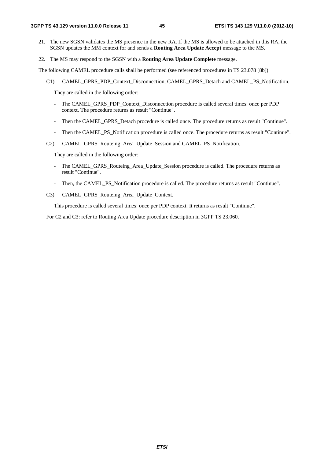- 21. The new SGSN validates the MS presence in the new RA. If the MS is allowed to be attached in this RA, the SGSN updates the MM context for and sends a **Routing Area Update Accept** message to the MS.
- 22. The MS may respond to the SGSN with a **Routing Area Update Complete** message.

The following CAMEL procedure calls shall be performed (see referenced procedures in TS 23.078 [8b])

C1) CAMEL\_GPRS\_PDP\_Context\_Disconnection, CAMEL\_GPRS\_Detach and CAMEL\_PS\_Notification.

They are called in the following order:

- The CAMEL\_GPRS\_PDP\_Context\_Disconnection procedure is called several times: once per PDP context. The procedure returns as result "Continue".
- Then the CAMEL\_GPRS\_Detach procedure is called once. The procedure returns as result "Continue".
- Then the CAMEL\_PS\_Notification procedure is called once. The procedure returns as result "Continue".
- C2) CAMEL\_GPRS\_Routeing\_Area\_Update\_Session and CAMEL\_PS\_Notification.

They are called in the following order:

- The CAMEL\_GPRS\_Routeing\_Area\_Update\_Session procedure is called. The procedure returns as result "Continue".
- Then, the CAMEL PS Notification procedure is called. The procedure returns as result "Continue".
- C3) CAMEL\_GPRS\_Routeing\_Area\_Update\_Context.

This procedure is called several times: once per PDP context. It returns as result "Continue".

For C2 and C3: refer to Routing Area Update procedure description in 3GPP TS 23.060.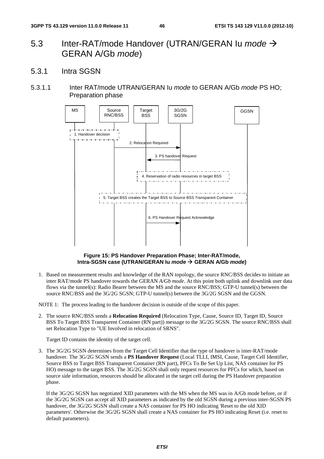# 5.3 Inter-RAT/mode Handover (UTRAN/GERAN Iu *mode* > GERAN A/Gb *mode*)

- 5.3.1 Intra SGSN
- 5.3.1.1 Inter RAT/mode UTRAN/GERAN Iu *mode* to GERAN A/Gb *mode* PS HO; Preparation phase



**Figure 15: PS Handover Preparation Phase; Inter-RAT/mode, Intra-SGSN case (UTRAN/GERAN Iu** *mode*  **GERAN A/Gb** *mode***)** 

1. Based on measurement results and knowledge of the RAN topology, the source RNC/BSS decides to initiate an inter RAT/mode PS handover towards the GERAN *A/Gb mode*. At this point both uplink and downlink user data flows via the tunnel(s): Radio Bearer between the MS and the source RNC/BSS; GTP-U tunnel(s) between the source RNC/BSS and the 3G/2G SGSN; GTP-U tunnel(s) between the 3G/2G SGSN and the GGSN.

NOTE 1: The process leading to the handover decision is outside of the scope of this paper.

2. The source RNC/BSS sends a **Relocation Required** (Relocation Type, Cause, Source ID, Target ID, Source BSS To Target BSS Transparent Container (RN part)) message to the 3G/2G SGSN. The source RNC/BSS shall set Relocation Type to "UE Involved in relocation of SRNS".

Target ID contains the identity of the target cell.

3. The 3G/2G SGSN determines from the Target Cell Identifier that the type of handover is inter-RAT/mode handover. The 3G/2G SGSN sends a **PS Handover Request** (Local TLLI, IMSI, Cause, Target Cell Identifier, Source BSS to Target BSS Transparent Container (RN part), PFCs To Be Set Up List, NAS container for PS HO) message to the target BSS. The 3G/2G SGSN shall only request resources for PFCs for which, based on source side information, resources should be allocated in the target cell during the PS Handover preparation phase.

If the 3G/2G SGSN has negotiated XID parameters with the MS when the MS was in A/Gb mode before, or if the 3G/2G SGSN can accept all XID parameters as indicated by the old SGSN during a previous inter-SGSN PS handover, the 3G/2G SGSN shall create a NAS container for PS HO indicating 'Reset to the old XID parameters'. Otherwise the 3G/2G SGSN shall create a NAS container for PS HO indicating Reset (i.e. reset to default parameters).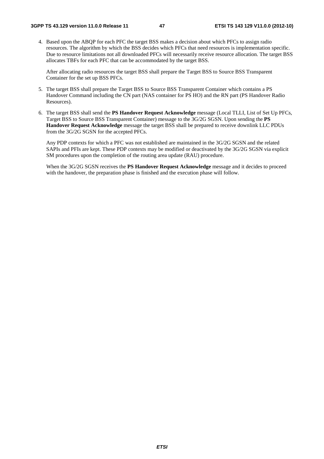4. Based upon the ABQP for each PFC the target BSS makes a decision about which PFCs to assign radio resources. The algorithm by which the BSS decides which PFCs that need resources is implementation specific. Due to resource limitations not all downloaded PFCs will necessarily receive resource allocation. The target BSS allocates TBFs for each PFC that can be accommodated by the target BSS.

 After allocating radio resources the target BSS shall prepare the Target BSS to Source BSS Transparent Container for the set up BSS PFCs.

- 5. The target BSS shall prepare the Target BSS to Source BSS Transparent Container which contains a PS Handover Command including the CN part (NAS container for PS HO) and the RN part (PS Handover Radio Resources).
- 6. The target BSS shall send the **PS Handover Request Acknowledge** message (Local TLLI, List of Set Up PFCs, Target BSS to Source BSS Transparent Container) message to the 3G/2G SGSN. Upon sending the **PS Handover Request Acknowledge** message the target BSS shall be prepared to receive downlink LLC PDUs from the 3G/2G SGSN for the accepted PFCs.

 Any PDP contexts for which a PFC was not established are maintained in the 3G/2G SGSN and the related SAPIs and PFIs are kept. These PDP contexts may be modified or deactivated by the 3G/2G SGSN via explicit SM procedures upon the completion of the routing area update (RAU) procedure.

 When the 3G/2G SGSN receives the **PS Handover Request Acknowledge** message and it decides to proceed with the handover, the preparation phase is finished and the execution phase will follow.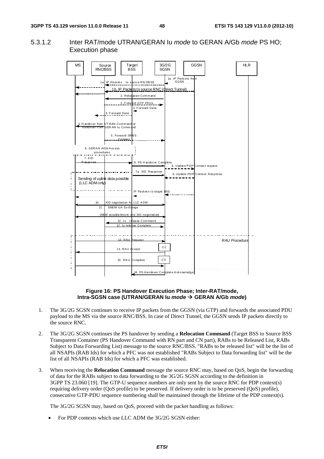#### 5.3.1.2 Inter RAT/mode UTRAN/GERAN Iu *mode* to GERAN A/Gb *mode* PS HO; Execution phase



#### **Figure 16: PS Handover Execution Phase; Inter-RAT/mode, Intra-SGSN case (UTRAN/GERAN Iu** *mode*  **GERAN A/Gb** *mode***)**

- 1. The 3G/2G SGSN continues to receive IP packets from the GGSN (via GTP) and forwards the associated PDU payload to the MS via the source RNC/BSS. In case of Direct Tunnel, the GGSN sends IP packets directly to the source RNC.
- 2. The 3G/2G SGSN continues the PS handover by sending a **Relocation Command** (Target BSS to Source BSS Transparent Container (PS Handover Command with RN part and CN part), RABs to be Released List, RABs Subject to Data Forwarding List) message to the source RNC/BSS. "RABs to be released list" will be the list of all NSAPIs (RAB Ids) for which a PFC was not established "RABs Subject to Data forwarding list" will be the list of all NSAPIs (RAB Ids) for which a PFC was established.
- 3. When receiving the **Relocation Command** message the source RNC may, based on QoS, begin the forwarding of data for the RABs subject to data forwarding to the 3G/2G SGSN according to the definition in 3GPP TS 23.060 [19]. The GTP-U sequence numbers are only sent by the source RNC for PDP context(s) requiring delivery order (QoS profile) to be preserved. If delivery order is to be preserved (QoS) profile), consecutive GTP-PDU sequence numbering shall be maintained through the lifetime of the PDP context(s).

The 3G/2G SGSN may, based on QoS, proceed with the packet handling as follows:

• For PDP contexts which use LLC ADM the 3G/2G SGSN either: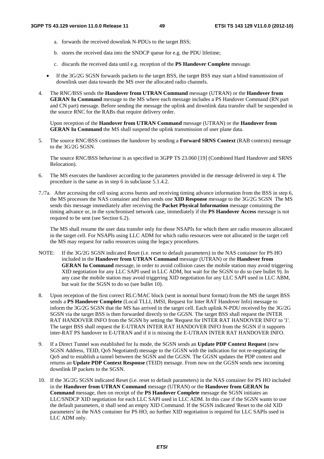- a. forwards the received downlink N-PDUs to the target BSS;
- b. stores the received data into the SNDCP queue for e.g. the PDU lifetime;
- c. discards the received data until e.g. reception of the **PS Handover Complete** message.
- If the 3G/2G SGSN forwards packets to the target BSS, the target BSS may start a blind transmission of downlink user data towards the MS over the allocated radio channels.
- 4. The RNC/BSS sends the **Handover from UTRAN Command** message (UTRAN) or the **Handover from GERAN Iu Command** message to the MS where each message includes a PS Handover Command (RN part and CN part) message. Before sending the message the uplink and downlink data transfer shall be suspended in the source RNC for the RABs that require delivery order.

 Upon reception of the **Handover from UTRAN Command** message (UTRAN) or the **Handover from GERAN Iu Command** the MS shall suspend the uplink transmission of user plane data.

5. The source RNC/BSS continues the handover by sending a **Forward SRNS Context** (RAB contexts) message to the 3G/2G SGSN.

 The source RNC/BSS behaviour is as specified in 3GPP TS 23.060 [19] (Combined Hard Handover and SRNS Relocation).

- 6. The MS executes the handover according to the parameters provided in the message delivered in step 4. The procedure is the same as in step 6 in subclause 5.1.4.2.
- 7./7a. After accessing the cell using access bursts and receiving timing advance information from the BSS in step 6, the MS processes the NAS container and then sends one **XID Response** message to the 3G/2G SGSN The MS sends this message immediately after receiving the **Packet Physical Information** message containing the timing advance or, in the synchronised network case, immediately if the **PS Handover Access** message is not required to be sent (see Section 6.2).

The MS shall resume the user data transfer only for those NSAPIs for which there are radio resources allocated in the target cell. For NSAPIs using LLC ADM for which radio resources were not allocated in the target cell the MS may request for radio resources using the legacy procedures.

- NOTE: If the 3G/2G SGSN indicated Reset (i.e. reset to default parameters) in the NAS container for PS HO included in the **Handover from UTRAN Command** message (UTRAN) or the **Handover from GERAN Iu Command** message, in order to avoid collision cases the mobile station may avoid triggering XID negotiation for any LLC SAPI used in LLC ADM, but wait for the SGSN to do so (see bullet 9). In any case the mobile station may avoid triggering XID negotiation for any LLC SAPI used in LLC ABM, but wait for the SGSN to do so (see bullet 10).
- 8. Upon reception of the first correct RLC/MAC block (sent in normal burst format) from the MS the target BSS sends a **PS Handover Complete** (Local TLLI, IMSI, Request for Inter RAT Handover Info) message to inform the 3G/2G SGSN that the MS has arrived in the target cell. Each uplink N-PDU received by the 3G/2G SGSN via the target BSS is then forwarded directly to the GGSN. The target BSS shall request the INTER RAT HANDOVER INFO from the SGSN by setting the 'Request for INTER RAT HANDOVER INFO' to '1'. The target BSS shall request the E-UTRAN INTER RAT HANDOVER INFO from the SGSN if it supports inter-RAT PS handover to E-UTRAN and if it is missing the E-UTRAN INTER RAT HANDOVER INFO.
- 9. If a Direct Tunnel was established for Iu mode, the SGSN sends an **Update PDP Context Request** (new SGSN Address, TEID, QoS Negotiated) message to the GGSN with the indication for not re-negotiating the QoS and to establish a tunnel between the SGSN and the GGSN. The GGSN updates the PDP context and returns an **Update PDP Context Response** (TEID) message. From now on the GGSN sends new incoming downlink IP packets to the SGSN.
- 10. If the 3G/2G SGSN indicated Reset (i.e. reset to default parameters) in the NAS container for PS HO included in the **Handover from UTRAN Command** message (UTRAN) or the **Handover from GERAN Iu Command** message, then on receipt of the **PS Handover Complete** message the SGSN initiates an LLC/SNDCP XID negotiation for each LLC SAPI used in LLC ADM. In this case if the SGSN wants to use the default parameters, it shall send an empty XID Command. If the SGSN indicated 'Reset to the old XID parameters' in the NAS container for PS HO, no further XID negotiation is required for LLC SAPIs used in LLC ADM only.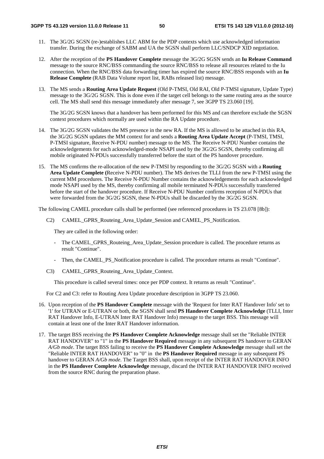- 11. The 3G/2G SGSN (re-)establishes LLC ABM for the PDP contexts which use acknowledged information transfer. During the exchange of SABM and UA the SGSN shall perform LLC/SNDCP XID negotiation.
- 12. After the reception of the **PS Handover Complete** message the 3G/2G SGSN sends an **Iu Release Command** message to the source RNC/BSS commanding the source RNC/BSS to release all resources related to the Iu connection. When the RNC/BSS data forwarding timer has expired the source RNC/BSS responds with an **Iu Release Complete** (RAB Data Volume report list, RABs released list) message.
- 13. The MS sends a **Routing Area Update Request** (Old P-TMSI, Old RAI, Old P-TMSI signature, Update Type) message to the 3G/2G SGSN. This is done even if the target cell belongs to the same routing area as the source cell. The MS shall send this message immediately after message 7, see 3GPP TS 23.060 [19].

The 3G/2G SGSN knows that a handover has been performed for this MS and can therefore exclude the SGSN context procedures which normally are used within the RA Update procedure.

- 14. The 3G/2G SGSN validates the MS presence in the new RA. If the MS is allowed to be attached in this RA, the 3G/2G SGSN updates the MM context for and sends a **Routing Area Update Accept** (P-TMSI, TMSI, P-TMSI signature, Receive N-PDU number) message to the MS. The Receive N-PDU Number contains the acknowledgements for each acknowledged-mode NSAPI used by the 3G/2G SGSN, thereby confirming all mobile originated N-PDUs successfully transferred before the start of the PS handover procedure.
- 15. The MS confirms the re-allocation of the new P-TMSI by responding to the 3G/2G SGSN with a **Routing Area Update Complete (**Receive N-PDU number). The MS derives the TLLI from the new P-TMSI using the current MM procedures. The Receive N-PDU Number contains the acknowledgements for each acknowledged mode NSAPI used by the MS, thereby confirming all mobile terminated N-PDUs successfully transferred before the start of the handover procedure. If Receive N-PDU Number confirms reception of N-PDUs that were forwarded from the 3G/2G SGSN, these N-PDUs shall be discarded by the 3G/2G SGSN.

The following CAMEL procedure calls shall be performed (see referenced procedures in TS 23.078 [8b]):

C2) CAMEL GPRS Routeing Area Update Session and CAMEL PS Notification.

They are called in the following order:

- The CAMEL GPRS Routeing Area Update Session procedure is called. The procedure returns as result "Continue".
- Then, the CAMEL PS Notification procedure is called. The procedure returns as result "Continue".
- C3) CAMEL\_GPRS\_Routeing\_Area\_Update\_Context.

This procedure is called several times: once per PDP context. It returns as result "Continue".

For C2 and C3: refer to Routing Area Update procedure description in 3GPP TS 23.060.

- 16. Upon reception of the **PS Handover Complete** message with the 'Request for Inter RAT Handover Info' set to '1' for UTRAN or E-UTRAN or both, the SGSN shall send **PS Handover Complete Acknowledge** (TLLI, Inter RAT Handover Info, E-UTRAN Inter RAT Handover Info) message to the target BSS. This message will contain at least one of the Inter RAT Handover information.
- 17. The target BSS receiving the **PS Handover Complete Acknowledge** message shall set the "Reliable INTER RAT HANDOVER" to "1" in the **PS Handover Required** message in any subsequent PS handover to GERAN *A/Gb mode*. The target BSS failing to receive the **PS Handover Complete Acknowledge** message shall set the "Reliable INTER RAT HANDOVER" to "0" in the **PS Handover Required** message in any subsequent PS handover to GERAN *A/Gb mode*. The Target BSS shall, upon receipt of the INTER RAT HANDOVER INFO in the **PS Handover Complete Acknowledge** message, discard the INTER RAT HANDOVER INFO received from the source RNC during the preparation phase.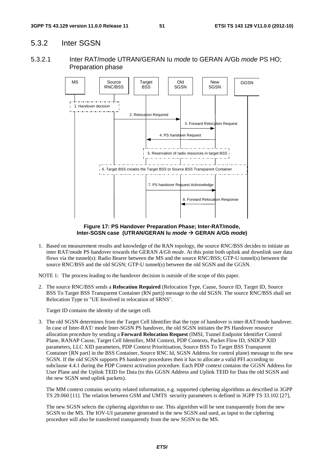### 5.3.2 Inter SGSN

5.3.2.1 Inter RAT/mode UTRAN/GERAN Iu *mode* to GERAN A/Gb *mode* PS HO; Preparation phase



**Figure 17: PS Handover Preparation Phase; Inter-RAT/mode, Inter-SGSN case (UTRAN/GERAN Iu** *mode*  **GERAN A/Gb** *mode***)** 

1. Based on measurement results and knowledge of the RAN topology, the source RNC/BSS decides to initiate an inter RAT/mode PS handover towards the GERAN *A/Gb mode*. At this point both uplink and downlink user data flows via the tunnel(s): Radio Bearer between the MS and the source RNC/BSS; GTP-U tunnel(s) between the source RNC/BSS and the old SGSN; GTP-U tunnel(s) between the old SGSN and the GGSN.

NOTE 1: The process leading to the handover decision is outside of the scope of this paper.

2. The source RNC/BSS sends a **Relocation Required** (Relocation Type, Cause, Source ID, Target ID, Source BSS To Target BSS Transparent Container (RN part)) message to the old SGSN. The source RNC/BSS shall set Relocation Type to "UE Involved in relocation of SRNS".

Target ID contains the identity of the target cell.

3. The old SGSN determines from the Target Cell Identifier that the type of handover is inter-RAT/mode handover. In case of Inter-RAT/ mode Inter-SGSN PS handover, the old SGSN initiates the PS Handover resource allocation procedure by sending a **Forward Relocation Request** (IMSI, Tunnel Endpoint Identifier Control Plane, RANAP Cause, Target Cell Identifier, MM Context, PDP Contexts, Packet Flow ID, SNDCP XID parameters, LLC XID parameters, PDP Context Prioritisation, Source BSS To Target BSS Transparent Container [RN part] in the BSS Container, Source RNC Id, SGSN Address for control plane) message to the new SGSN. If the old SGSN supports PS handover procedures then it has to allocate a valid PFI according to subclause 4.4.1 during the PDP Context activation procedure. Each PDP context contains the GGSN Address for User Plane and the Uplink TEID for Data (to this GGSN Address and Uplink TEID for Data the old SGSN and the new SGSN send uplink packets).

The MM context contains security related information, e.g. supported ciphering algorithms as described in 3GPP TS 29.060 [11]. The relation between GSM and UMTS security parameters is defined in 3GPP TS 33.102 [27],

 The new SGSN selects the ciphering algorithm to use. This algorithm will be sent transparently from the new SGSN to the MS. The IOV-UI parameter generated in the new SGSN and used, as input to the ciphering procedure will also be transferred transparently from the new SGSN to the MS.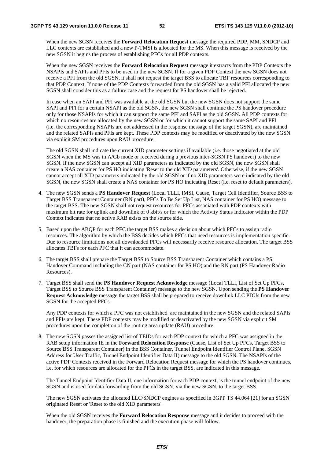When the new SGSN receives the **Forward Relocation Request** message the required PDP, MM, SNDCP and LLC contexts are established and a new P-TMSI is allocated for the MS. When this message is received by the new SGSN it begins the process of establishing PFCs for all PDP contexts.

 When the new SGSN receives the **Forward Relocation Request** message it extracts from the PDP Contexts the NSAPIs and SAPIs and PFIs to be used in the new SGSN. If for a given PDP Context the new SGSN does not receive a PFI from the old SGSN, it shall not request the target BSS to allocate TBF resources corresponding to that PDP Context. If none of the PDP Contexts forwarded from the old SGSN has a valid PFI allocated the new SGSN shall consider this as a failure case and the request for PS handover shall be rejected.

 In case when an SAPI and PFI was available at the old SGSN but the new SGSN does not support the same SAPI and PFI for a certain NSAPI as the old SGSN, the new SGSN shall continue the PS handover procedure only for those NSAPIs for which it can support the same PFI and SAPI as the old SGSN. All PDP contexts for which no resources are allocated by the new SGSN or for which it cannot support the same SAPI and PFI (i.e. the corresponding NSAPIs are not addressed in the response message of the target SGSN), are maintained and the related SAPIs and PFIs are kept. These PDP contexts may be modified or deactivated by the new SGSN via explicit SM procedures upon RAU procedure.

 The old SGSN shall indicate the current XID parameter settings if available (i.e. those negotiated at the old SGSN when the MS was in A/Gb mode or received during a previous inter-SGSN PS handover) to the new SGSN. If the new SGSN can accept all XID parameters as indicated by the old SGSN, the new SGSN shall create a NAS container for PS HO indicating 'Reset to the old XID parameters'. Otherwise, if the new SGSN cannot accept all XID parameters indicated by the old SGSN or if no XID parameters were indicated by the old SGSN, the new SGSN shall create a NAS container for PS HO indicating Reset (i.e. reset to default parameters).

- 4. The new SGSN sends a **PS Handover Request** (Local TLLI, IMSI, Cause, Target Cell Identifier, Source BSS to Target BSS Transparent Container (RN part), PFCs To Be Set Up List, NAS container for PS HO) message to the target BSS. The new SGSN shall not request resources for PFCs associated with PDP contexts with maximum bit rate for uplink and downlink of 0 kbit/s or for which the Activity Status Indicator within the PDP Context indicates that no active RAB exists on the source side.
- 5. Based upon the ABQP for each PFC the target BSS makes a decision about which PFCs to assign radio resources. The algorithm by which the BSS decides which PFCs that need resources is implementation specific. Due to resource limitations not all downloaded PFCs will necessarily receive resource allocation. The target BSS allocates TBFs for each PFC that it can accommodate.
- 6. The target BSS shall prepare the Target BSS to Source BSS Transparent Container which contains a PS Handover Command including the CN part (NAS container for PS HO) and the RN part (PS Handover Radio Resources).
- 7. Target BSS shall send the **PS Handover Request Acknowledge** message (Local TLLI, List of Set Up PFCs, Target BSS to Source BSS Transparent Container) message to the new SGSN. Upon sending the **PS Handover Request Acknowledge** message the target BSS shall be prepared to receive downlink LLC PDUs from the new SGSN for the accepted PFCs.

 Any PDP contexts for which a PFC was not established are maintained in the new SGSN and the related SAPIs and PFIs are kept. These PDP contexts may be modified or deactivated by the new SGSN via explicit SM procedures upon the completion of the routing area update (RAU) procedure.

8. The new SGSN passes the assigned list of TEIDs for each PDP context for which a PFC was assigned in the RAB setup information IE in the **Forward Relocation Response** (Cause, List of Set Up PFCs, Target BSS to Source BSS Transparent Container) in the BSS Container, Tunnel Endpoint Identifier Control Plane, SGSN Address for User Traffic, Tunnel Endpoint Identifier Data II) message to the old SGSN. The NSAPIs of the active PDP Contexts received in the Forward Relocation Request message for which the PS handover continues, i.e. for which resources are allocated for the PFCs in the target BSS, are indicated in this message.

The Tunnel Endpoint Identifier Data II, one information for each PDP context, is the tunnel endpoint of the new SGSN and is used for data forwarding from the old SGSN, via the new SGSN, to the target BSS.

 The new SGSN activates the allocated LLC/SNDCP engines as specified in 3GPP TS 44.064 [21] for an SGSN originated Reset or 'Reset to the old XID parameters'.

 When the old SGSN receives the **Forward Relocation Response** message and it decides to proceed with the handover, the preparation phase is finished and the execution phase will follow.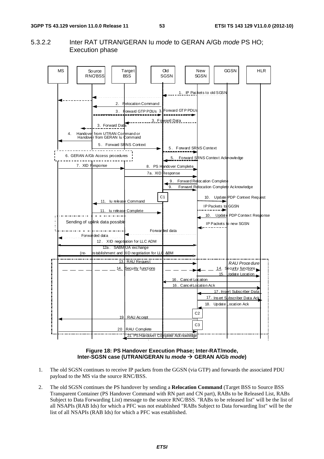### 5.3.2.2 Inter RAT UTRAN/GERAN Iu *mode* to GERAN A/Gb *mode* PS HO; Execution phase



#### **Figure 18: PS Handover Execution Phase; Inter-RAT/mode, Inter-SGSN case (UTRAN/GERAN Iu** *mode*  **GERAN A/Gb** *mode***)**

- 1. The old SGSN continues to receive IP packets from the GGSN (via GTP) and forwards the associated PDU payload to the MS via the source RNC/BSS.
- 2. The old SGSN continues the PS handover by sending a **Relocation Command** (Target BSS to Source BSS Transparent Container (PS Handover Command with RN part and CN part), RABs to be Released List, RABs Subject to Data Forwarding List) message to the source RNC/BSS. "RABs to be released list" will be the list of all NSAPIs (RAB Ids) for which a PFC was not established "RABs Subject to Data forwarding list" will be the list of all NSAPIs (RAB Ids) for which a PFC was established.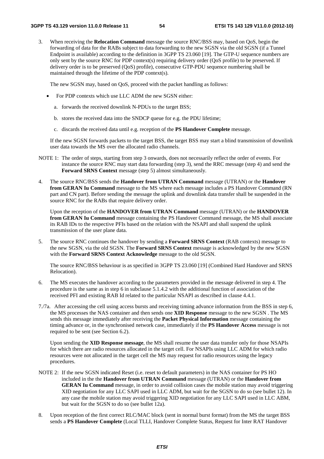3. When receiving the **Relocation Command** message the source RNC/BSS may, based on QoS, begin the forwarding of data for the RABs subject to data forwarding to the new SGSN via the old SGSN (if a Tunnel Endpoint is available) according to the definition in 3GPP TS 23.060 [19]. The GTP-U sequence numbers are only sent by the source RNC for PDP context(s) requiring delivery order (QoS profile) to be preserved. If delivery order is to be preserved (QoS) profile), consecutive GTP-PDU sequence numbering shall be maintained through the lifetime of the PDP context(s).

The new SGSN may, based on QoS, proceed with the packet handling as follows:

- For PDP contexts which use LLC ADM the new SGSN either:
	- a. forwards the received downlink N-PDUs to the target BSS;
	- b. stores the received data into the SNDCP queue for e.g. the PDU lifetime;
	- c. discards the received data until e.g. reception of the **PS Handover Complete** message.

 If the new SGSN forwards packets to the target BSS, the target BSS may start a blind transmission of downlink user data towards the MS over the allocated radio channels.

- NOTE 1: The order of steps, starting from step 3 onwards, does not necessarily reflect the order of events. For instance the source RNC may start data forwarding (step 3), send the RRC message (step 4) and send the **Forward SRNS Context** message (step 5) almost simultaneously.
- 4. The source RNC/BSS sends the **Handover from UTRAN Command** message (UTRAN) or the **Handover from GERAN Iu Command** message to the MS where each message includes a PS Handover Command (RN part and CN part). Before sending the message the uplink and downlink data transfer shall be suspended in the source RNC for the RABs that require delivery order.

 Upon the reception of the **HANDOVER from UTRAN Command** message (UTRAN) or the **HANDOVER from GERAN Iu Command** message containing the PS Handover Command message, the MS shall associate its RAB IDs to the respective PFIs based on the relation with the NSAPI and shall suspend the uplink transmission of the user plane data.

5. The source RNC continues the handover by sending a **Forward SRNS Context** (RAB contexts) message to the new SGSN, via the old SGSN. The **Forward SRNS Context** message is acknowledged by the new SGSN with the **Forward SRNS Context Acknowledge** message to the old SGSN.

 The source RNC/BSS behaviour is as specified in 3GPP TS 23.060 [19] (Combined Hard Handover and SRNS Relocation).

- 6. The MS executes the handover according to the parameters provided in the message delivered in step 4. The procedure is the same as in step 6 in subclause 5.1.4.2 with the additional function of association of the received PFI and existing RAB Id related to the particular NSAPI as described in clause 4.4.1.
- 7./7a. After accessing the cell using access bursts and receiving timing advance information from the BSS in step 6, the MS processes the NAS container and then sends one **XID Response** message to the new SGSN . The MS sends this message immediately after receiving the **Packet Physical Information** message containing the timing advance or, in the synchronised network case, immediately if the **PS Handover Access** message is not required to be sent (see Section 6.2).

Upon sending the **XID Response message**, the MS shall resume the user data transfer only for those NSAPIs for which there are radio resources allocated in the target cell. For NSAPIs using LLC ADM for which radio resources were not allocated in the target cell the MS may request for radio resources using the legacy procedures.

- NOTE 2: If the new SGSN indicated Reset (i.e. reset to default parameters) in the NAS container for PS HO included in the the **Handover from UTRAN Command** message (UTRAN) or the **Handover from GERAN Iu Command** message, in order to avoid collision cases the mobile station may avoid triggering XID negotiation for any LLC SAPI used in LLC ADM, but wait for the SGSN to do so (see bullet 12). In any case the mobile station may avoid triggering XID negotiation for any LLC SAPI used in LLC ABM, but wait for the SGSN to do so (see bullet 12a).
- 8. Upon reception of the first correct RLC/MAC block (sent in normal burst format) from the MS the target BSS sends a **PS Handover Complete** (Local TLLI, Handover Complete Status, Request for Inter RAT Handover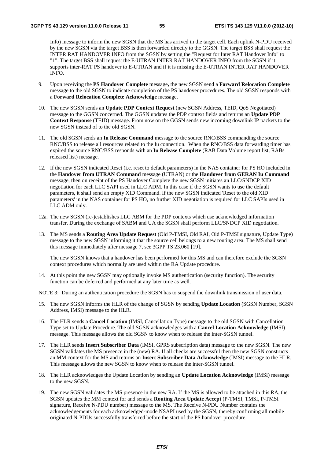Info) message to inform the new SGSN that the MS has arrived in the target cell. Each uplink N-PDU received by the new SGSN via the target BSS is then forwarded directly to the GGSN. The target BSS shall request the INTER RAT HANDOVER INFO from the SGSN by setting the "Request for Inter RAT Handover Info" to "1". The target BSS shall request the E-UTRAN INTER RAT HANDOVER INFO from the SGSN if it supports inter-RAT PS handover to E-UTRAN and if it is missing the E-UTRAN INTER RAT HANDOVER INFO.

- 9. Upon receiving the **PS Handover Complete** message**,** the new SGSN send a **Forward Relocation Complete** message to the old SGSN to indicate completion of the PS handover procedures. The old SGSN responds with a **Forward Relocation Complete Acknowledge** message.
- 10. The new SGSN sends an **Update PDP Context Request** (new SGSN Address, TEID, QoS Negotiated) message to the GGSN concerned. The GGSN updates the PDP context fields and returns an **Update PDP Context Response** (TEID) message. From now on the GGSN sends new incoming downlink IP packets to the new SGSN instead of to the old SGSN.
- 11. The old SGSN sends an **Iu Release Command** message to the source RNC/BSS commanding the source RNC/BSS to release all resources related to the Iu connection. When the RNC/BSS data forwarding timer has expired the source RNC/BSS responds with an **Iu Release Complete** (RAB Data Volume report list, RABs released list) message.
- 12. If the new SGSN indicated Reset (i.e. reset to default parameters) in the NAS container for PS HO included in the **Handover from UTRAN Command** message (UTRAN) or the **Handover from GERAN Iu Command** message, then on receipt of the PS Handover Complete the new SGSN initiates an LLC/SNDCP XID negotiation for each LLC SAPI used in LLC ADM. In this case if the SGSN wants to use the default parameters, it shall send an empty XID Command. If the new SGSN indicated 'Reset to the old XID parameters' in the NAS container for PS HO, no further XID negotiation is required for LLC SAPIs used in LLC ADM only.
- 12a. The new SGSN (re-)establishes LLC ABM for the PDP contexts which use acknowledged information transfer. During the exchange of SABM and UA the SGSN shall perform LLC/SNDCP XID negotiation.
- 13. The MS sends a **Routing Area Update Request** (Old P-TMSI, Old RAI, Old P-TMSI signature, Update Type) message to the new SGSN informing it that the source cell belongs to a new routing area. The MS shall send this message immediately after message 7, see 3GPP TS 23.060 [19].

 The new SGSN knows that a handover has been performed for this MS and can therefore exclude the SGSN context procedures which normally are used within the RA Update procedure.

14. At this point the new SGSN may optionally invoke MS authentication (security function). The security function can be deferred and performed at any later time as well.

NOTE 3: During an authentication procedure the SGSN has to suspend the downlink transmission of user data.

- 15. The new SGSN informs the HLR of the change of SGSN by sending **Update Location** (SGSN Number, SGSN Address, IMSI) message to the HLR.
- 16. The HLR sends a **Cancel Location** (IMSI, Cancellation Type) message to the old SGSN with Cancellation Type set to Update Procedure. The old SGSN acknowledges with a **Cancel Location Acknowledge** (IMSI) message. This message allows the old SGSN to know when to release the inter-SGSN tunnel.
- 17. The HLR sends **Insert Subscriber Data** (IMSI, GPRS subscription data) message to the new SGSN. The new SGSN validates the MS presence in the (new) RA. If all checks are successful then the new SGSN constructs an MM context for the MS and returns an **Insert Subscriber Data Acknowledge** (IMSI) message to the HLR. This message allows the new SGSN to know when to release the inter-SGSN tunnel.
- 18. The HLR acknowledges the Update Location by sending an **Update Location Acknowledge** (IMSI) message to the new SGSN.
- 19. The new SGSN validates the MS presence in the new RA. If the MS is allowed to be attached in this RA, the SGSN updates the MM context for and sends a **Routing Area Update Accept** (P-TMSI, TMSI, P-TMSI signature, Receive N-PDU number) message to the MS. The Receive N-PDU Number contains the acknowledgements for each acknowledged-mode NSAPI used by the SGSN, thereby confirming all mobile originated N-PDUs successfully transferred before the start of the PS handover procedure.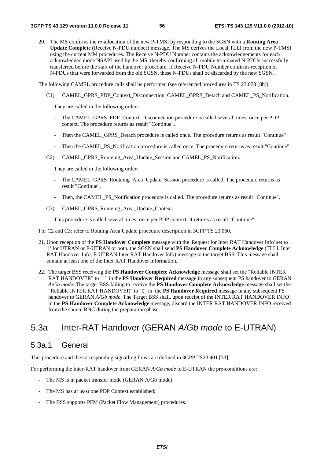20. The MS confirms the re-allocation of the new P-TMSI by responding to the SGSN with a **Routing Area Update Complete (**Receive N-PDU number) message. The MS derives the Local TLLI from the new P-TMSI using the current MM procedures. The Receive N-PDU Number contains the acknowledgements for each acknowledged mode NSAPI used by the MS, thereby confirming all mobile terminated N-PDUs successfully transferred before the start of the handover procedure. If Receive N-PDU Number confirms reception of N-PDUs that were forwarded from the old SGSN, these N-PDUs shall be discarded by the new SGSN.

The following CAMEL procedure calls shall be performed (see referenced procedures in TS 23.078 [8b])

C1) CAMEL\_GPRS\_PDP\_Context\_Disconnection, CAMEL\_GPRS\_Detach and CAMEL\_PS\_Notification.

They are called in the following order:

- The CAMEL GPRS PDP Context Disconnection procedure is called several times: once per PDP context. The procedure returns as result "Continue".
- Then the CAMEL\_GPRS\_Detach procedure is called once. The procedure returns as result "Continue"
- Then the CAMEL PS Notification procedure is called once. The procedure returns as result "Continue".
- C2) CAMEL\_GPRS\_Routeing\_Area\_Update\_Session and CAMEL\_PS\_Notification.

They are called in the following order:

- The CAMEL\_GPRS\_Routeing\_Area\_Update\_Session procedure is called. The procedure returns as result "Continue".
- Then, the CAMEL PS Notification procedure is called. The procedure returns as result "Continue".
- C3) CAMEL\_GPRS\_Routeing\_Area\_Update\_Context.

This procedure is called several times: once per PDP context. It returns as result "Continue".

For C2 and C3: refer to Routing Area Update procedure description in 3GPP TS 23.060.

- 21. Upon reception of the **PS Handover Complete** message with the 'Request for Inter RAT Handover Info' set to '1' for UTRAN or E-UTRAN or both, the SGSN shall send **PS Handover Complete Acknowledge** (TLLI, Inter RAT Handover Info, E-UTRAN Inter RAT Handover Info) message to the target BSS. This message shall contain at least one of the Inter RAT Handover information.
- 22. The target BSS receiving the **PS Handover Complete Acknowledge** message shall set the "Reliable INTER RAT HANDOVER" to "1" in the **PS Handover Required** message in any subsequent PS handover to GERAN *A/Gb mode*. The target BSS failing to receive the **PS Handover Complete Acknowledge** message shall set the "Reliable INTER RAT HANDOVER" to "0" in the **PS Handover Required** message in any subsequent PS handover to GERAN *A/Gb mode*. The Target BSS shall, upon receipt of the INTER RAT HANDOVER INFO in the **PS Handover Complete Acknowledge** message, discard the INTER RAT HANDOVER INFO received from the source RNC during the preparation phase.

# 5.3a Inter-RAT Handover (GERAN *A/Gb mode* to E-UTRAN)

# 5.3a.1 General

This procedure and the corresponding signalling flows are defined in 3GPP TS23.401 [33].

For performing the inter-RAT handover from GERAN *A/Gb mode* to E-UTRAN the pre-conditions are:

- The MS is in packet transfer mode (GERAN A/Gb mode);
- The MS has at least one PDP Context established:
- The BSS supports PFM (Packet Flow Management) procedures.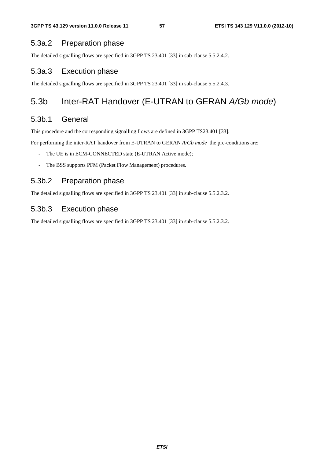# 5.3a.2 Preparation phase

The detailed signalling flows are specified in 3GPP TS 23.401 [33] in sub-clause 5.5.2.4.2.

# 5.3a.3 Execution phase

The detailed signalling flows are specified in 3GPP TS 23.401 [33] in sub-clause 5.5.2.4.3.

# 5.3b Inter-RAT Handover (E-UTRAN to GERAN *A/Gb mode*)

# 5.3b.1 General

This procedure and the corresponding signalling flows are defined in 3GPP TS23.401 [33].

For performing the inter-RAT handover from E-UTRAN to GERAN *A/Gb mode* the pre-conditions are:

- The UE is in ECM-CONNECTED state (E-UTRAN Active mode);
- The BSS supports PFM (Packet Flow Management) procedures.

# 5.3b.2 Preparation phase

The detailed signalling flows are specified in 3GPP TS 23.401 [33] in sub-clause 5.5.2.3.2.

# 5.3b.3 Execution phase

The detailed signalling flows are specified in 3GPP TS 23.401 [33] in sub-clause 5.5.2.3.2.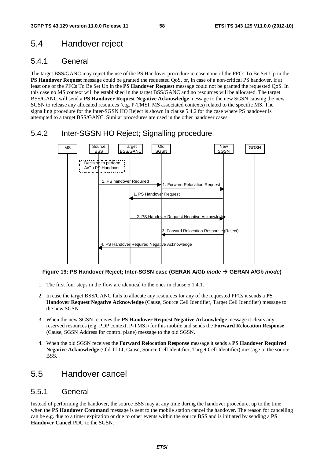# 5.4 Handover reject

# 5.4.1 General

The target BSS/GANC may reject the use of the PS Handover procedure in case none of the PFCs To Be Set Up in the **PS Handover Request** message could be granted the requested QoS, or, in case of a non-critical PS handover, if at least one of the PFCs To Be Set Up in the **PS Handover Request** message could not be granted the requested QoS. In this case no MS context will be established in the target BSS/GANC and no resources will be allocated. The target BSS/GANC will send a **PS Handover Request Negative Acknowledge** message to the new SGSN causing the new SGSN to release any allocated resources (e.g. P-TMSI, MS associated contexts) related to the specific MS. The signalling procedure for the Inter-SGSN HO Reject is shown in clause 5.4.2 for the case where PS handover is attempted to a target BSS/GANC. Similar procedures are used in the other handover cases.

# 5.4.2 Inter-SGSN HO Reject; Signalling procedure



#### **Figure 19: PS Handover Reject; Inter-SGSN case (GERAN A/Gb** *mode*  **GERAN A/Gb** *mode***)**

- 1. The first four steps in the flow are identical to the ones in clause 5.1.4.1.
- 2. In case the target BSS/GANC fails to allocate any resources for any of the requested PFCs it sends a **PS Handover Request Negative Acknowledge** (Cause, Source Cell Identifier, Target Cell Identifier) message to the new SGSN.
- 3. When the new SGSN receives the **PS Handover Request Negative Acknowledge** message it clears any reserved resources (e.g. PDP context, P-TMSI) for this mobile and sends the **Forward Relocation Response** (Cause, SGSN Address for control plane) message to the old SGSN.
- 4. When the old SGSN receives the **Forward Relocation Response** message it sends a **PS Handover Required Negative Acknowledge** (Old TLLI, Cause, Source Cell Identifier, Target Cell Identifier) message to the source BSS.

# 5.5 Handover cancel

# 5.5.1 General

Instead of performing the handover, the source BSS may at any time during the handover procedure, up to the time when the **PS Handover Command** message is sent to the mobile station cancel the handover. The reason for cancelling can be e.g. due to a timer expiration or due to other events within the source BSS and is initiated by sending a **PS Handover Cancel** PDU to the SGSN.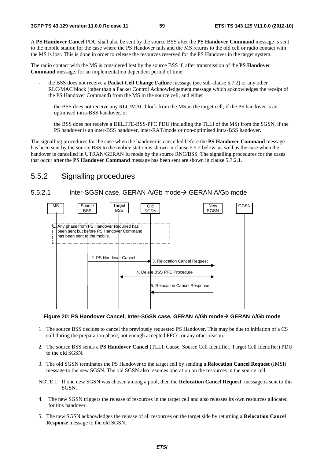A **PS Handover Cancel** PDU shall also be sent by the source BSS after the **PS Handover Command** message is sent to the mobile station for the case where the PS Handover fails and the MS returns to the old cell or radio contact with the MS is lost. This is done in order to release the resources reserved for the PS Handover in the target system.

The radio contact with the MS is considered lost by the source BSS if, after transmission of the **PS Handover Command** message, for an implementation dependent period of time:

- the BSS does not receive a **Packet Cell Change Failure** message (see sub-clause 5.7.2) or any other RLC/MAC block (other than a Packet Control Acknowledgement message which acknowledges the receipt of the PS Handover Command) from the MS in the source cell, and either

 the BSS does not receive any RLC/MAC block from the MS in the target cell, if the PS handover is an optimised intra-BSS handover, or

 the BSS does not receive a DELETE-BSS-PFC PDU (including the TLLI of the MS) from the SGSN, if the PS handover is an inter-BSS handover, inter-RAT/mode or non-optimised intra-BSS handover.

The signalling procedures for the case when the handover is cancelled before the **PS Handover Command** message has been sent by the source BSS to the mobile station is shown in clause 5.5.2 below, as well as the case when the handover is cancelled in UTRAN/GERAN Iu mode by the source RNC/BSS. The signalling procedures for the cases that occur after the **PS Handover Command** message has been sent are shown in clause 5.7.2.1.

# 5.5.2 Signalling procedures

# 5.5.2.1 Inter-SGSN case, GERAN A/Gb mode > GERAN A/Gb mode



#### Figure 20: PS Handover Cancel; Inter-SGSN case, GERAN A/Gb mode→ GERAN A/Gb mode

- 1. The source BSS decides to cancel the previously requested PS Handover. This may be due to initiation of a CS call during the preparation phase, not enough accepted PFCs, or any other reason.
- 2. The source BSS sends a **PS Handover Cancel** (TLLI, Cause, Source Cell Identifier, Target Cell Identifier) PDU to the old SGSN.
- 3. The old SGSN terminates the PS Handover to the target cell by sending a **Relocation Cancel Request** (IMSI) message to the new SGSN. The old SGSN also resumes operation on the resources in the source cell.
- NOTE 1: If one new SGSN was chosen among a pool, then the **Relocation Cancel Request** message is sent to this SGSN.
- 4. The new SGSN triggers the release of resources in the target cell and also releases its own resources allocated for this handover.
- 5. The new SGSN acknowledges the release of all resources on the target side by returning a **Relocation Cancel Response** message to the old SGSN.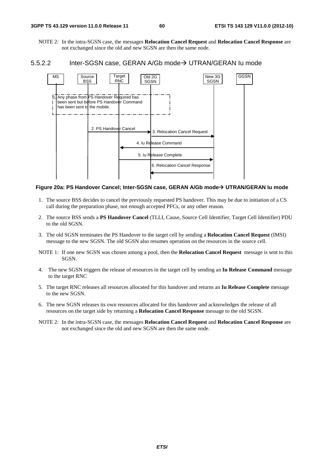- NOTE 2: In the intra-SGSN case, the messages **Relocation Cancel Request** and **Relocation Cancel Response** are not exchanged since the old and new SGSN are then the same node.
- 5.5.2.2 Inter-SGSN case, GERAN A/Gb mode→ UTRAN/GERAN Iu mode



**Figure 20a: PS Handover Cancel; Inter-SGSN case, GERAN A/Gb mode UTRAN/GERAN Iu mode** 

- 1. The source BSS decides to cancel the previously requested PS handover. This may be due to initiation of a CS call during the preparation phase, not enough accepted PFCs, or any other reason.
- 2. The source BSS sends a **PS Handover Cancel** (TLLI, Cause, Source Cell Identifier, Target Cell Identifier) PDU to the old SGSN.
- 3. The old SGSN terminates the PS Handover to the target cell by sending a **Relocation Cancel Request** (IMSI) message to the new SGSN. The old SGSN also resumes operation on the resources in the source cell.
- NOTE 1: If one new SGSN was chosen among a pool, then the **Relocation Cancel Request** message is sent to this SGSN.
- 4. The new SGSN triggers the release of resources in the target cell by sending an **Iu Release Command** message to the target RNC
- 5. The target RNC releases all resources allocated for this handover and returns an **Iu Release Complete** message to the new SGSN.
- 6. The new SGSN releases its own resources allocated for this handover and acknowledges the release of all resources on the target side by returning a **Relocation Cancel Response** message to the old SGSN.
- NOTE 2: In the intra-SGSN case, the messages **Relocation Cancel Request** and **Relocation Cancel Response** are not exchanged since the old and new SGSN are then the same node.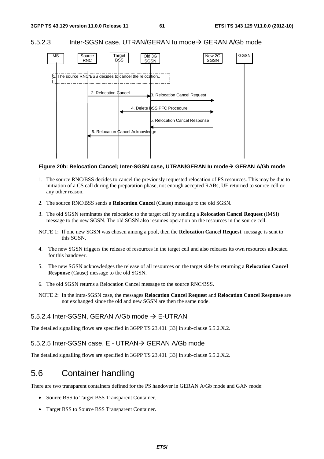# 5.5.2.3 Inter-SGSN case, UTRAN/GERAN Iu mode-> GERAN A/Gb mode



#### **Figure 20b: Relocation Cancel; Inter-SGSN case, UTRAN/GERAN Iu mode GERAN A/Gb mode**

- 1. The source RNC/BSS decides to cancel the previously requested relocation of PS resources. This may be due to initiation of a CS call during the preparation phase, not enough accepted RABs, UE returned to source cell or any other reason.
- 2. The source RNC/BSS sends a **Relocation Cancel** (Cause) message to the old SGSN.
- 3. The old SGSN terminates the relocation to the target cell by sending a **Relocation Cancel Request** (IMSI) message to the new SGSN. The old SGSN also resumes operation on the resources in the source cell.
- NOTE 1: If one new SGSN was chosen among a pool, then the **Relocation Cancel Request** message is sent to this SGSN.
- 4. The new SGSN triggers the release of resources in the target cell and also releases its own resources allocated for this handover.
- 5. The new SGSN acknowledges the release of all resources on the target side by returning a **Relocation Cancel Response** (Cause) message to the old SGSN.
- 6. The old SGSN returns a Relocation Cancel message to the source RNC/BSS.
- NOTE 2: In the intra-SGSN case, the messages **Relocation Cancel Request** and **Relocation Cancel Response** are not exchanged since the old and new SGSN are then the same node.

# 5.5.2.4 Inter-SGSN, GERAN A/Gb mode → E-UTRAN

The detailed signalling flows are specified in 3GPP TS 23.401 [33] in sub-clause 5.5.2.X.2.

# 5.5.2.5 Inter-SGSN case, E - UTRAN-> GERAN A/Gb mode

The detailed signalling flows are specified in 3GPP TS 23.401 [33] in sub-clause 5.5.2.X.2.

# 5.6 Container handling

There are two transparent containers defined for the PS handover in GERAN A/Gb mode and GAN mode:

- Source BSS to Target BSS Transparent Container.
- Target BSS to Source BSS Transparent Container.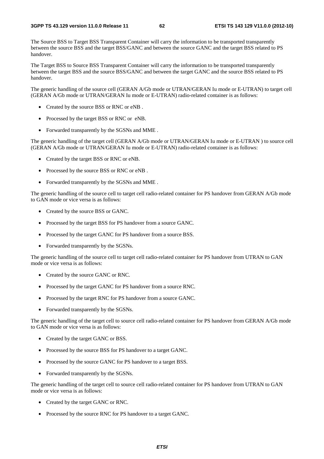The Source BSS to Target BSS Transparent Container will carry the information to be transported transparently between the source BSS and the target BSS/GANC and between the source GANC and the target BSS related to PS handover.

The Target BSS to Source BSS Transparent Container will carry the information to be transported transparently between the target BSS and the source BSS/GANC and between the target GANC and the source BSS related to PS handover.

The generic handling of the source cell (GERAN A/Gb mode or UTRAN/GERAN Iu mode or E-UTRAN) to target cell (GERAN A/Gb mode or UTRAN/GERAN Iu mode or E-UTRAN) radio-related container is as follows:

- Created by the source BSS or RNC or eNB .
- Processed by the target BSS or RNC or eNB.
- Forwarded transparently by the SGSNs and MME .

The generic handling of the target cell (GERAN A/Gb mode or UTRAN/GERAN Iu mode or E-UTRAN ) to source cell (GERAN A/Gb mode or UTRAN/GERAN Iu mode or E-UTRAN) radio-related container is as follows:

- Created by the target BSS or RNC or eNB.
- Processed by the source BSS or RNC or eNB .
- Forwarded transparently by the SGSNs and MME .

The generic handling of the source cell to target cell radio-related container for PS handover from GERAN A/Gb mode to GAN mode or vice versa is as follows:

- Created by the source BSS or GANC.
- Processed by the target BSS for PS handover from a source GANC.
- Processed by the target GANC for PS handover from a source BSS.
- Forwarded transparently by the SGSNs.

The generic handling of the source cell to target cell radio-related container for PS handover from UTRAN to GAN mode or vice versa is as follows:

- Created by the source GANC or RNC.
- Processed by the target GANC for PS handover from a source RNC.
- Processed by the target RNC for PS handover from a source GANC.
- Forwarded transparently by the SGSNs.

The generic handling of the target cell to source cell radio-related container for PS handover from GERAN A/Gb mode to GAN mode or vice versa is as follows:

- Created by the target GANC or BSS.
- Processed by the source BSS for PS handover to a target GANC.
- Processed by the source GANC for PS handover to a target BSS.
- Forwarded transparently by the SGSNs.

The generic handling of the target cell to source cell radio-related container for PS handover from UTRAN to GAN mode or vice versa is as follows:

- Created by the target GANC or RNC.
- Processed by the source RNC for PS handover to a target GANC.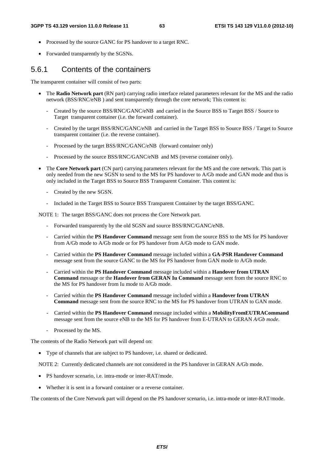- Processed by the source GANC for PS handover to a target RNC.
- Forwarded transparently by the SGSNs.

### 5.6.1 Contents of the containers

The transparent container will consist of two parts:

- The **Radio Network part** (RN part) carrying radio interface related parameters relevant for the MS and the radio network (BSS/RNC/eNB ) and sent transparently through the core network; This content is:
	- Created by the source BSS/RNC/GANC/eNB and carried in the Source BSS to Target BSS / Source to Target transparent container (i.e. the forward container).
	- Created by the target BSS/RNC/GANC/eNB and carried in the Target BSS to Source BSS / Target to Source transparent container (i.e. the reverse container).
	- Processed by the target BSS/RNC/GANC/eNB (forward container only)
	- Processed by the source BSS/RNC/GANC/eNB and MS (reverse container only).
- The **Core Network part** (CN part) carrying parameters relevant for the MS and the core network. This part is only needed from the new SGSN to send to the MS for PS handover to A/Gb mode and GAN mode and thus is only included in the Target BSS to Source BSS Transparent Container. This content is:
	- Created by the new SGSN.
	- Included in the Target BSS to Source BSS Transparent Container by the target BSS/GANC.

NOTE 1: The target BSS/GANC does not process the Core Network part.

- Forwarded transparently by the old SGSN and source BSS/RNC/GANC/eNB.
- Carried within the **PS Handover Command** message sent from the source BSS to the MS for PS handover from A/Gb mode to A/Gb mode or for PS handover from A/Gb mode to GAN mode.
- Carried within the **PS Handover Command** message included within a **GA-PSR Handover Command** message sent from the source GANC to the MS for PS handover from GAN mode to A/Gb mode.
- Carried within the **PS Handover Command** message included within a **Handover from UTRAN Command** message or the **Handover from GERAN Iu Command** message sent from the source RNC to the MS for PS handover from Iu mode to A/Gb mode.
- Carried within the **PS Handover Command** message included within a **Handover from UTRAN Command** message sent from the source RNC to the MS for PS handover from UTRAN to GAN mode.
- Carried within the **PS Handover Command** message included within a **MobilityFromEUTRACommand**  message sent from the source eNB to the MS for PS handover from E-UTRAN to GERAN *A/Gb mode*.
- Processed by the MS.

The contents of the Radio Network part will depend on:

• Type of channels that are subject to PS handover, i.e. shared or dedicated.

NOTE 2: Currently dedicated channels are not considered in the PS handover in GERAN A/Gb mode.

- PS handover scenario, i.e. intra-mode or inter-RAT/mode.
- Whether it is sent in a forward container or a reverse container.

The contents of the Core Network part will depend on the PS handover scenario, i.e. intra-mode or inter-RAT/mode.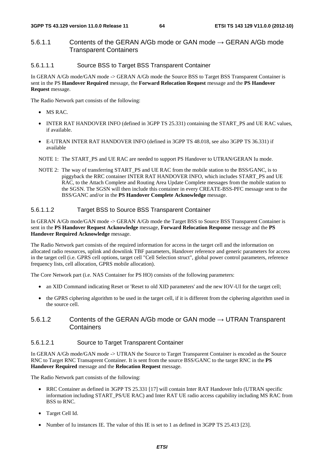### 5.6.1.1 Contents of the GERAN A/Gb mode or GAN mode  $\rightarrow$  GERAN A/Gb mode Transparent Containers

#### 5.6.1.1.1 Source BSS to Target BSS Transparent Container

In GERAN A/Gb mode/GAN mode -> GERAN A/Gb mode the Source BSS to Target BSS Transparent Container is sent in the PS **Handover Required** message, the **Forward Relocation Request** message and the **PS Handover Request** message.

The Radio Network part consists of the following:

- MS RAC.
- INTER RAT HANDOVER INFO (defined in 3GPP TS 25.331) containing the START PS and UE RAC values, if available.
- E-UTRAN INTER RAT HANDOVER INFO (defined in 3GPP TS 48.018, see also 3GPP TS 36.331) if available
- NOTE 1: The START PS and UE RAC are needed to support PS Handover to UTRAN/GERAN Iu mode.
- NOTE 2: The way of transferring START\_PS and UE RAC from the mobile station to the BSS/GANC, is to piggyback the RRC container INTER RAT HANDOVER INFO, which includes START\_PS and UE RAC, to the Attach Complete and Routing Area Update Complete messages from the mobile station to the SGSN. The SGSN will then include this container in every CREATE-BSS-PFC message sent to the BSS/GANC and/or in the **PS Handover Complete Acknowledge** message.

#### 5.6.1.1.2 Target BSS to Source BSS Transparent Container

In GERAN A/Gb mode/GAN mode -> GERAN A/Gb mode the Target BSS to Source BSS Transparent Container is sent in the **PS Handover Request Acknowledge** message, **Forward Relocation Response** message and the **PS Handover Required Acknowledge** message.

The Radio Network part consists of the required information for access in the target cell and the information on allocated radio resources, uplink and downlink TBF parameters, Handover reference and generic parameters for access in the target cell (i.e. GPRS cell options, target cell "Cell Selection struct", global power control parameters, reference frequency lists, cell allocation, GPRS mobile allocation).

The Core Network part (i.e. NAS Container for PS HO) consists of the following parameters:

- an XID Command indicating Reset or 'Reset to old XID parameters' and the new IOV-UI for the target cell;
- the GPRS ciphering algorithm to be used in the target cell, if it is different from the ciphering algorithm used in the source cell.

### $5.6.1.2$  Contents of the GERAN A/Gb mode or GAN mode  $\rightarrow$  UTRAN Transparent **Containers**

#### 5.6.1.2.1 Source to Target Transparent Container

In GERAN A/Gb mode/GAN mode -> UTRAN the Source to Target Transparent Container is encoded as the Source RNC to Target RNC Transaprent Container. It is sent from the source BSS/GANC to the target RNC in the **PS Handover Required** message and the **Relocation Request** message.

The Radio Network part consists of the following:

- RRC Container as defined in 3GPP TS 25.331 [17] will contain Inter RAT Handover Info (UTRAN specific information including START\_PS/UE RAC) and Inter RAT UE radio access capability including MS RAC from BSS to RNC.
- Target Cell Id.
- Number of Iu instances IE. The value of this IE is set to 1 as defined in 3GPP TS 25.413 [23].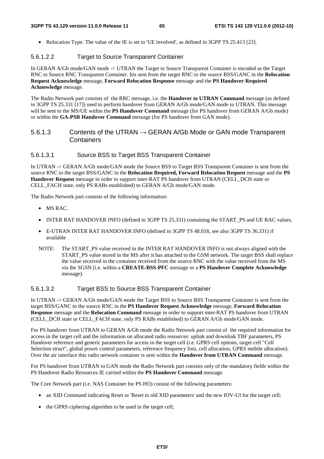• Relocation Type. The value of the IE is set to 'UE involved', as defined in 3GPP TS 25.413 [23].

#### 5.6.1.2.2 Target to Source Transparent Container

In GERAN A/Gb mode/GAN mode -> UTRAN the Target to Source Transparent Container is encoded as the Target RNC to Source RNC Transparent Container. Itis sent from the target RNC to the source BSS/GANC in the **Relocation Request Acknowledge** message, **Forward Relocation Response** message and the **PS Handover Required Acknowledge** message.

The Radio Network part consists of the RRC message, i.e. the **Handover to UTRAN Command** message (as defined in 3GPP TS 25.331 [17]) used to perform handover from GERAN A/Gb mode/GAN mode to UTRAN. This message will be sent to the MS/UE within the **PS Handover Command** message (for PS handover from GERAN A/Gb mode) or within the **GA-PSR Handover Command** message (for PS handover from GAN mode).

#### 5.6.1.3 Contents of the UTRAN  $\rightarrow$  GERAN A/Gb Mode or GAN mode Transparent **Containers**

#### 5.6.1.3.1 Source BSS to Target BSS Transparent Container

In UTRAN -> GERAN A/Gb mode/GAN mode the Source BSS to Target BSS Transparent Container is sent from the source RNC to the target BSS/GANC in the **Relocation Required, Forward Relocation Request** message and the **PS Handover Request** message in order to support inter-RAT PS handover from UTRAN (CELL\_DCH state or CELL\_FACH state, only PS RABs established) to GERAN A/Gb mode/GAN mode.

The Radio Network part consists of the following information:

- MS RAC.
- INTER RAT HANDOVER INFO (defined in 3GPP TS 25.331) containing the START\_PS and UE RAC values.
- E-UTRAN INTER RAT HANDOVER INFO (defined in 3GPP TS 48.018, see also 3GPP TS 36.331) if available
- NOTE: The START PS value received in the INTER RAT HANDOVER INFO is not always aligned with the START PS value stored in the MS after it has attached to the GSM network. The target BSS shall replace the value received in the container received from the source RNC with the value received from the MS via the SGSN (i.e. within a **CREATE-BSS-PFC** message or a **PS Handover Complete Acknowledge** message).

#### 5.6.1.3.2 Target BSS to Source BSS Transparent Container

In UTRAN -> GERAN A/Gb mode/GAN mode the Target BSS to Source BSS Transparent Container is sent from the target BSS/GANC to the source RNC in the **PS Handover Request Acknowledge** message, **Forward Relocation Response** message and the **Relocation Command** message in order to support inter-RAT PS handover from UTRAN (CELL\_DCH state or CELL\_FACH state, only PS RABs established) to GERAN A/Gb mode/GAN mode.

For PS handover from UTRAN to GERAN A/Gb mode the Radio Network part consist of the required information for access in the target cell and the information on allocated radio resources: uplink and downlink TBF parameters, PS Handover reference and generic parameters for access in the target cell (i.e. GPRS cell options, target cell "Cell Selection struct", global power control parameters, reference frequency lists, cell allocation, GPRS mobile allocation). Over the air interface this radio network container is sent within the **Handover from UTRAN Command** message.

For PS handover from UTRAN to GAN mode the Radio Network part consists only of the mandatory fields within the PS Handover Radio Resources IE carried within the **PS Handover Command** message.

The Core Network part (i.e. NAS Container for PS HO) consist of the following parameters:

- an XID Command indicating Reset or 'Reset to old XID parameters' and the new IOV-UI for the target cell;
- the GPRS ciphering algorithm to be used in the target cell;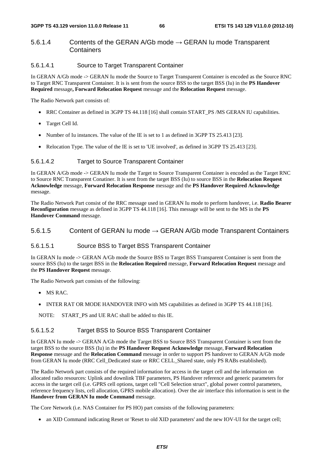### 5.6.1.4 Contents of the GERAN A/Gb mode  $\rightarrow$  GERAN Iu mode Transparent **Containers**

#### 5.6.1.4.1 Source to Target Transparent Container

In GERAN A/Gb mode -> GERAN Iu mode the Source to Target Transparent Container is encoded as the Source RNC to Target RNC Transparent Container. It is is sent from the source BSS to the target BSS (Iu) in the **PS Handover Required** message**, Forward Relocation Request** message and the **Relocation Request** message.

The Radio Network part consists of:

- RRC Container as defined in 3GPP TS 44.118 [16] shall contain START\_PS /MS GERAN IU capabilities.
- Target Cell Id.
- Number of Iu instances. The value of the IE is set to 1 as defined in 3GPP TS 25.413 [23].
- Relocation Type. The value of the IE is set to 'UE involved', as defined in 3GPP TS 25.413 [23].

#### 5.6.1.4.2 Target to Source Transparent Container

In GERAN A/Gb mode -> GERAN Iu mode the Target to Source Transparent Container is encoded as the Target RNC to Source RNC Transparent Conatiner. It is sent from the target BSS (Iu) to source BSS in the **Relocation Request Acknowledge** message, **Forward Relocation Response** message and the **PS Handover Required Acknowledge** message.

The Radio Network Part consist of the RRC message used in GERAN Iu mode to perform handover, i.e. **Radio Bearer Reconfiguration** message as defined in 3GPP TS 44.118 [16]. This message will be sent to the MS in the **PS Handover Command** message.

#### 5.6.1.5 Content of GERAN Iu mode  $\rightarrow$  GERAN A/Gb mode Transparent Containers

#### 5.6.1.5.1 Source BSS to Target BSS Transparent Container

In GERAN Iu mode -> GERAN A/Gb mode the Source BSS to Target BSS Transparent Container is sent from the source BSS (Iu) to the target BSS in the **Relocation Required** message, **Forward Relocation Request** message and the **PS Handover Request** message.

The Radio Network part consists of the following:

- MS RAC.
- INTER RAT OR MODE HANDOVER INFO with MS capabilities as defined in 3GPP TS 44.118 [16].

NOTE: START PS and UE RAC shall be added to this IE.

#### 5.6.1.5.2 Target BSS to Source BSS Transparent Container

In GERAN Iu mode -> GERAN A/Gb mode the Target BSS to Source BSS Transparent Container is sent from the target BSS to the source BSS (Iu) in the **PS Handover Request Acknowledge** message, **Forward Relocation Response** message and the **Relocation Command** message in order to support PS handover to GERAN A/Gb mode from GERAN Iu mode (RRC Cell\_Dedicated state or RRC CELL\_Shared state, only PS RABs established).

The Radio Network part consists of the required information for access in the target cell and the information on allocated radio resources: Uplink and downlink TBF parameters, PS Handover reference and generic parameters for access in the target cell (i.e. GPRS cell options, target cell "Cell Selection struct", global power control parameters, reference frequency lists, cell allocation, GPRS mobile allocation). Over the air interface this information is sent in the **Handover from GERAN Iu mode Command** message.

The Core Network (i.e. NAS Container for PS HO) part consists of the following parameters:

• an XID Command indicating Reset or 'Reset to old XID parameters' and the new IOV-UI for the target cell;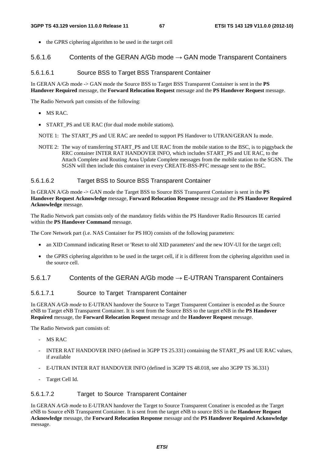the GPRS ciphering algorithm to be used in the target cell

#### 5.6.1.6 Contents of the GERAN A/Gb mode  $\rightarrow$  GAN mode Transparent Containers

#### 5.6.1.6.1 Source BSS to Target BSS Transparent Container

#### In GERAN A/Gb mode -> GAN mode the Source BSS to Target BSS Transparent Container is sent in the **PS Handover Required** message, the **Forward Relocation Request** message and the **PS Handover Request** message.

The Radio Network part consists of the following:

- MS RAC.
- START PS and UE RAC (for dual mode mobile stations).
- NOTE 1: The START PS and UE RAC are needed to support PS Handover to UTRAN/GERAN Iu mode.
- NOTE 2: The way of transferring START\_PS and UE RAC from the mobile station to the BSC, is to piggyback the RRC container INTER RAT HANDOVER INFO, which includes START\_PS and UE RAC, to the Attach Complete and Routing Area Update Complete messages from the mobile station to the SGSN. The SGSN will then include this container in every CREATE-BSS-PFC message sent to the BSC.

#### 5.6.1.6.2 Target BSS to Source BSS Transparent Container

In GERAN A/Gb mode -> GAN mode the Target BSS to Source BSS Transparent Container is sent in the **PS Handover Request Acknowledge** message, **Forward Relocation Response** message and the **PS Handover Required Acknowledge** message.

The Radio Network part consists only of the mandatory fields within the PS Handover Radio Resources IE carried within the **PS Handover Command** message.

The Core Network part (i.e. NAS Container for PS HO) consists of the following parameters:

- an XID Command indicating Reset or 'Reset to old XID parameters' and the new IOV-UI for the target cell;
- the GPRS ciphering algorithm to be used in the target cell, if it is different from the ciphering algorithm used in the source cell.

#### 5.6.1.7 Contents of the GERAN A/Gb mode  $\rightarrow$  E-UTRAN Transparent Containers

#### 5.6.1.7.1 Source to Target Transparent Container

In GERAN *A/Gb mode* to E-UTRAN handover the Source to Target Transparent Container is encoded as the Source eNB to Target eNB Transparent Container. It is sent from the Source BSS to the target eNB in the **PS Handover Required** message, the **Forward Relocation Request** message and the **Handover Request** message.

The Radio Network part consists of:

- MS RAC
- INTER RAT HANDOVER INFO (defined in 3GPP TS 25.331) containing the START PS and UE RAC values, if available
- E-UTRAN INTER RAT HANDOVER INFO (defined in 3GPP TS 48.018, see also 3GPP TS 36.331)
- Target Cell Id.

#### 5.6.1.7.2 Target to Source Transparent Container

In GERAN *A/Gb mo*de to E-UTRAN handover the Target to Source Transparent Conatiner is encoded as the Target eNB to Source eNB Transparent Container. It is sent from the target eNB to source BSS in the **Handover Request Acknowledge** message, the **Forward Relocation Response** message and the **PS Handover Required Acknowledge** message.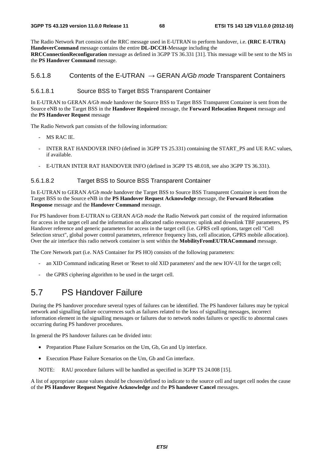The Radio Network Part consists of the RRC message used in E-UTRAN to perform handover, i.e. **(RRC E-UTRA) HandoverCommand** message contains the entire **DL-DCCH**-Message including the **RRCConnectionReconfiguration** message as defined in 3GPP TS 36.331 [31]. This message will be sent to the MS in the **PS Handover Command** message.

### 5.6.1.8 Contents of the E-UTRAN → GERAN *A/Gb mode* Transparent Containers

#### 5.6.1.8.1 Source BSS to Target BSS Transparent Container

In E-UTRAN to GERAN *A/Gb mode* handover the Source BSS to Target BSS Transparent Container is sent from the Source eNB to the Target BSS in the **Handover Required** message, the **Forward Relocation Request** message and the **PS Handover Request** message

The Radio Network part consists of the following information:

- MS RAC IE.
- INTER RAT HANDOVER INFO (defined in 3GPP TS 25.331) containing the START\_PS and UE RAC values, if available.
- E-UTRAN INTER RAT HANDOVER INFO (defined in 3GPP TS 48.018, see also 3GPP TS 36.331).

#### 5.6.1.8.2 Target BSS to Source BSS Transparent Container

In E-UTRAN to GERAN *A/Gb mode* handover the Target BSS to Source BSS Transparent Container is sent from the Target BSS to the Source eNB in the **PS Handover Request Acknowledge** message, the **Forward Relocation Response** message and the **Handover Command** message.

For PS handover from E-UTRAN to GERAN *A/Gb mode* the Radio Network part consist of the required information for access in the target cell and the information on allocated radio resources: uplink and downlink TBF parameters, PS Handover reference and generic parameters for access in the target cell (i.e. GPRS cell options, target cell "Cell Selection struct", global power control parameters, reference frequency lists, cell allocation, GPRS mobile allocation). Over the air interface this radio network container is sent within the **MobilityFromEUTRACommand** message.

The Core Network part (i.e. NAS Container for PS HO) consists of the following parameters:

- an XID Command indicating Reset or 'Reset to old XID parameters' and the new IOV-UI for the target cell;
- the GPRS ciphering algorithm to be used in the target cell.

# 5.7 PS Handover Failure

During the PS handover procedure several types of failures can be identified. The PS handover failures may be typical network and signalling failure occurrences such as failures related to the loss of signalling messages, incorrect information element in the signalling messages or failures due to network nodes failures or specific to abnormal cases occurring during PS handover procedures.

In general the PS handover failures can be divided into:

- Preparation Phase Failure Scenarios on the Um, Gb, Gn and Up interface.
- Execution Phase Failure Scenarios on the Um, Gb and Gn interface.

NOTE: RAU procedure failures will be handled as specified in 3GPP TS 24.008 [15].

A list of appropriate cause values should be chosen/defined to indicate to the source cell and target cell nodes the cause of the **PS Handover Request Negative Acknowledge** and the **PS handover Cancel** messages.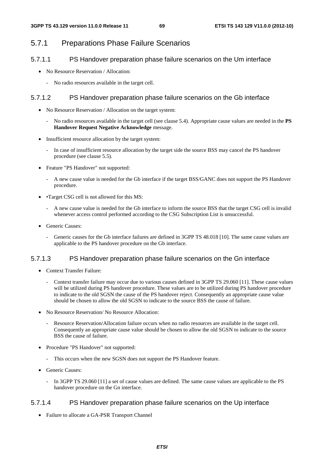# 5.7.1 Preparations Phase Failure Scenarios

### 5.7.1.1 PS Handover preparation phase failure scenarios on the Um interface

- No Resource Reservation / Allocation:
	- No radio resources available in the target cell.

# 5.7.1.2 PS Handover preparation phase failure scenarios on the Gb interface

- No Resource Reservation / Allocation on the target system:
	- No radio resources available in the target cell (see clause 5.4). Appropriate cause values are needed in the **PS Handover Request Negative Acknowledge** message.
- Insufficient resource allocation by the target system:
	- In case of insufficient resource allocation by the target side the source BSS may cancel the PS handover procedure (see clause 5.5).
- Feature "PS Handover" not supported:
	- A new cause value is needed for the Gb interface if the target BSS/GANC does not support the PS Handover procedure.
- •Target CSG cell is not allowed for this MS:
	- A new cause value is needed for the Gb interface to inform the source BSS that the target CSG cell is invalid whenever access control performed according to the CSG Subscription List is unsuccessful.
- Generic Causes:
	- Generic causes for the Gb interface failures are defined in 3GPP TS 48.018 [10]. The same cause values are applicable to the PS handover procedure on the Gb interface.

# 5.7.1.3 PS Handover preparation phase failure scenarios on the Gn interface

- Context Transfer Failure:
	- Context transfer failure may occur due to various causes defined in 3GPP TS 29.060 [11]. These cause values will be utilized during PS handover procedure. These values are to be utilized during PS handover procedure to indicate to the old SGSN the cause of the PS handover reject. Consequently an appropriate cause value should be chosen to allow the old SGSN to indicate to the source BSS the cause of failure.
- No Resource Reservation/ No Resource Allocation:
	- Resource Reservation/Allocation failure occurs when no radio resources are available in the target cell. Consequently an appropriate cause value should be chosen to allow the old SGSN to indicate to the source BSS the cause of failure.
- Procedure "PS Handover" not supported:
	- This occurs when the new SGSN does not support the PS Handover feature.
- Generic Causes:
	- In 3GPP TS 29.060 [11] a set of cause values are defined. The same cause values are applicable to the PS handover procedure on the Gn interface.

### 5.7.1.4 PS Handover preparation phase failure scenarios on the Up interface

• Failure to allocate a GA-PSR Transport Channel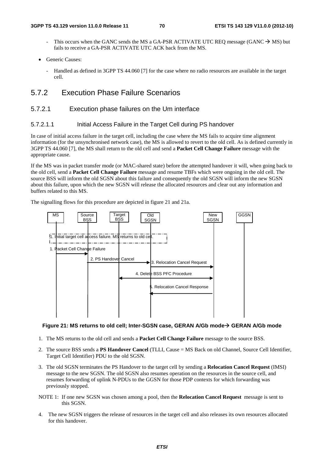- This occurs when the GANC sends the MS a GA-PSR ACTIVATE UTC REQ message (GANC  $\rightarrow$  MS) but fails to receive a GA-PSR ACTIVATE UTC ACK back from the MS.
- Generic Causes:
	- Handled as defined in 3GPP TS 44.060 [7] for the case where no radio resources are available in the target cell.

# 5.7.2 Execution Phase Failure Scenarios

### 5.7.2.1 Execution phase failures on the Um interface

#### 5.7.2.1.1 Initial Access Failure in the Target Cell during PS handover

In case of initial access failure in the target cell, including the case where the MS fails to acquire time alignment information (for the unsynchronised network case), the MS is allowed to revert to the old cell. As is defined currently in 3GPP TS 44.060 [7], the MS shall return to the old cell and send a **Packet Cell Change Failure** message with the appropriate cause.

If the MS was in packet transfer mode (or MAC-shared state) before the attempted handover it will, when going back to the old cell, send a **Packet Cell Change Failure** message and resume TBFs which were ongoing in the old cell. The source BSS will inform the old SGSN about this failure and consequently the old SGSN will inform the new SGSN about this failure, upon which the new SGSN will release the allocated resources and clear out any information and buffers related to this MS.

The signalling flows for this procedure are depicted in figure 21 and 21a.



#### **Figure 21: MS returns to old cell; Inter-SGSN case, GERAN A/Gb mode GERAN A/Gb mode**

- 1. The MS returns to the old cell and sends a **Packet Cell Change Failure** message to the source BSS.
- 2. The source BSS sends a **PS Handover Cancel** (TLLI, Cause = MS Back on old Channel, Source Cell Identifier, Target Cell Identifier) PDU to the old SGSN.
- 3. The old SGSN terminates the PS Handover to the target cell by sending a **Relocation Cancel Request** (IMSI) message to the new SGSN. The old SGSN also resumes operation on the resources in the source cell, and resumes forwarding of uplink N-PDUs to the GGSN for those PDP contexts for which forwarding was previously stopped.
- NOTE 1: If one new SGSN was chosen among a pool, then the **Relocation Cancel Request** message is sent to this SGSN.
- 4. The new SGSN triggers the release of resources in the target cell and also releases its own resources allocated for this handover.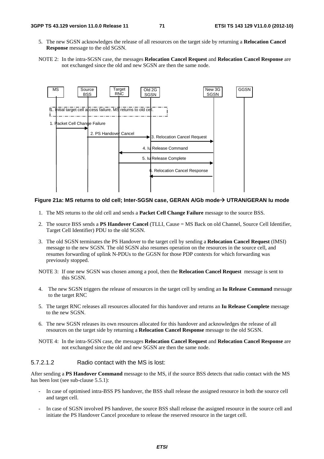- 5. The new SGSN acknowledges the release of all resources on the target side by returning a **Relocation Cancel Response** message to the old SGSN.
- NOTE 2: In the intra-SGSN case, the messages **Relocation Cancel Request** and **Relocation Cancel Response** are not exchanged since the old and new SGSN are then the same node.



#### **Figure 21a: MS returns to old cell; Inter-SGSN case, GERAN A/Gb mode UTRAN/GERAN Iu mode**

- 1. The MS returns to the old cell and sends a **Packet Cell Change Failure** message to the source BSS.
- 2. The source BSS sends a **PS Handover Cancel** (TLLI, Cause = MS Back on old Channel, Source Cell Identifier, Target Cell Identifier) PDU to the old SGSN.
- 3. The old SGSN terminates the PS Handover to the target cell by sending a **Relocation Cancel Request** (IMSI) message to the new SGSN. The old SGSN also resumes operation on the resources in the source cell, and resumes forwarding of uplink N-PDUs to the GGSN for those PDP contexts for which forwarding was previously stopped.
- NOTE 3: If one new SGSN was chosen among a pool, then the **Relocation Cancel Request** message is sent to this SGSN.
- 4. The new SGSN triggers the release of resources in the target cell by sending an **Iu Release Command** message to the target RNC
- 5. The target RNC releases all resources allocated for this handover and returns an **Iu Release Complete** message to the new SGSN.
- 6. The new SGSN releases its own resources allocated for this handover and acknowledges the release of all resources on the target side by returning a **Relocation Cancel Response** message to the old SGSN.
- NOTE 4: In the intra-SGSN case, the messages **Relocation Cancel Request** and **Relocation Cancel Response** are not exchanged since the old and new SGSN are then the same node.

#### 5.7.2.1.2 Radio contact with the MS is lost:

After sending a **PS Handover Command** message to the MS, if the source BSS detects that radio contact with the MS has been lost (see sub-clause 5.5.1):

- In case of optimised intra-BSS PS handover, the BSS shall release the assigned resource in both the source cell and target cell.
- In case of SGSN involved PS handover, the source BSS shall release the assigned resource in the source cell and initiate the PS Handover Cancel procedure to release the reserved resource in the target cell.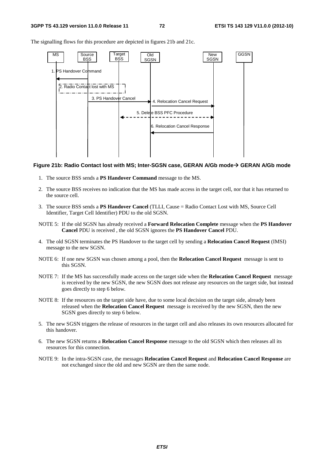The signalling flows for this procedure are depicted in figures 21b and 21c.



#### **Figure 21b: Radio Contact lost with MS; Inter-SGSN case, GERAN A/Gb mode GERAN A/Gb mode**

- 1. The source BSS sends a **PS Handover Command** message to the MS.
- 2. The source BSS receives no indication that the MS has made access in the target cell, nor that it has returned to the source cell.
- 3. The source BSS sends a **PS Handover Cancel** (TLLI, Cause = Radio Contact Lost with MS, Source Cell Identifier, Target Cell Identifier) PDU to the old SGSN.
- NOTE 5: If the old SGSN has already received a **Forward Relocation Complete** message when the **PS Handover Cancel** PDU is received , the old SGSN ignores the **PS Handover Cancel** PDU.
- 4. The old SGSN terminates the PS Handover to the target cell by sending a **Relocation Cancel Request** (IMSI) message to the new SGSN.
- NOTE 6: If one new SGSN was chosen among a pool, then the **Relocation Cancel Request** message is sent to this SGSN.
- NOTE 7: If the MS has successfully made access on the target side when the **Relocation Cancel Request** message is received by the new SGSN, the new SGSN does not release any resources on the target side, but instead goes directly to step 6 below.
- NOTE 8: If the resources on the target side have, due to some local decision on the target side, already been released when the **Relocation Cancel Request** message is received by the new SGSN, then the new SGSN goes directly to step 6 below.
- 5. The new SGSN triggers the release of resources in the target cell and also releases its own resources allocated for this handover.
- 6. The new SGSN returns a **Relocation Cancel Response** message to the old SGSN which then releases all its resources for this connection.
- NOTE 9: In the intra-SGSN case, the messages **Relocation Cancel Request** and **Relocation Cancel Response** are not exchanged since the old and new SGSN are then the same node.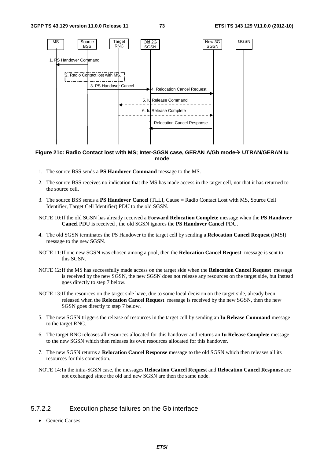

#### **Figure 21c: Radio Contact lost with MS; Inter-SGSN case, GERAN A/Gb mode UTRAN/GERAN Iu mode**

- 1. The source BSS sends a **PS Handover Command** message to the MS.
- 2. The source BSS receives no indication that the MS has made access in the target cell, nor that it has returned to the source cell.
- 3. The source BSS sends a **PS Handover Cancel** (TLLI, Cause = Radio Contact Lost with MS, Source Cell Identifier, Target Cell Identifier) PDU to the old SGSN.
- NOTE 10: If the old SGSN has already received a **Forward Relocation Complete** message when the **PS Handover Cancel** PDU is received , the old SGSN ignores the **PS Handover Cancel** PDU.
- 4. The old SGSN terminates the PS Handover to the target cell by sending a **Relocation Cancel Request** (IMSI) message to the new SGSN.
- NOTE 11: If one new SGSN was chosen among a pool, then the **Relocation Cancel Request** message is sent to this SGSN.
- NOTE 12: If the MS has successfully made access on the target side when the **Relocation Cancel Request** message is received by the new SGSN, the new SGSN does not release any resources on the target side, but instead goes directly to step 7 below.
- NOTE 13: If the resources on the target side have, due to some local decision on the target side, already been released when the **Relocation Cancel Request** message is received by the new SGSN, then the new SGSN goes directly to step 7 below.
- 5. The new SGSN triggers the release of resources in the target cell by sending an **Iu Release Command** message to the target RNC.
- 6. The target RNC releases all resources allocated for this handover and returns an **Iu Release Complete** message to the new SGSN which then releases its own resources allocated for this handover.
- 7. The new SGSN returns a **Relocation Cancel Response** message to the old SGSN which then releases all its resources for this connection.
- NOTE 14: In the intra-SGSN case, the messages **Relocation Cancel Request** and **Relocation Cancel Response** are not exchanged since the old and new SGSN are then the same node.

#### 5.7.2.2 Execution phase failures on the Gb interface

• Generic Causes: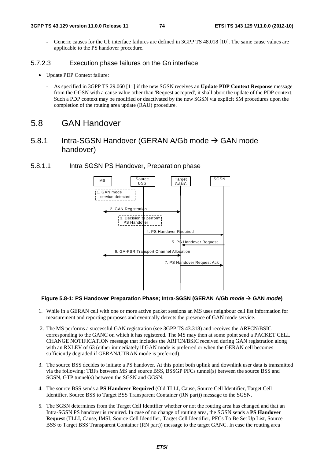Generic causes for the Gb interface failures are defined in 3GPP TS 48.018 [10]. The same cause values are applicable to the PS handover procedure.

### 5.7.2.3 Execution phase failures on the Gn interface

- Update PDP Context failure:
	- As specified in 3GPP TS 29.060 [11] if the new SGSN receives an **Update PDP Context Response** message from the GGSN with a cause value other than 'Request accepted', it shall abort the update of the PDP context. Such a PDP context may be modified or deactivated by the new SGSN via explicit SM procedures upon the completion of the routing area update (RAU) procedure.

### 5.8 GAN Handover

### 5.8.1 Intra-SGSN Handover (GERAN A/Gb mode  $\rightarrow$  GAN mode handover)

5.8.1.1 Intra SGSN PS Handover, Preparation phase



#### **Figure 5.8-1: PS Handover Preparation Phase; Intra-SGSN (GERAN A/Gb** *mode*  **GAN** *mode***)**

- 1. While in a GERAN cell with one or more active packet sessions an MS uses neighbour cell list information for measurement and reporting purposes and eventually detects the presence of GAN mode service.
- 2. The MS performs a successful GAN registration (see 3GPP TS 43.318) and receives the ARFCN/BSIC corresponding to the GANC on which it has registered. The MS may then at some point send a PACKET CELL CHANGE NOTIFICATION message that includes the ARFCN/BSIC received during GAN registration along with an RXLEV of 63 (either immediately if GAN mode is preferred or when the GERAN cell becomes sufficiently degraded if GERAN/UTRAN mode is preferred).
- 3. The source BSS decides to initiate a PS handover. At this point both uplink and downlink user data is transmitted via the following: TBFs between MS and source BSS, BSSGP PFCs tunnel(s) between the source BSS and SGSN, GTP tunnel(s) between the SGSN and GGSN.
- 4. The source BSS sends a **PS Handover Required** (Old TLLI, Cause, Source Cell Identifier, Target Cell Identifier, Source BSS to Target BSS Transparent Container (RN part)) message to the SGSN.
- 5. The SGSN determines from the Target Cell Identifier whether or not the routing area has changed and that an Intra-SGSN PS handover is required. In case of no change of routing area, the SGSN sends a **PS Handover Request** (TLLI, Cause, IMSI, Source Cell Identifier, Target Cell Identifier, PFCs To Be Set Up List, Source BSS to Target BSS Transparent Container (RN part)) message to the target GANC. In case the routing area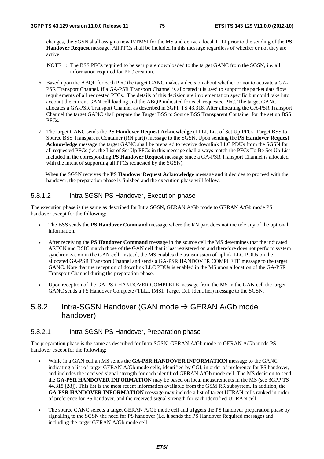changes, the SGSN shall assign a new P-TMSI for the MS and derive a local TLLI prior to the sending of the **PS Handover Request** message. All PFCs shall be included in this message regardless of whether or not they are active.

- NOTE 1: The BSS PFCs required to be set up are downloaded to the target GANC from the SGSN, i.e. all information required for PFC creation.
- 6. Based upon the ABQP for each PFC the target GANC makes a decision about whether or not to activate a GA-PSR Transport Channel. If a GA-PSR Transport Channel is allocated it is used to support the packet data flow requirements of all requested PFCs. The details of this decision are implementation specific but could take into account the current GAN cell loading and the ABQP indicated for each requested PFC. The target GANC allocates a GA-PSR Transport Channel as described in 3GPP TS 43.318. After allocating the GA-PSR Transport Channel the target GANC shall prepare the Target BSS to Source BSS Transparent Container for the set up BSS PFCs.
- 7. The target GANC sends the **PS Handover Request Acknowledge** (TLLI, List of Set Up PFCs, Target BSS to Source BSS Transparent Container (RN part)) message to the SGSN. Upon sending the **PS Handover Request Acknowledge** message the target GANC shall be prepared to receive downlink LLC PDUs from the SGSN for all requested PFCs (i.e. the List of Set Up PFCs in this message shall always match the PFCs To Be Set Up List included in the corresponding **PS Handover Request** message since a GA-PSR Transport Channel is allocated with the intent of supporting all PFCs requested by the SGSN).

When the SGSN receives the **PS Handover Request Acknowledge** message and it decides to proceed with the handover, the preparation phase is finished and the execution phase will follow.

### 5.8.1.2 Intra SGSN PS Handover, Execution phase

The execution phase is the same as described for Intra SGSN, GERAN A/Gb mode to GERAN A/Gb mode PS handover except for the following:

- The BSS sends the **PS Handover Command** message where the RN part does not include any of the optional information.
- After receiving the **PS Handover Command** message in the source cell the MS determines that the indicated ARFCN and BSIC match those of the GAN cell that it last registered on and therefore does not perform system synchronization in the GAN cell. Instead, the MS enables the transmission of uplink LLC PDUs on the allocated GA-PSR Transport Channel and sends a GA-PSR HANDOVER COMPLETE message to the target GANC. Note that the reception of downlink LLC PDUs is enabled in the MS upon allocation of the GA-PSR Transport Channel during the preparation phase.
- Upon reception of the GA-PSR HANDOVER COMPLETE message from the MS in the GAN cell the target GANC sends a PS Handover Complete (TLLI, IMSI, Target Cell Identifier) message to the SGSN.

### 5.8.2 Intra-SGSN Handover (GAN mode  $\rightarrow$  GERAN A/Gb mode handover)

#### 5.8.2.1 Intra SGSN PS Handover, Preparation phase

The preparation phase is the same as described for Intra SGSN, GERAN A/Gb mode to GERAN A/Gb mode PS handover except for the following:

- While in a GAN cell an MS sends the **GA-PSR HANDOVER INFORMATION** message to the GANC indicating a list of target GERAN A/Gb mode cells, identified by CGI, in order of preference for PS handover, and includes the received signal strength for each identified GERAN A/Gb mode cell. The MS decision to send the **GA-PSR HANDOVER INFORMATION** may be based on local measurements in the MS (see 3GPP TS 44.318 [28]). This list is the most recent information available from the GSM RR subsystem. In addition, the **GA-PSR HANDOVER INFORMATION** message may include a list of target UTRAN cells ranked in order of preference for PS handover, and the received signal strength for each identified UTRAN cell.
- The source GANC selects a target GERAN A/Gb mode cell and triggers the PS handover preparation phase by signalling to the SGSN the need for PS handover (i.e. it sends the PS Handover Required message) and including the target GERAN A/Gb mode cell.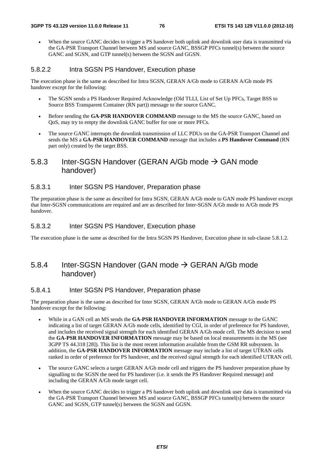When the source GANC decides to trigger a PS handover both uplink and downlink user data is transmitted via the GA-PSR Transport Channel between MS and source GANC, BSSGP PFCs tunnel(s) between the source GANC and SGSN, and GTP tunnel(s) between the SGSN and GGSN.

### 5.8.2.2 Intra SGSN PS Handover, Execution phase

The execution phase is the same as described for Intra SGSN, GERAN A/Gb mode to GERAN A/Gb mode PS handover except for the following:

- The SGSN sends a PS Handover Required Acknowledge (Old TLLI, List of Set Up PFCs, Target BSS to Source BSS Transparent Container (RN part)) message to the source GANC.
- Before sending the **GA-PSR HANDOVER COMMAND** message to the MS the source GANC, based on QoS, may try to empty the downlink GANC buffer for one or more PFCs.
- The source GANC interrupts the downlink transmission of LLC PDUs on the GA-PSR Transport Channel and sends the MS a **GA-PSR HANDOVER COMMAND** message that includes a **PS Handover Command** (RN part only) created by the target BSS.

### 5.8.3 Inter-SGSN Handover (GERAN A/Gb mode  $\rightarrow$  GAN mode handover)

#### 5.8.3.1 Inter SGSN PS Handover, Preparation phase

The preparation phase is the same as described for Intra SGSN, GERAN A/Gb mode to GAN mode PS handover except that Inter-SGSN communications are required and are as described for Inter-SGSN A/Gb mode to A/Gb mode PS handover.

### 5.8.3.2 Inter SGSN PS Handover, Execution phase

The execution phase is the same as described for the Intra SGSN PS Handover, Execution phase in sub-clause 5.8.1.2.

### 5.8.4 Inter-SGSN Handover (GAN mode  $\rightarrow$  GERAN A/Gb mode handover)

### 5.8.4.1 Inter SGSN PS Handover, Preparation phase

The preparation phase is the same as described for Inter SGSN, GERAN A/Gb mode to GERAN A/Gb mode PS handover except for the following:

- While in a GAN cell an MS sends the **GA-PSR HANDOVER INFORMATION** message to the GANC indicating a list of target GERAN A/Gb mode cells, identified by CGI, in order of preference for PS handover, and includes the received signal strength for each identified GERAN A/Gb mode cell. The MS decision to send the **GA-PSR HANDOVER INFORMATION** message may be based on local measurements in the MS (see 3GPP TS 44.318 [28]). This list is the most recent information available from the GSM RR subsystem. In addition, the **GA-PSR HANDOVER INFORMATION** message may include a list of target UTRAN cells ranked in order of preference for PS handover, and the received signal strength for each identified UTRAN cell.
- The source GANC selects a target GERAN A/Gb mode cell and triggers the PS handover preparation phase by signalling to the SGSN the need for PS handover (i.e. it sends the PS Handover Required message) and including the GERAN A/Gb mode target cell.
- When the source GANC decides to trigger a PS handover both uplink and downlink user data is transmitted via the GA-PSR Transport Channel between MS and source GANC, BSSGP PFCs tunnel(s) between the source GANC and SGSN, GTP tunnel(s) between the SGSN and GGSN.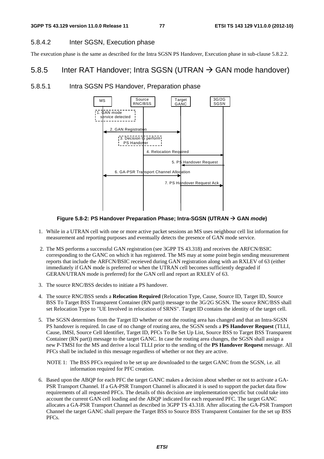#### 5.8.4.2 Inter SGSN, Execution phase

The execution phase is the same as described for the Intra SGSN PS Handover, Execution phase in sub-clause 5.8.2.2.

### 5.8.5 Inter RAT Handover; Intra SGSN (UTRAN  $\rightarrow$  GAN mode handover)

#### 5.8.5.1 Intra SGSN PS Handover, Preparation phase



**Figure 5.8-2: PS Handover Preparation Phase; Intra-SGSN (UTRAN → GAN** *mode***)** 

- 1. While in a UTRAN cell with one or more active packet sessions an MS uses neighbour cell list information for measurement and reporting purposes and eventually detects the presence of GAN mode service.
- 2. The MS performs a successful GAN registration (see 3GPP TS 43.318) and receives the ARFCN/BSIC corresponding to the GANC on which it has registered. The MS may at some point begin sending measurement reports that include the ARFCN/BSIC receieved during GAN registration along with an RXLEV of 63 (either immediately if GAN mode is preferred or when the UTRAN cell becomes sufficiently degraded if GERAN/UTRAN mode is preferred) for the GAN cell and report an RXLEV of 63.
- 3. The source RNC/BSS decides to initiate a PS handover.
- 4. The source RNC/BSS sends a **Relocation Required** (Relocation Type, Cause, Source ID, Target ID, Source BSS To Target BSS Transparent Container (RN part)) message to the 3G/2G SGSN. The source RNC/BSS shall set Relocation Type to "UE Involved in relocation of SRNS". Target ID contains the identity of the target cell.
- 5. The SGSN determines from the Target ID whether or not the routing area has changed and that an Intra-SGSN PS handover is required. In case of no change of routing area, the SGSN sends a **PS Handover Request** (TLLI, Cause, IMSI, Source Cell Identifier, Target ID, PFCs To Be Set Up List, Source BSS to Target BSS Transparent Container (RN part)) message to the target GANC. In case the routing area changes, the SGSN shall assign a new P-TMSI for the MS and derive a local TLLI prior to the sending of the **PS Handover Request** message. All PFCs shall be included in this message regardless of whether or not they are active.

NOTE 1: The BSS PFCs required to be set up are downloaded to the target GANC from the SGSN, i.e. all information required for PFC creation.

6. Based upon the ABQP for each PFC the target GANC makes a decision about whether or not to activate a GA-PSR Transport Channel. If a GA-PSR Transport Channel is allocated it is used to support the packet data flow requirements of all requested PFCs. The details of this decision are implementation specific but could take into account the current GAN cell loading and the ABQP indicated for each requested PFC. The target GANC allocates a GA-PSR Transport Channel as described in 3GPP TS 43.318. After allocating the GA-PSR Transport Channel the target GANC shall prepare the Target BSS to Source BSS Transparent Container for the set up BSS PFCs.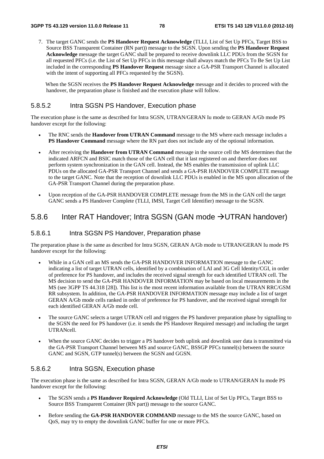7. The target GANC sends the **PS Handover Request Acknowledge** (TLLI, List of Set Up PFCs, Target BSS to Source BSS Transparent Container (RN part)) message to the SGSN. Upon sending the **PS Handover Request Acknowledge** message the target GANC shall be prepared to receive downlink LLC PDUs from the SGSN for all requested PFCs (i.e. the List of Set Up PFCs in this message shall always match the PFCs To Be Set Up List included in the corresponding **PS Handover Request** message since a GA-PSR Transport Channel is allocated with the intent of supporting all PFCs requested by the SGSN).

When the SGSN receives the **PS Handover Request Acknowledge** message and it decides to proceed with the handover, the preparation phase is finished and the execution phase will follow.

#### 5.8.5.2 Intra SGSN PS Handover, Execution phase

The execution phase is the same as described for Intra SGSN, UTRAN/GERAN Iu mode to GERAN A/Gb mode PS handover except for the following:

- The RNC sends the **Handover from UTRAN Command** message to the MS where each message includes a **PS Handover Command** message where the RN part does not include any of the optional information.
- After receiving the **Handover from UTRAN Command** message in the source cell the MS determines that the indicated ARFCN and BSIC match those of the GAN cell that it last registered on and therefore does not perform system synchronization in the GAN cell. Instead, the MS enables the transmission of uplink LLC PDUs on the allocated GA-PSR Transport Channel and sends a GA-PSR HANDOVER COMPLETE message to the target GANC. Note that the reception of downlink LLC PDUs is enabled in the MS upon allocation of the GA-PSR Transport Channel during the preparation phase.
- Upon reception of the GA-PSR HANDOVER COMPLETE message from the MS in the GAN cell the target GANC sends a PS Handover Complete (TLLI, IMSI, Target Cell Identifier) message to the SGSN.

### 5.8.6 Inter RAT Handover; Intra SGSN (GAN mode →UTRAN handover)

#### 5.8.6.1 Intra SGSN PS Handover, Preparation phase

The preparation phase is the same as described for Intra SGSN, GERAN A/Gb mode to UTRAN/GERAN Iu mode PS handover except for the following:

- While in a GAN cell an MS sends the GA-PSR HANDOVER INFORMATION message to the GANC indicating a list of target UTRAN cells, identified by a combination of LAI and 3G Cell Identity/CGI, in order of preference for PS handover, and includes the received signal strength for each identified UTRAN cell. The MS decision to send the GA-PSR HANDOVER INFORMATION may be based on local measurements in the MS (see 3GPP TS 44.318 [28]). This list is the most recent information available from the UTRAN RRC/GSM RR subsystem. In addition, the GA-PSR HANDOVER INFORMATION message may include a list of target GERAN A/Gb mode cells ranked in order of preference for PS handover, and the received signal strength for each identified GERAN A/Gb mode cell.
- The source GANC selects a target UTRAN cell and triggers the PS handover preparation phase by signalling to the SGSN the need for PS handover (i.e. it sends the PS Handover Required message) and including the target UTRANcell.
- When the source GANC decides to trigger a PS handover both uplink and downlink user data is transmitted via the GA-PSR Transport Channel between MS and source GANC, BSSGP PFCs tunnel(s) between the source GANC and SGSN, GTP tunnel(s) between the SGSN and GGSN.

### 5.8.6.2 Intra SGSN, Execution phase

The execution phase is the same as described for Intra SGSN, GERAN A/Gb mode to UTRAN/GERAN Iu mode PS handover except for the following:

- The SGSN sends a **PS Handover Required Acknowledge** (Old TLLI, List of Set Up PFCs, Target BSS to Source BSS Transparent Container (RN part)) message to the source GANC.
- Before sending the **GA-PSR HANDOVER COMMAND** message to the MS the source GANC, based on QoS, may try to empty the downlink GANC buffer for one or more PFCs.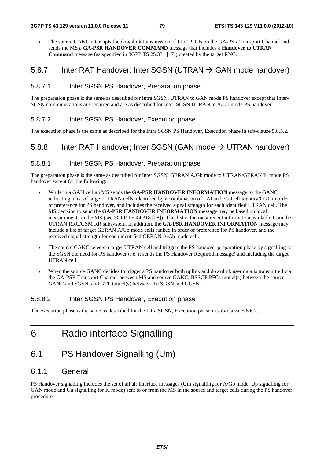• The source GANC interrupts the downlink transmission of LLC PDUs on the GA-PSR Transport Channel and sends the MS a **GA-PSR HANDOVER COMMAND** message that includes a **Handover to UTRAN Command** message (as specified in 3GPP TS 25.331 [17]) created by the target RNC.

### 5.8.7 Inter RAT Handover; Inter SGSN (UTRAN  $\rightarrow$  GAN mode handover)

### 5.8.7.1 Inter SGSN PS Handover, Preparation phase

The preparation phase is the same as described for Intra SGSN, UTRAN to GAN mode PS handover except that Inter-SGSN communications are required and are as described for Inter-SGSN UTRAN to A/Gb mode PS handover.

#### 5.8.7.2 Inter SGSN PS Handover, Execution phase

The execution phase is the same as described for the Intra SGSN PS Handover, Execution phase in sub-clause 5.8.5.2.

### 5.8.8 Inter RAT Handover; Inter SGSN (GAN mode  $\rightarrow$  UTRAN handover)

#### 5.8.8.1 Inter SGSN PS Handover, Preparation phase

The preparation phase is the same as described for Inter SGSN, GERAN A/Gb mode to UTRAN/GERAN Iu mode PS handover except for the following:

- While in a GAN cell an MS sends the **GA-PSR HANDOVER INFORMATION** message to the GANC indicating a list of target UTRAN cells, identified by a combination of LAI and 3G Cell Identity/CGI, in order of preference for PS handover, and includes the received signal strength for each identified UTRAN cell. The MS decision to send the **GA-PSR HANDOVER INFORMATION** message may be based on local measurements in the MS (see 3GPP TS 44.318 [28]). This list is the most recent information available from the UTRAN RRC/GSM RR subsystem. In addition, the **GA-PSR HANDOVER INFORMATION** message may include a list of target GERAN A/Gb mode cells ranked in order of preference for PS handover, and the received signal strength for each identified GERAN A/Gb mode cell.
- The source GANC selects a target UTRAN cell and triggers the PS handover preparation phase by signalling to the SGSN the need for PS handover (i.e. it sends the PS Handover Required message) and including the target UTRAN cell.
- When the source GANC decides to trigger a PS handover both uplink and downlink user data is transmitted via the GA-PSR Transport Channel between MS and source GANC, BSSGP PFCs tunnel(s) between the source GANC and SGSN, and GTP tunnel(s) between the SGSN and GGSN.

### 5.8.8.2 Inter SGSN PS Handover, Execution phase

The execution phase is the same as described for the Intra SGSN, Execution phase in sub-clause 5.8.6.2.

# 6 Radio interface Signalling

### 6.1 PS Handover Signalling (Um)

### 6.1.1 General

PS Handover signalling includes the set of all air interface messages (Um signalling for A/Gb mode, Up signalling for GAN mode and Uu signalling for Iu mode) sent to or from the MS in the source and target cells during the PS handover procedure.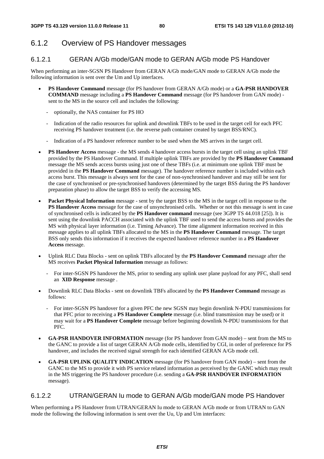### 6.1.2 Overview of PS Handover messages

### 6.1.2.1 GERAN A/Gb mode/GAN mode to GERAN A/Gb mode PS Handover

When performing an inter-SGSN PS Handover from GERAN A/Gb mode/GAN mode to GERAN A/Gb mode the following information is sent over the Um and Up interfaces.

- **PS Handover Command** message (for PS handover from GERAN A/Gb mode) or a **GA-PSR HANDOVER COMMAND** message including a **PS Handover Command** message (for PS handover from GAN mode) sent to the MS in the source cell and includes the following:
	- optionally, the NAS container for PS HO
	- Indication of the radio resources for uplink and downlink TBFs to be used in the target cell for each PFC receiving PS handover treatment (i.e. the reverse path container created by target BSS/RNC).
	- Indication of a PS handover reference number to be used when the MS arrives in the target cell.
- **PS Handover Access** message the MS sends 4 handover access bursts in the target cell using an uplink TBF provided by the PS Handover Command. If multiple uplink TBFs are provided by the **PS Handover Command** message the MS sends access bursts using just one of these TBFs (i.e. at minimum one uplink TBF must be provided in the **PS Handover Command** message). The handover reference number is included within each access burst. This message is always sent for the case of non-synchronised handover and may still be sent for the case of synchronised or pre-synchronised handovers (determined by the target BSS during the PS handover preparation phase) to allow the target BSS to verify the accessing MS.
- **Packet Physical Information** message sent by the target BSS to the MS in the target cell in response to the **PS Handover Access** message for the case of unsynchronised cells. Whether or not this message is sent in case of synchronised cells is indicated by the **PS Handover command** message (see 3GPP TS 44.018 [25]). It is sent using the downlink PACCH associated with the uplink TBF used to send the access bursts and provides the MS with physical layer information (i.e. Timing Advance). The time alignment information received in this message applies to all uplink TBFs allocated to the MS in the **PS Handover Command** message. The target BSS only sends this information if it receives the expected handover reference number in a **PS Handover Access** message.
- Uplink RLC Data Blocks sent on uplink TBFs allocated by the **PS Handover Command** message after the MS receives **Packet Physical Information** message as follows:
	- For inter-SGSN PS handover the MS, prior to sending any uplink user plane payload for any PFC, shall send an **XID Response** message .
- Downlink RLC Data Blocks sent on downlink TBFs allocated by the **PS Handover Command** message as follows:
	- For inter-SGSN PS handover for a given PFC the new SGSN may begin downlink N-PDU transmissions for that PFC prior to receiving a **PS Handover Complete** message (i.e. blind transmission may be used) or it may wait for a **PS Handover Complete** message before beginning downlink N-PDU transmissions for that PFC.
- **GA-PSR HANDOVER INFORMATION** message (for PS handover from GAN mode) sent from the MS to the GANC to provide a list of target GERAN A/Gb mode cells, identified by CGI, in order of preference for PS handover, and includes the received signal strength for each identified GERAN A/Gb mode cell.
- **GA-PSR UPLINK QUALITY INDICATION** message (for PS handover from GAN mode) sent from the GANC to the MS to provide it with PS service related information as perceived by the GANC which may result in the MS triggering the PS handover procedure (i.e. sending a **GA-PSR HANDOVER INFORMATION** message).

### 6.1.2.2 UTRAN/GERAN Iu mode to GERAN A/Gb mode/GAN mode PS Handover

When performing a PS Handover from UTRAN/GERAN Iu mode to GERAN A/Gb mode or from UTRAN to GAN mode the following the following information is sent over the Uu, Up and Um interfaces: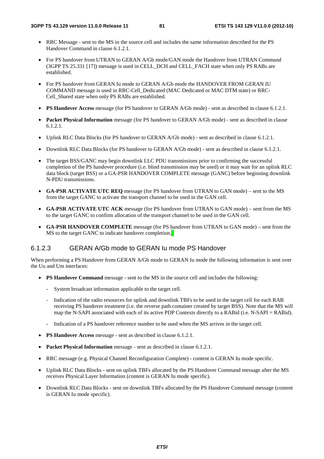- RRC Message sent to the MS in the source cell and includes the same information described for the PS Handover Command in clause 6.1.2.1.
- For PS handover from UTRAN to GERAN A/Gb mode/GAN mode the Handover from UTRAN Command (3GPP TS 25.331 [17]) message is used in CELL\_DCH and CELL\_FACH state when only PS RABs are established.
- For PS handover from GERAN Iu mode to GERAN A/Gb mode the HANDOVER FROM GERAN IU COMMAND message is used in RRC-Cell\_Dedicated (MAC Dedicated or MAC DTM state) or RRC-Cell\_Shared state when only PS RABs are established.
- **PS Handover Access** message (for PS handover to GERAN A/Gb mode) sent as described in clause 6.1.2.1.
- **Packet Physical Information** message (for PS handover to GERAN A/Gb mode) sent as described in clause 6.1.2.1.
- Uplink RLC Data Blocks (for PS handover to GERAN A/Gb mode) sent as described in clause 6.1.2.1.
- Downlink RLC Data Blocks (for PS handover to GERAN A/Gb mode) sent as described in clause 6.1.2.1.
- The target BSS/GANC may begin downlink LLC PDU transmissions prior to confirming the successful completion of the PS handover procedure (i.e. blind transmission may be used) or it may wait for an uplink RLC data block (target BSS) or a GA-PSR HANDOVER COMPLETE message (GANC) before beginning downlink N-PDU transmissions.
- **GA-PSR ACTIVATE UTC REQ** message (for PS handover from UTRAN to GAN mode) sent to the MS from the target GANC to activate the transport channel to be used in the GAN cell.
- **GA-PSR ACTIVATE UTC ACK** message (for PS handover from UTRAN to GAN mode) sent from the MS to the target GANC to confirm allocation of the transport channel to be used in the GAN cell.
- **GA-PSR HANDOVER COMPLETE** message (for PS handover from UTRAN to GAN mode) sent from the MS to the target GANC to indicate handover completion.

#### 6.1.2.3 GERAN A/Gb mode to GERAN Iu mode PS Handover

When performing a PS Handover from GERAN A/Gb mode to GERAN Iu mode the following information is sent over the Uu and Um interfaces:

- **PS Handover Command** message sent to the MS in the source cell and includes the following:
	- System broadcast information applicable to the target cell.
	- Indication of the radio resources for uplink and downlink TBFs to be used in the target cell for each RAB receiving PS handover treatment (i.e. the reverse path container created by target BSS). Note that the MS will map the N-SAPI associated with each of its active PDP Contexts directly to a RABid (i.e. N-SAPI = RABid).
	- Indication of a PS handover reference number to be used when the MS arrives in the target cell.
- **PS Handover Access** message sent as described in clause 6.1.2.1.
- **Packet Physical Information** message sent as described in clause 6.1.2.1.
- RRC message (e.g. Physical Channel Reconfiguration Complete) content is GERAN Iu mode specific.
- Uplink RLC Data Blocks sent on uplink TBFs allocated by the PS Handover Command message after the MS receives Physical Layer Information (content is GERAN Iu mode specific).
- Downlink RLC Data Blocks sent on downlink TBFs allocated by the PS Handover Command message (content is GERAN Iu mode specific).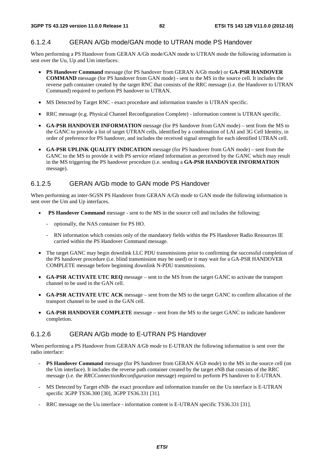### 6.1.2.4 GERAN A/Gb mode/GAN mode to UTRAN mode PS Handover

When performing a PS Handover from GERAN A/Gb mode/GAN mode to UTRAN mode the following information is sent over the Uu, Up and Um interfaces:

- **PS Handover Command** message (for PS handover from GERAN A/Gb mode) or **GA-PSR HANDOVER COMMAND** message (for PS handover from GAN mode) - sent to the MS in the source cell. It includes the reverse path container created by the target RNC that consists of the RRC message (i.e. the Handover to UTRAN Command) required to perform PS handover to UTRAN.
- MS Detected by Target RNC exact procedure and information transfer is UTRAN specific.
- RRC message (e.g. Physical Channel Reconfiguration Complete) information content is UTRAN specific.
- **GA-PSR HANDOVER INFORMATION** message (for PS handover from GAN mode) sent from the MS to the GANC to provide a list of target UTRAN cells, identified by a combination of LAI and 3G Cell Identity, in order of preference for PS handover, and includes the received signal strength for each identified UTRAN cell.
- **GA-PSR UPLINK QUALITY INDICATION** message (for PS handover from GAN mode) sent from the GANC to the MS to provide it with PS service related information as perceived by the GANC which may result in the MS triggering the PS handover procedure (i.e. sending a **GA-PSR HANDOVER INFORMATION** message).

### 6.1.2.5 GERAN A/Gb mode to GAN mode PS Handover

When performing an inter-SGSN PS Handover from GERAN A/Gb mode to GAN mode the following information is sent over the Um and Up interfaces.

- **PS Handover Command** message sent to the MS in the source cell and includes the following:
	- optionally, the NAS container for PS HO.
	- RN information which consists only of the mandatory fields within the PS Handover Radio Resources IE carried within the PS Handover Command message.
- The target GANC may begin downlink LLC PDU transmissions prior to confirming the successful completion of the PS handover procedure (i.e. blind transmission may be used) or it may wait for a GA-PSR HANDOVER COMPLETE message before beginning downlink N-PDU transmissions.
- **GA-PSR ACTIVATE UTC REQ** message sent to the MS from the target GANC to activate the transport channel to be used in the GAN cell.
- **GA-PSR ACTIVATE UTC ACK** message sent from the MS to the target GANC to confirm allocation of the transport channel to be used in the GAN cell.
- **GA-PSR HANDOVER COMPLETE** message sent from the MS to the target GANC to indicate handover completion.

### 6.1.2.6 GERAN A/Gb mode to E-UTRAN PS Handover

When performing a PS Handover from GERAN *A/Gb mode* to E-UTRAN the following information is sent over the radio interface:

- **PS Handover Command** message (for PS handover from GERAN *A/Gb mode*) to the MS in the source cell (on the Um interface). It includes the reverse path container created by the target eNB that consists of the RRC message (i.e. the *RRCConnectionReconfiguration* message) required to perform PS handover to E-UTRAN.
- MS Detected by Target eNB- the exact procedure and information transfer on the Uu interface is E-UTRAN specific 3GPP TS36.300 [30], 3GPP TS36.331 [31].
- RRC message on the Uu interface information content is E-UTRAN specific TS36.331 [31].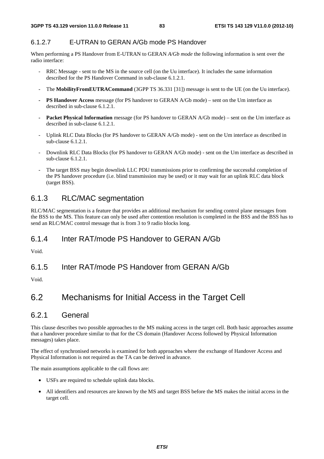### 6.1.2.7 E-UTRAN to GERAN A/Gb mode PS Handover

When performing a PS Handover from E-UTRAN to GERAN *A/Gb mode* the following information is sent over the radio interface:

- RRC Message sent to the MS in the source cell (on the Uu interface). It includes the same information described for the PS Handover Command in sub-clause 6.1.2.1.
- The **MobilityFromEUTRACommand** (3GPP TS 36.331 [31]) message is sent to the UE (on the Uu interface).
- **PS Handover Access** message (for PS handover to GERAN A/Gb mode) sent on the Um interface as described in sub-clause 6.1.2.1.
- **Packet Physical Information** message (for PS handover to GERAN A/Gb mode) sent on the Um interface as described in sub-clause 6.1.2.1.
- Uplink RLC Data Blocks (for PS handover to GERAN A/Gb mode) sent on the Um interface as described in sub-clause 6.1.2.1.
- Downlink RLC Data Blocks (for PS handover to GERAN A/Gb mode) sent on the Um interface as described in sub-clause 6.1.2.1.
- The target BSS may begin downlink LLC PDU transmissions prior to confirming the successful completion of the PS handover procedure (i.e. blind transmission may be used) or it may wait for an uplink RLC data block (target BSS).

### 6.1.3 RLC/MAC segmentation

RLC/MAC segmentation is a feature that provides an additional mechanism for sending control plane messages from the BSS to the MS. This feature can only be used after contention resolution is completed in the BSS and the BSS has to send an RLC/MAC control message that is from 3 to 9 radio blocks long.

### 6.1.4 Inter RAT/mode PS Handover to GERAN A/Gb

Void.

6.1.5 Inter RAT/mode PS Handover from GERAN A/Gb

Void.

### 6.2 Mechanisms for Initial Access in the Target Cell

### 6.2.1 General

This clause describes two possible approaches to the MS making access in the target cell. Both basic approaches assume that a handover procedure similar to that for the CS domain (Handover Access followed by Physical Information messages) takes place.

The effect of synchronised networks is examined for both approaches where the exchange of Handover Access and Physical Information is not required as the TA can be derived in advance.

The main assumptions applicable to the call flows are:

- USFs are required to schedule uplink data blocks.
- All identifiers and resources are known by the MS and target BSS before the MS makes the initial access in the target cell.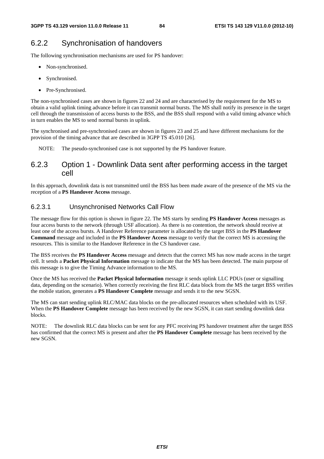### 6.2.2 Synchronisation of handovers

The following synchronisation mechanisms are used for PS handover:

- Non-synchronised.
- Synchronised.
- Pre-Synchronised.

The non-synchronised cases are shown in figures 22 and 24 and are characterised by the requirement for the MS to obtain a valid uplink timing advance before it can transmit normal bursts. The MS shall notify its presence in the target cell through the transmission of access bursts to the BSS, and the BSS shall respond with a valid timing advance which in turn enables the MS to send normal bursts in uplink.

The synchronised and pre-synchronised cases are shown in figures 23 and 25 and have different mechanisms for the provision of the timing advance that are described in 3GPP TS 45.010 [26].

NOTE: The pseudo-synchronised case is not supported by the PS handover feature.

### 6.2.3 Option 1 - Downlink Data sent after performing access in the target cell

In this approach, downlink data is not transmitted until the BSS has been made aware of the presence of the MS via the reception of a **PS Handover Access** message.

### 6.2.3.1 Unsynchronised Networks Call Flow

The message flow for this option is shown in figure 22. The MS starts by sending **PS Handover Access** messages as four access bursts to the network (through USF allocation). As there is no contention, the network should receive at least one of the access bursts. A Handover Reference parameter is allocated by the target BSS in the **PS Handover Command** message and included in the **PS Handover Access** message to verify that the correct MS is accessing the resources. This is similar to the Handover Reference in the CS handover case.

The BSS receives the **PS Handover Access** message and detects that the correct MS has now made access in the target cell. It sends a **Packet Physical Information** message to indicate that the MS has been detected. The main purpose of this message is to give the Timing Advance information to the MS.

Once the MS has received the **Packet Physical Information** message it sends uplink LLC PDUs (user or signalling data, depending on the scenario). When correctly receiving the first RLC data block from the MS the target BSS verifies the mobile station, generates a **PS Handover Complete** message and sends it to the new SGSN.

The MS can start sending uplink RLC/MAC data blocks on the pre-allocated resources when scheduled with its USF. When the **PS Handover Complete** message has been received by the new SGSN, it can start sending downlink data blocks.

NOTE: The downlink RLC data blocks can be sent for any PFC receiving PS handover treatment after the target BSS has confirmed that the correct MS is present and after the **PS Handover Complete** message has been received by the new SGSN.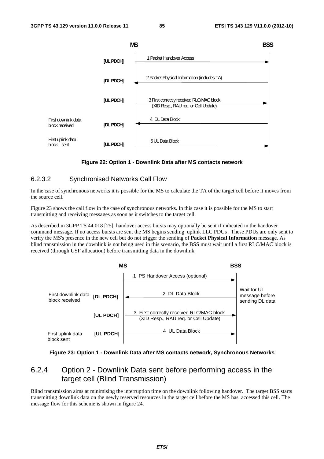



### 6.2.3.2 Synchronised Networks Call Flow

In the case of synchronous networks it is possible for the MS to calculate the TA of the target cell before it moves from the source cell.

Figure 23 shows the call flow in the case of synchronous networks. In this case it is possible for the MS to start transmitting and receiving messages as soon as it switches to the target cell.

As described in 3GPP TS 44.018 [25], handover access bursts may optionally be sent if indicated in the handover command message. If no access bursts are sent the MS begins sending uplink LLC PDUs . These PDUs are only sent to verify the MS's presence in the new cell but do not trigger the sending of **Packet Physical Information** message. As blind transmission in the downlink is not being used in this scenario, the BSS must wait until a first RLC/MAC block is received (through USF allocation) before transmitting data in the downlink.



**Figure 23: Option 1 - Downlink Data after MS contacts network, Synchronous Networks** 

### 6.2.4 Option 2 - Downlink Data sent before performing access in the target cell (Blind Transmission)

Blind transmission aims at minimising the interruption time on the downlink following handover. The target BSS starts transmitting downlink data on the newly reserved resources in the target cell before the MS has accessed this cell. The message flow for this scheme is shown in figure 24.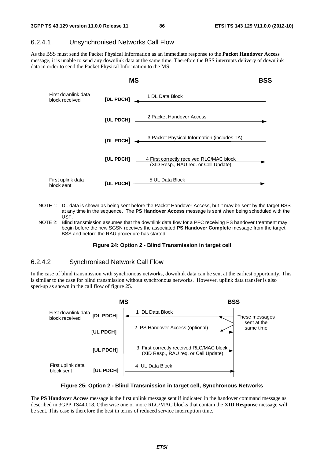### 6.2.4.1 Unsynchronised Networks Call Flow

As the BSS must send the Packet Physical Information as an immediate response to the **Packet Handover Access** message, it is unable to send any downlink data at the same time. Therefore the BSS interrupts delivery of downlink data in order to send the Packet Physical Information to the MS.



- NOTE 1: DL data is shown as being sent before the Packet Handover Access, but it may be sent by the target BSS at any time in the sequence. The **PS Handover Access** message is sent when being scheduled with the USF.
- NOTE 2: Blind transmission assumes that the downlink data flow for a PFC receiving PS handover treatment may begin before the new SGSN receives the associated **PS Handover Complete** message from the target BSS and before the RAU procedure has started.

#### **Figure 24: Option 2 - Blind Transmission in target cell**

#### 6.2.4.2 Synchronised Network Call Flow

In the case of blind transmission with synchronous networks, downlink data can be sent at the earliest opportunity. This is similar to the case for blind transmission without synchronous networks. However, uplink data transfer is also sped-up as shown in the call flow of figure 25.





The **PS Handover Access** message is the first uplink message sent if indicated in the handover command message as described in 3GPP TS44.018. Otherwise one or more RLC/MAC blocks that contain the **XID Response** message will be sent. This case is therefore the best in terms of reduced service interruption time.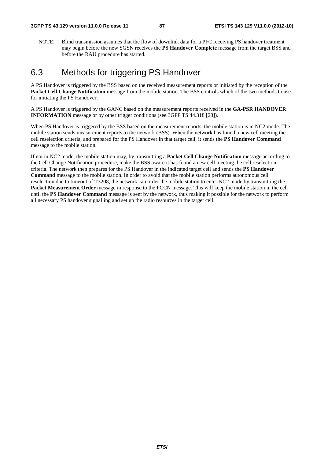NOTE: Blind transmission assumes that the flow of downlink data for a PFC receiving PS handover treatment may begin before the new SGSN receives the **PS Handover Complete** message from the target BSS and before the RAU procedure has started.

### 6.3 Methods for triggering PS Handover

A PS Handover is triggered by the BSS based on the received measurement reports or initiated by the reception of the **Packet Cell Change Notification** message from the mobile station. The BSS controls which of the two methods to use for initiating the PS Handover.

A PS Handover is triggered by the GANC based on the measurement reports received in the **GA-PSR HANDOVER INFORMATION** message or by other trigger conditions (see 3GPP TS 44.318 [28]).

When PS Handover is triggered by the BSS based on the measurement reports, the mobile station is in NC2 mode. The mobile station sends measurement reports to the network (BSS). When the network has found a new cell meeting the cell reselection criteria, and prepared for the PS Handover in that target cell, it sends the **PS Handover Command** message to the mobile station.

If not in NC2 mode, the mobile station may, by transmitting a **Packet Cell Change Notification** message according to the Cell Change Notification procedure, make the BSS aware it has found a new cell meeting the cell reselection criteria. The network then prepares for the PS Handover in the indicated target cell and sends the **PS Handover Command** message to the mobile station. In order to avoid that the mobile station performs autonomous cell reselection due to timeout of T3208, the network can order the mobile station to enter NC2 mode by transmitting the **Packet Measurement Order** message in response to the PCCN message. This will keep the mobile station in the cell until the **PS Handover Command** message is sent by the network, thus making it possible for the network to perform all necessary PS handover signalling and set up the radio resources in the target cell.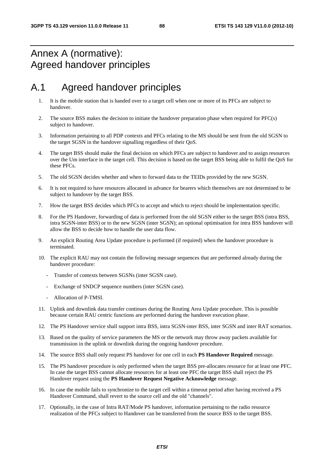# Annex A (normative): Agreed handover principles

# A.1 Agreed handover principles

- 1. It is the mobile station that is handed over to a target cell when one or more of its PFCs are subject to handover.
- 2. The source BSS makes the decision to initiate the handover preparation phase when required for PFC(s) subject to handover.
- 3. Information pertaining to all PDP contexts and PFCs relating to the MS should be sent from the old SGSN to the target SGSN in the handover signalling regardless of their QoS.
- 4. The target BSS should make the final decision on which PFCs are subject to handover and to assign resources over the Um interface in the target cell. This decision is based on the target BSS being able to fulfil the QoS for these PFCs.
- 5. The old SGSN decides whether and when to forward data to the TEIDs provided by the new SGSN.
- 6. It is not required to have resources allocated in advance for bearers which themselves are not determined to be subject to handover by the target BSS.
- 7. How the target BSS decides which PFCs to accept and which to reject should be implementation specific.
- 8. For the PS Handover, forwarding of data is performed from the old SGSN either to the target BSS (intra BSS, intra SGSN-inter BSS) or to the new SGSN (inter SGSN); an optional optimisation for intra BSS handover will allow the BSS to decide how to handle the user data flow.
- 9. An explicit Routing Area Update procedure is performed (if required) when the handover procedure is terminated.
- 10. The explicit RAU may not contain the following message sequences that are performed already during the handover procedure:
	- Transfer of contexts between SGSNs (inter SGSN case).
	- Exchange of SNDCP sequence numbers (inter SGSN case).
	- Allocation of P-TMSI.
- 11. Uplink and downlink data transfer continues during the Routing Area Update procedure. This is possible because certain RAU centric functions are performed during the handover execution phase.
- 12. The PS Handover service shall support intra BSS, intra SGSN-inter BSS, inter SGSN and inter RAT scenarios.
- 13. Based on the quality of service parameters the MS or the network may throw away packets available for transmission in the uplink or downlink during the ongoing handover procedure.
- 14. The source BSS shall only request PS handover for one cell in each **PS Handover Required** message.
- 15. The PS handover procedure is only performed when the target BSS pre-allocates resource for at least one PFC. In case the target BSS cannot allocate resources for at least one PFC the target BSS shall reject the PS Handover request using the **PS Handover Request Negative Acknowledge** message.
- 16. In case the mobile fails to synchronize to the target cell within a timeout period after having received a PS Handover Command, shall revert to the source cell and the old "channels".
- 17. Optionally, in the case of Intra RAT/Mode PS handover, information pertaining to the radio resource realization of the PFCs subject to Handover can be transferred from the source BSS to the target BSS.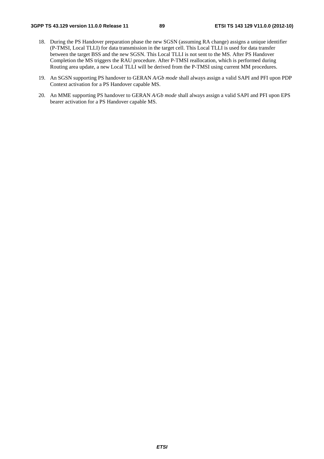- 18. During the PS Handover preparation phase the new SGSN (assuming RA change) assigns a unique identifier (P-TMSI, Local TLLI) for data transmission in the target cell. This Local TLLI is used for data transfer between the target BSS and the new SGSN. This Local TLLI is not sent to the MS. After PS Handover Completion the MS triggers the RAU procedure. After P-TMSI reallocation, which is performed during Routing area update, a new Local TLLI will be derived from the P-TMSI using current MM procedures.
- 19. An SGSN supporting PS handover to GERAN *A/Gb mode* shall always assign a valid SAPI and PFI upon PDP Context activation for a PS Handover capable MS.
- 20. An MME supporting PS handover to GERAN *A/Gb mode* shall always assign a valid SAPI and PFI upon EPS bearer activation for a PS Handover capable MS.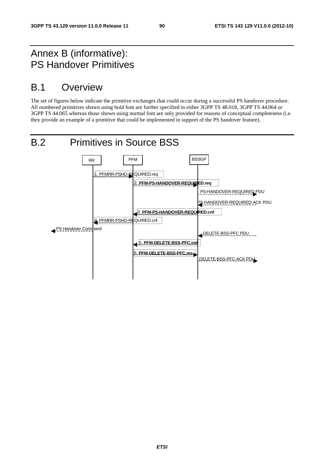# Annex B (informative): PS Handover Primitives

## B.1 Overview

The set of figures below indicate the primitive exchanges that could occur during a successful PS handover procedure. All numbered primitives shown using bold font are further specified in either 3GPP TS 48.018, 3GPP TS 44.064 or 3GPP TS 44.065 whereas those shown using normal font are only provided for reasons of conceptual completeness (i.e. they provide an example of a primitive that could be implemented in support of the PS handover feature).

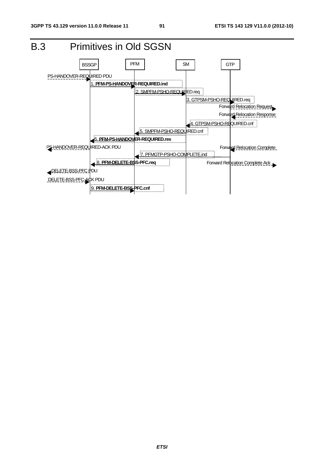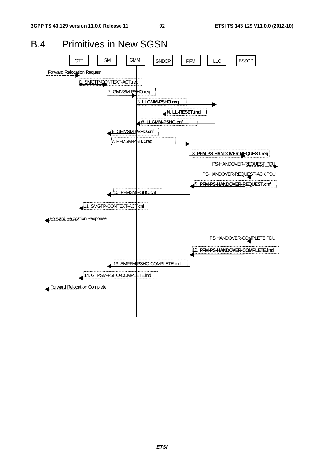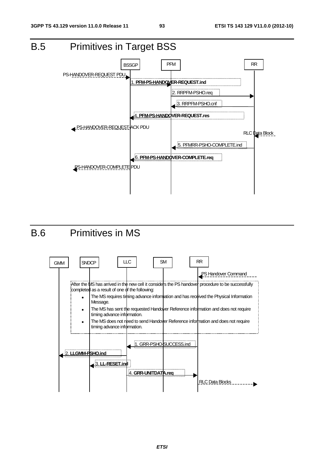

# B.6 Primitives in MS

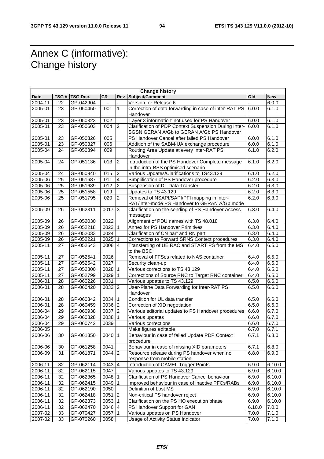# Annex C (informative): Change history

| <b>Change history</b> |    |                |            |                |                                                                                         |        |            |
|-----------------------|----|----------------|------------|----------------|-----------------------------------------------------------------------------------------|--------|------------|
| <b>Date</b>           |    | TSG # TSG Doc. | <b>CR</b>  | Rev            | Subject/Comment                                                                         | Old    | <b>New</b> |
| 2004-11               | 22 | GP-042904      |            |                | Version for Release 6                                                                   |        | 6.0.0      |
| 2005-01               | 23 | GP-050450      | 001        | $\mathbf{1}$   | Correction of data forwarding in case of inter-RAT PS                                   | 6.0.0  | 6.1.0      |
|                       |    |                |            |                | Handover                                                                                |        |            |
| 2005-01               | 23 | GP-050323      | 002        |                | 'Layer 3 information' not used for PS Handover                                          | 6.0.0  | 6.1.0      |
| 2005-01               | 23 | GP-050603      | 004        | $\overline{2}$ | Clarification of PDP Context Suspension During Inter-                                   | 6.0.0  | 6.1.0      |
|                       |    |                |            |                | SGSN GERAN A/Gb to GERAN A/Gb PS Handover                                               |        |            |
| 2005-01               | 23 | GP-050326      | 005        |                | PS Handover Cancel after failed PS Handover                                             | 6.0.0  | 6.1.0      |
| 2005-01               | 23 | GP-050327      | 006        |                | Addition of the SABM-UA exchange procedure                                              | 6.0.0  | 6.1.0      |
| 2005-04               | 24 | GP-050894      | 009        |                | Routing Area Update at every Inter-RAT PS<br>Handover                                   | 6.1.0  | 6.2.0      |
| 2005-04               | 24 | GP-051136      | 013        | $\overline{2}$ | Introduction of the PS Handover Complete message<br>in the intra-BSS optimised scenario | 6.1.0  | 6.2.0      |
| 2005-04               | 24 | GP-050940      | 015        | $\overline{c}$ | Various Updates/Clarifications to TS43.129                                              | 6.1.0  | 6.2.0      |
| 2005-06               | 25 | GP-051687      | 011        | $\overline{4}$ | Simplification of PS Handover procedure                                                 | 6.2.0  | 6.3.0      |
| $2005 - 06$           | 25 | GP-051689      | 012        | $\overline{2}$ | Suspension of DL Data Transfer                                                          | 6.2.0  | 6.3.0      |
| 2005-06               | 25 | GP-051558      | 019        |                | Updates to TS 43.129                                                                    | 6.2.0  | 6.3.0      |
| 2005-06               | 25 | GP-051795      | 020        | $\overline{2}$ | Removal of NSAPI/SAPI/PFI mapping in inter-                                             | 6.2.0  | 6.3.0      |
|                       |    |                |            |                | RAT/inter-mode PS Handover to GERAN A/Gb mode                                           |        |            |
| 2005-09               | 26 | GP-052311      | $0017$ 3   |                | Clarification on the sending of PS Handover Access<br>messages                          | 6.3.0  | 6.4.0      |
| 2005-09               | 26 | GP-052030      | 0022       |                | Alignment of PDU names with TS 48.018                                                   | 6.3.0  | 6.4.0      |
| 2005-09               | 26 | GP-052218      | $0023$ 1   |                | Annex for PS Handover Primitives                                                        | 6.3.0  | 6.4.0      |
| 2005-09               | 26 | GP-052033      | 0024       |                | Clarification of CN part and RN part                                                    | 6.3.0  | 6.4.0      |
| 2005-09               | 26 | GP-052221      | $0025$   1 |                | Corrections to Forward SRNS Context procedures                                          | 6.3.0  | 6.4.0      |
| 2005-11               | 27 | GP-052543      | $0008$ 4   |                | Transferring of UE RAC and START PS from the MS<br>to the BSC                           | 6.4.0  | 6.5.0      |
| 2005-11               | 27 | GP-052541      | 0026       |                | Removal of FFSes related to NAS container                                               | 6.4.0  | 6.5.0      |
| 2005-11               | 27 | GP-052542      | 0027       |                | Security clean-up                                                                       | 6.4.0  | 6.5.0      |
| 2005-11               | 27 | GP-052800      | 0028 1     |                | Various corrections to TS 43.129                                                        | 6.4.0  | 6.5.0      |
| 2005-11               | 27 | GP-052799      | $0029$ 1   |                | Corrections of Source RNC to Target RNC container                                       | 6.4.0  | 6.5.0      |
| 2006-01               | 28 | GP-060226      | 0031       |                | Various updates to TS 43.129                                                            | 6.5.0  | 6.6.0      |
| 2006-01               | 28 | GP-060420      | $0033$ 2   |                | User-Plane Data Forwarding for Inter-RAT PS<br>Handover                                 | 6.5.0  | 6.6.0      |
| 2006-01               | 28 | GP-060342      | 0034 1     |                | Condition for UL data transfer                                                          | 6.5.0  | 6.6.0      |
| 2006-01               | 28 | GP-060459      | $0036$ 2   |                | Correction of XID negotiation                                                           | 6.5.0  | 6.6.0      |
| 2006-04               | 29 | GP-060938      | $0037$ 2   |                | Various editorial updates to PS Handover procedures                                     | 6.6.0  | 6.7.0      |
| 2006-04               | 29 | GP-060828      | 0038 1     |                | Various updates                                                                         | 6.6.0  | 6.7.0      |
| 2006-04               | 29 | GP-060742      | 0039       |                | Various corrections                                                                     | 6.6.0  | 6.7.0      |
| 2006-05               |    |                |            |                | Make figures editable                                                                   | 6.7.0  | 6.7.1      |
| 2006-06               | 30 | GP-061350      | 0040   1   |                | Behaviour in case of failed Update PDP Context<br>procedure                             | 6.7.1  | 6.8.0      |
| 2006-06               | 30 | GP-061258      | 0041       |                | Behaviour in case of missing XID parameters                                             | 6.7.1  | 6.8.0      |
| 2006-09               | 31 | GP-061871      | $0044$ 2   |                | Resource release during PS handover when no                                             | 6.8.0  | 6.9.0      |
|                       |    |                |            |                | response from mobile station                                                            |        |            |
| 2006-11               | 32 | GP-062114      | $0043$ 4   |                | Introduction of CAMEL Trigger Points                                                    | 6.9.0  | 6.10.0     |
| 2006-11               | 32 | GP-062115      | 0047       |                | Various updates to TS 43.129                                                            | 6.9.0  | 6.10.0     |
| 2006-11               | 32 | GP-062365      | 0048   1   |                | Clarification of PS Handover Cancel behaviour                                           | 6.9.0  | 6.10.0     |
| 2006-11               | 32 | GP-062415      | $0049$ 1   |                | Improved behaviour in case of inactive PFCs/RABs                                        | 6.9.0  | 6.10.0     |
| 2006-11               | 32 | GP-062190      | 0050       |                | Definition of Lost MS                                                                   | 6.9.0  | 6.10.0     |
| 2006-11               | 32 | GP-062418      | $0051$ 2   |                | Non-critical PS handover reject                                                         | 6.9.0  | 6.10.0     |
| 2006-11               | 32 | GP-062373      | 0053 1     |                | Clarification on the PS HO execution phase                                              | 6.9.0  | 6.10.0     |
| 2006-11               | 32 | GP-062470      | 0046 4     |                | PS Handover Support for GAN                                                             | 6.10.0 | 7.0.0      |
| 2007-02               | 33 | GP-070427      | $0057$   1 |                | Various updates on PS Handover                                                          | 7.0.0  | 7.1.0      |
| 2007-02               | 33 | GP-070260      | 0058       |                | Usage of Activity Status Indicator                                                      | 7.0.0  | 7.1.0      |
|                       |    |                |            |                |                                                                                         |        |            |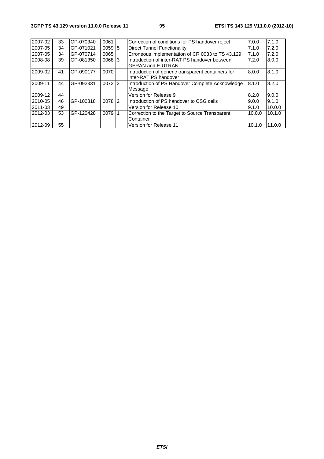| 2007-02 | 33 | GP-070340 | 0061     | Correction of conditions for PS handover reject    | 7.0.0  | 7.1.0  |
|---------|----|-----------|----------|----------------------------------------------------|--------|--------|
| 2007-05 | 34 | GP-071021 | $0059$ 5 | Direct Tunnel Functionality                        | 7.1.0  | 7.2.0  |
| 2007-05 | 34 | GP-070714 | 0065     | Erroneous implementation of CR 0033 to TS 43.129   | 7.1.0  | 7.2.0  |
| 2008-08 | 39 | GP-081350 | 0068 3   | Introduction of inter-RAT PS handover between      | 7.2.0  | 8.0.0  |
|         |    |           |          | <b>GERAN and E-UTRAN</b>                           |        |        |
| 2009-02 | 41 | GP-090177 | 0070     | Introduction of generic transparent containers for | 8.0.0  | 8.1.0  |
|         |    |           |          | inter-RAT PS handover                              |        |        |
| 2009-11 | 44 | GP-092331 | $0072$ 3 | Introduction of PS Handover Complete Acknowledge   | 8.1.0  | 8.2.0  |
|         |    |           |          | Message                                            |        |        |
| 2009-12 | 44 |           |          | Version for Release 9                              | 8.2.0  | 9.0.0  |
| 2010-05 | 46 | GP-100818 | 0078 2   | Introduction of PS handover to CSG cells           | 9.0.0  | 9.1.0  |
| 2011-03 | 49 |           |          | Version for Release 10                             | 9.1.0  | 10.0.0 |
| 2012-03 | 53 | GP-120428 | 0079 1   | Correction to the Target to Source Transparent     | 10.0.0 | 10.1.0 |
|         |    |           |          | Container                                          |        |        |
| 2012-09 | 55 |           |          | Version for Release 11                             | 10.1.0 | 11.0.0 |